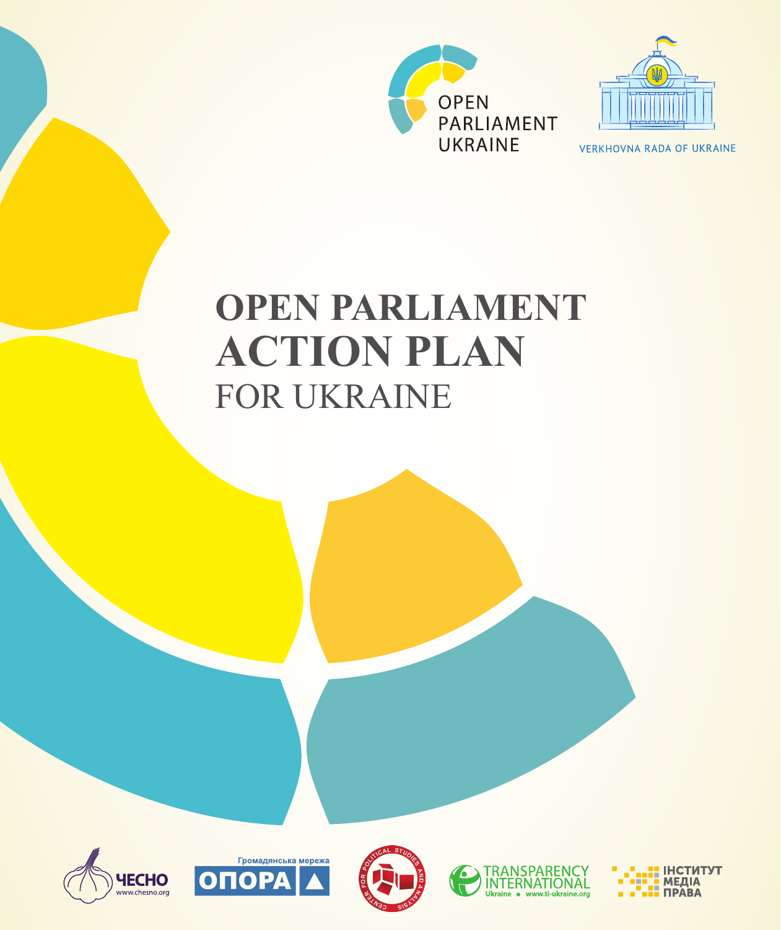



**VERKHOVNA RADA OF UKRAINE** 

# **OPEN PARLIAMENT ACTION PLAN** FOR UKRAINE









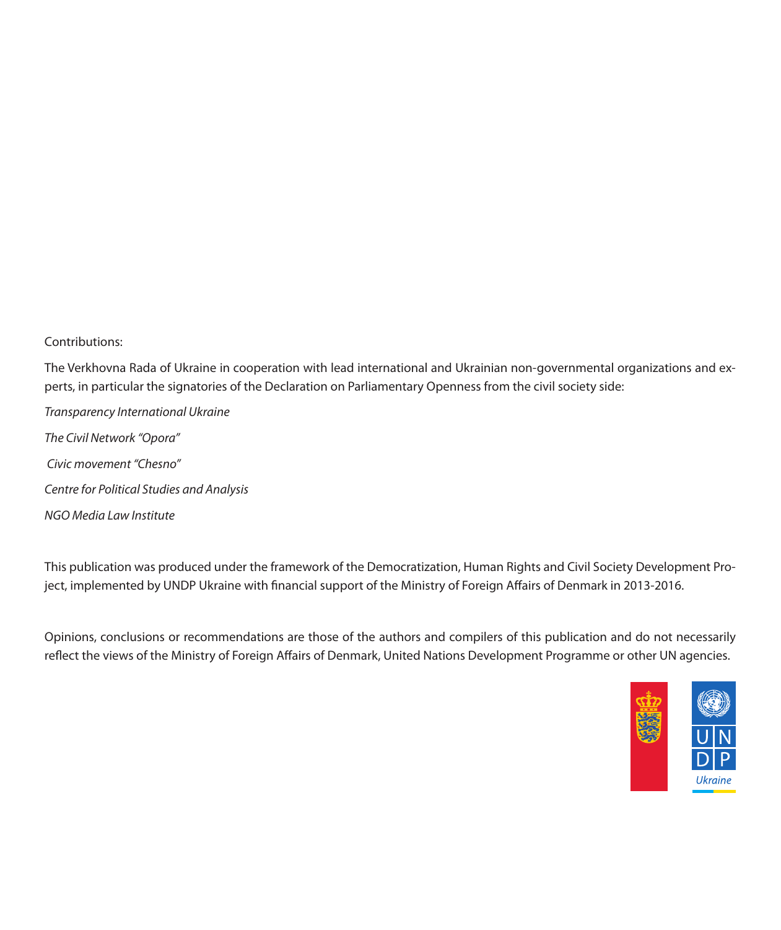Contributions:

The Verkhovna Rada of Ukraine in cooperation with lead international and Ukrainian non-governmental organizations and experts, in particular the signatories of the Declaration on Parliamentary Openness from the civil society side:

*Transparency International Ukraine The Civil Network "Opora" Civic movement "Chesno" Centre for Political Studies and Analysis NGO Media Law Institute* 

This publication was produced under the framework of the Democratization, Human Rights and Civil Society Development Project, implemented by UNDP Ukraine with financial support of the Ministry of Foreign Affairs of Denmark in 2013-2016.

Opinions, conclusions or recommendations are those of the authors and compilers of this publication and do not necessarily reflect the views of the Ministry of Foreign Affairs of Denmark, United Nations Development Programme or other UN agencies.

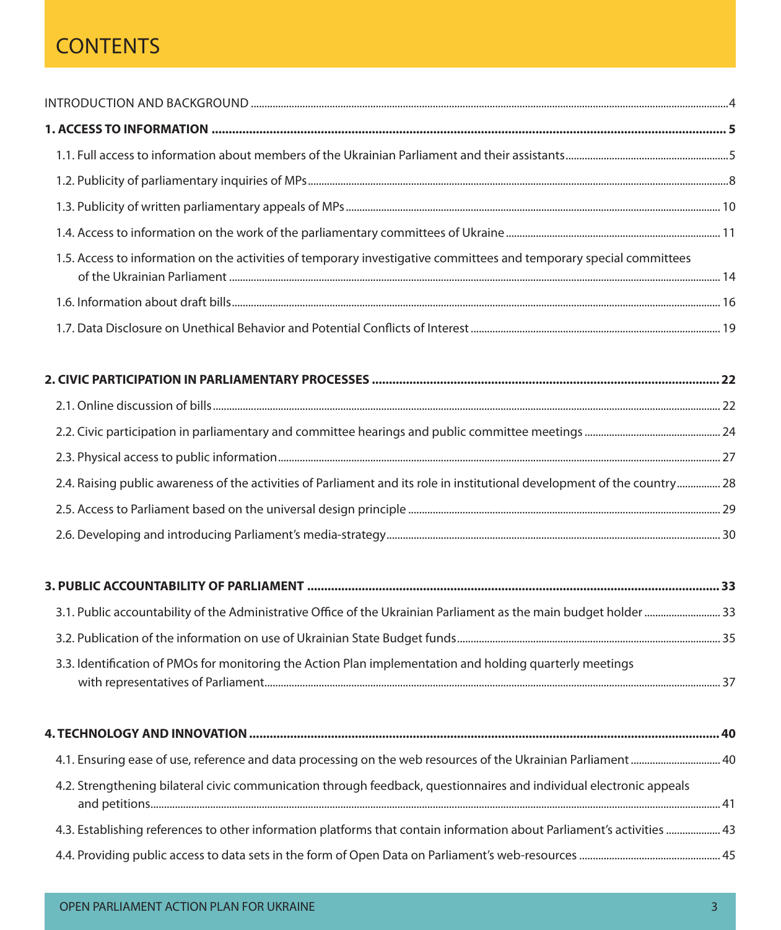### **CONTENTS**

| 1.5. Access to information on the activities of temporary investigative committees and temporary special committees       |  |
|---------------------------------------------------------------------------------------------------------------------------|--|
|                                                                                                                           |  |
|                                                                                                                           |  |
|                                                                                                                           |  |
|                                                                                                                           |  |
|                                                                                                                           |  |
|                                                                                                                           |  |
| 2.4. Raising public awareness of the activities of Parliament and its role in institutional development of the country 28 |  |
|                                                                                                                           |  |
|                                                                                                                           |  |
|                                                                                                                           |  |
| 33. Public accountability of the Administrative Office of the Ukrainian Parliament as the main budget holder  33          |  |
|                                                                                                                           |  |
| 3.3. Identification of PMOs for monitoring the Action Plan implementation and holding quarterly meetings                  |  |
|                                                                                                                           |  |
| 4.1. Ensuring ease of use, reference and data processing on the web resources of the Ukrainian Parliament 40              |  |
| 4.2. Strengthening bilateral civic communication through feedback, questionnaires and individual electronic appeals       |  |
| 43. Establishing references to other information platforms that contain information about Parliament's activities  43     |  |
|                                                                                                                           |  |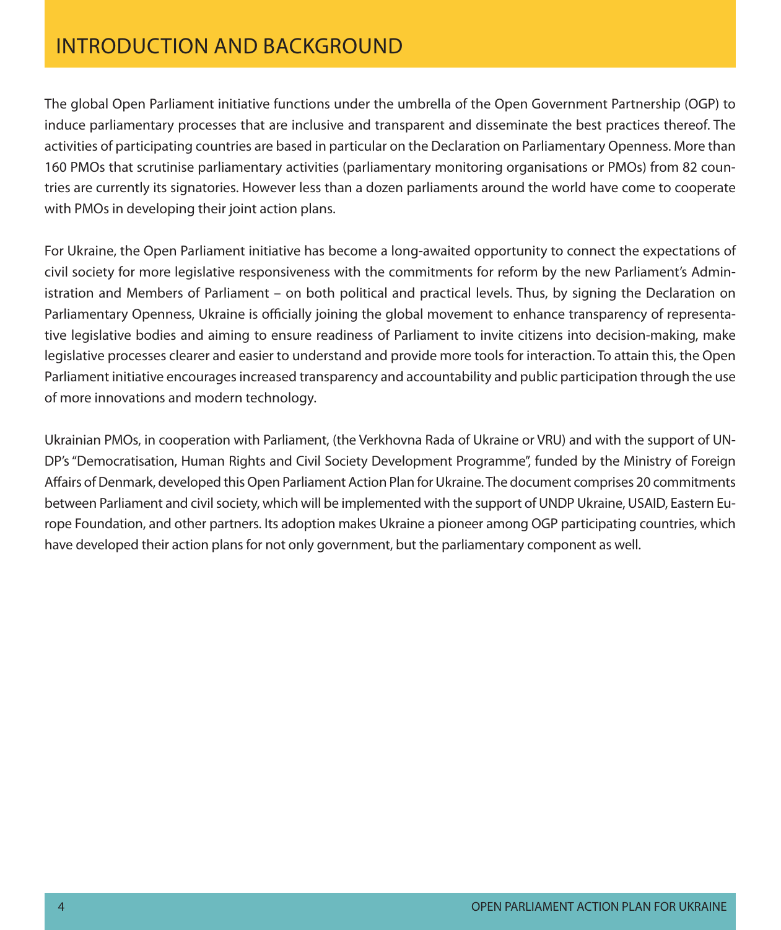### Introduction and Background

The global Open Parliament initiative functions under the umbrella of the Open Government Partnership (OGP) to induce parliamentary processes that are inclusive and transparent and disseminate the best practices thereof. The activities of participating countries are based in particular on the Declaration on Parliamentary Openness. More than 160 PMOs that scrutinise parliamentary activities (parliamentary monitoring organisations or PMOs) from 82 countries are currently its signatories. However less than a dozen parliaments around the world have come to cooperate with PMOs in developing their joint action plans.

For Ukraine, the Open Parliament initiative has become a long-awaited opportunity to connect the expectations of civil society for more legislative responsiveness with the commitments for reform by the new Parliament's Administration and Members of Parliament – on both political and practical levels. Thus, by signing the Declaration on Parliamentary Openness, Ukraine is officially joining the global movement to enhance transparency of representative legislative bodies and aiming to ensure readiness of Parliament to invite citizens into decision-making, make legislative processes clearer and easier to understand and provide more tools for interaction. To attain this, the Open Parliament initiative encourages increased transparency and accountability and public participation through the use of more innovations and modern technology.

Ukrainian PMOs, in cooperation with Parliament, (the Verkhovna Rada of Ukraine or VRU) and with the support of UN-DP's "Democratisation, Human Rights and Civil Society Development Programme", funded by the Ministry of Foreign Affairs of Denmark, developed this Open Parliament Action Plan for Ukraine. The document comprises 20 commitments between Parliament and civil society, which will be implemented with the support of UNDP Ukraine, USAID, Eastern Europe Foundation, and other partners. Its adoption makes Ukraine a pioneer among OGP participating countries, which have developed their action plans for not only government, but the parliamentary component as well.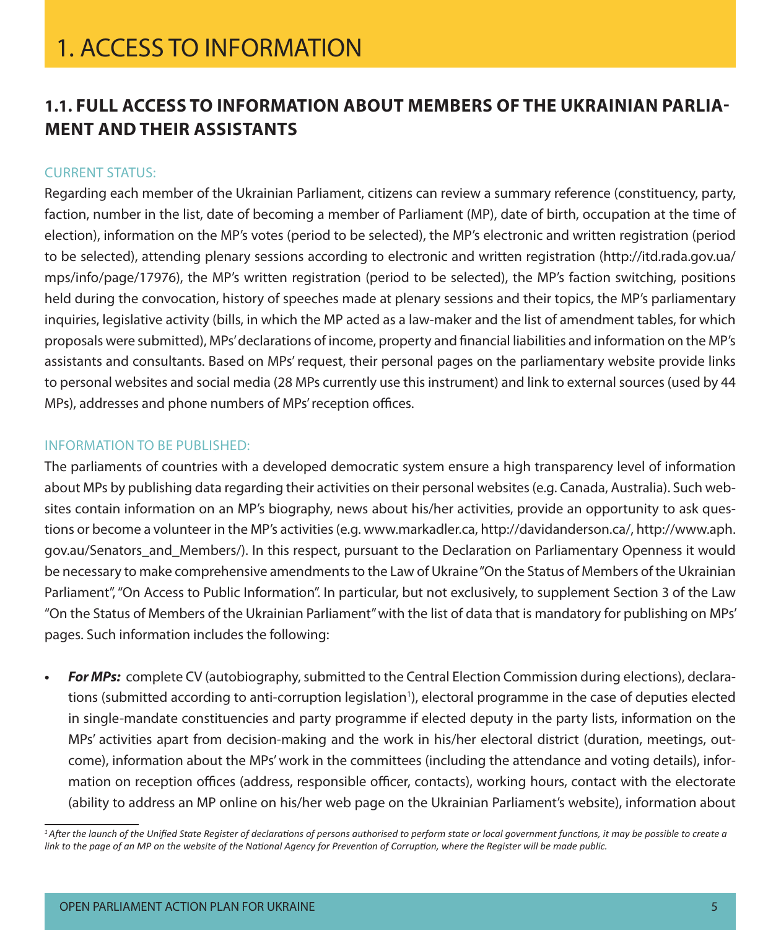### **1.1. Full access to information about members of the Ukrainian Parliament and their assistants**

#### Current status:

Regarding each member of the Ukrainian Parliament, citizens can review a summary reference (constituency, party, faction, number in the list, date of becoming a member of Parliament (MP), date of birth, occupation at the time of election), information on the MP's votes (period to be selected), the MP's electronic and written registration (period to be selected), attending plenary sessions according to electronic and written registration (http://itd.rada.gov.ua/ mps/info/page/17976), the MP's written registration (period to be selected), the MP's faction switching, positions held during the convocation, history of speeches made at plenary sessions and their topics, the MP's parliamentary inquiries, legislative activity (bills, in which the MP acted as a law-maker and the list of amendment tables, for which proposals were submitted), MPs' declarations of income, property and financial liabilities and information on the MP's assistants and consultants. Based on MPs' request, their personal pages on the parliamentary website provide links to personal websites and social media (28 MPs currently use this instrument) and link to external sources (used by 44 MPs), addresses and phone numbers of MPs' reception offices.

#### Information to be published:

The parliaments of countries with a developed democratic system ensure a high transparency level of information about MPs by publishing data regarding their activities on their personal websites (e.g. Canada, Australia). Such websites contain information on an MP's biography, news about his/her activities, provide an opportunity to ask questions or become a volunteer in the MP's activities (e.g. www.markadler.ca, http://davidanderson.ca/, http://www.aph. gov.au/Senators\_and\_Members/). In this respect, pursuant to the Declaration on Parliamentary Openness it would be necessary to make comprehensive amendments to the Law of Ukraine "On the Status of Members of the Ukrainian Parliament", "On Access to Public Information". In particular, but not exclusively, to supplement Section 3 of the Law "On the Status of Members of the Ukrainian Parliament" with the list of data that is mandatory for publishing on MPs' pages. Such information includes the following:

**• For MPs:** complete CV (autobiography, submitted to the Central Election Commission during elections), declarations (submitted according to anti-corruption legislation<sup>1</sup>), electoral programme in the case of deputies elected in single-mandate constituencies and party programme if elected deputy in the party lists, information on the MPs' activities apart from decision-making and the work in his/her electoral district (duration, meetings, outcome), information about the MPs' work in the committees (including the attendance and voting details), information on reception offices (address, responsible officer, contacts), working hours, contact with the electorate (ability to address an MP online on his/her web page on the Ukrainian Parliament's website), information about

<sup>&</sup>lt;sup>1</sup>*After the launch of the Unified State Register of declarations of persons authorised to perform state or local government functions, it may be possible to create a link to the page of an MP on the website of the National Agency for Prevention of Corruption, where the Register will be made public.*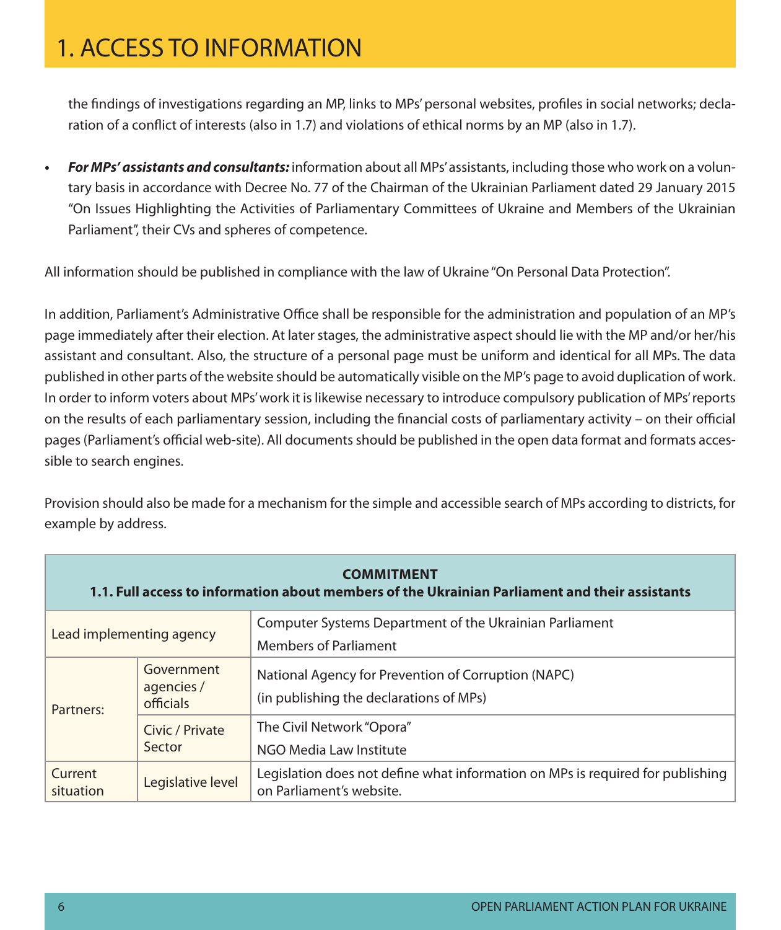the findings of investigations regarding an MP, links to MPs' personal websites, profiles in social networks; declaration of a conflict of interests (also in 1.7) and violations of ethical norms by an MP (also in 1.7).

**• For MPs' assistants and consultants:** information about all MPs' assistants, including those who work on a voluntary basis in accordance with Decree No. 77 of the Chairman of the Ukrainian Parliament dated 29 January 2015 "On Issues Highlighting the Activities of Parliamentary Committees of Ukraine and Members of the Ukrainian Parliament", their CVs and spheres of competence.

All information should be published in compliance with the law of Ukraine "On Personal Data Protection".

In addition, Parliament's Administrative Office shall be responsible for the administration and population of an MP's page immediately after their election. At later stages, the administrative aspect should lie with the MP and/or her/his assistant and consultant. Also, the structure of a personal page must be uniform and identical for all MPs. The data published in other parts of the website should be automatically visible on the MP's page to avoid duplication of work. In order to inform voters about MPs' work it is likewise necessary to introduce compulsory publication of MPs' reports on the results of each parliamentary session, including the financial costs of parliamentary activity – on their official pages (Parliament's official web-site). All documents should be published in the open data format and formats accessible to search engines.

Provision should also be made for a mechanism for the simple and accessible search of MPs according to districts, for example by address.

| <b>COMMITMENT</b><br>1.1. Full access to information about members of the Ukrainian Parliament and their assistants |                                       |                                                                                                            |  |  |
|---------------------------------------------------------------------------------------------------------------------|---------------------------------------|------------------------------------------------------------------------------------------------------------|--|--|
| Lead implementing agency                                                                                            |                                       | Computer Systems Department of the Ukrainian Parliament                                                    |  |  |
|                                                                                                                     |                                       | <b>Members of Parliament</b>                                                                               |  |  |
| Partners:                                                                                                           | Government<br>agencies /<br>officials | National Agency for Prevention of Corruption (NAPC)<br>(in publishing the declarations of MPs)             |  |  |
|                                                                                                                     | Civic / Private<br>Sector             | The Civil Network "Opora"                                                                                  |  |  |
|                                                                                                                     |                                       | NGO Media Law Institute                                                                                    |  |  |
| Current<br>situation                                                                                                | Legislative level                     | Legislation does not define what information on MPs is required for publishing<br>on Parliament's website. |  |  |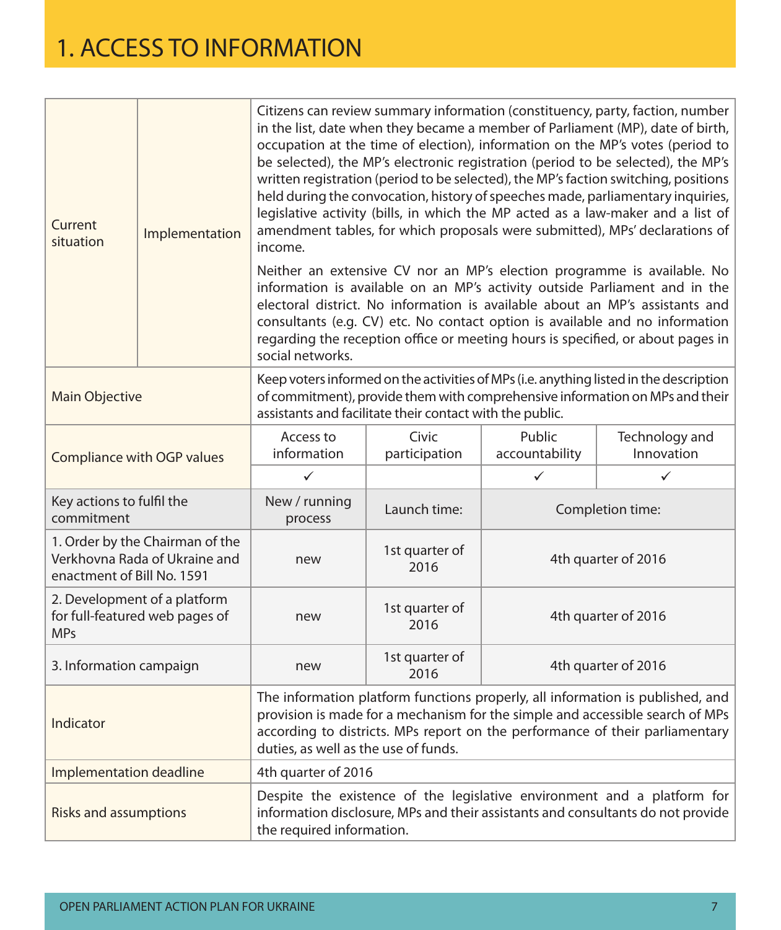| Current<br>situation                                                                           | Implementation | Citizens can review summary information (constituency, party, faction, number<br>in the list, date when they became a member of Parliament (MP), date of birth,<br>occupation at the time of election), information on the MP's votes (period to<br>be selected), the MP's electronic registration (period to be selected), the MP's<br>written registration (period to be selected), the MP's faction switching, positions<br>held during the convocation, history of speeches made, parliamentary inquiries,<br>legislative activity (bills, in which the MP acted as a law-maker and a list of<br>amendment tables, for which proposals were submitted), MPs' declarations of<br>income.<br>Neither an extensive CV nor an MP's election programme is available. No<br>information is available on an MP's activity outside Parliament and in the<br>electoral district. No information is available about an MP's assistants and<br>consultants (e.g. CV) etc. No contact option is available and no information<br>regarding the reception office or meeting hours is specified, or about pages in<br>social networks. |                        |                          |                              |
|------------------------------------------------------------------------------------------------|----------------|-----------------------------------------------------------------------------------------------------------------------------------------------------------------------------------------------------------------------------------------------------------------------------------------------------------------------------------------------------------------------------------------------------------------------------------------------------------------------------------------------------------------------------------------------------------------------------------------------------------------------------------------------------------------------------------------------------------------------------------------------------------------------------------------------------------------------------------------------------------------------------------------------------------------------------------------------------------------------------------------------------------------------------------------------------------------------------------------------------------------------------|------------------------|--------------------------|------------------------------|
| <b>Main Objective</b>                                                                          |                | Keep voters informed on the activities of MPs (i.e. anything listed in the description<br>of commitment), provide them with comprehensive information on MPs and their<br>assistants and facilitate their contact with the public.                                                                                                                                                                                                                                                                                                                                                                                                                                                                                                                                                                                                                                                                                                                                                                                                                                                                                          |                        |                          |                              |
| Compliance with OGP values                                                                     |                | Access to<br>information                                                                                                                                                                                                                                                                                                                                                                                                                                                                                                                                                                                                                                                                                                                                                                                                                                                                                                                                                                                                                                                                                                    | Civic<br>participation | Public<br>accountability | Technology and<br>Innovation |
|                                                                                                |                | $\checkmark$                                                                                                                                                                                                                                                                                                                                                                                                                                                                                                                                                                                                                                                                                                                                                                                                                                                                                                                                                                                                                                                                                                                |                        | $\checkmark$             | $\checkmark$                 |
| Key actions to fulfil the<br>commitment                                                        |                | New / running<br>process                                                                                                                                                                                                                                                                                                                                                                                                                                                                                                                                                                                                                                                                                                                                                                                                                                                                                                                                                                                                                                                                                                    | Launch time:           | Completion time:         |                              |
| 1. Order by the Chairman of the<br>Verkhovna Rada of Ukraine and<br>enactment of Bill No. 1591 |                | new                                                                                                                                                                                                                                                                                                                                                                                                                                                                                                                                                                                                                                                                                                                                                                                                                                                                                                                                                                                                                                                                                                                         | 1st quarter of<br>2016 | 4th quarter of 2016      |                              |
| 2. Development of a platform<br>for full-featured web pages of<br><b>MPs</b>                   |                | new                                                                                                                                                                                                                                                                                                                                                                                                                                                                                                                                                                                                                                                                                                                                                                                                                                                                                                                                                                                                                                                                                                                         | 1st quarter of<br>2016 | 4th quarter of 2016      |                              |
| 3. Information campaign                                                                        |                | new                                                                                                                                                                                                                                                                                                                                                                                                                                                                                                                                                                                                                                                                                                                                                                                                                                                                                                                                                                                                                                                                                                                         | 1st quarter of<br>2016 | 4th quarter of 2016      |                              |
| Indicator                                                                                      |                | The information platform functions properly, all information is published, and<br>provision is made for a mechanism for the simple and accessible search of MPs<br>according to districts. MPs report on the performance of their parliamentary<br>duties, as well as the use of funds.                                                                                                                                                                                                                                                                                                                                                                                                                                                                                                                                                                                                                                                                                                                                                                                                                                     |                        |                          |                              |
| Implementation deadline                                                                        |                | 4th quarter of 2016                                                                                                                                                                                                                                                                                                                                                                                                                                                                                                                                                                                                                                                                                                                                                                                                                                                                                                                                                                                                                                                                                                         |                        |                          |                              |
| <b>Risks and assumptions</b>                                                                   |                | Despite the existence of the legislative environment and a platform for<br>information disclosure, MPs and their assistants and consultants do not provide<br>the required information.                                                                                                                                                                                                                                                                                                                                                                                                                                                                                                                                                                                                                                                                                                                                                                                                                                                                                                                                     |                        |                          |                              |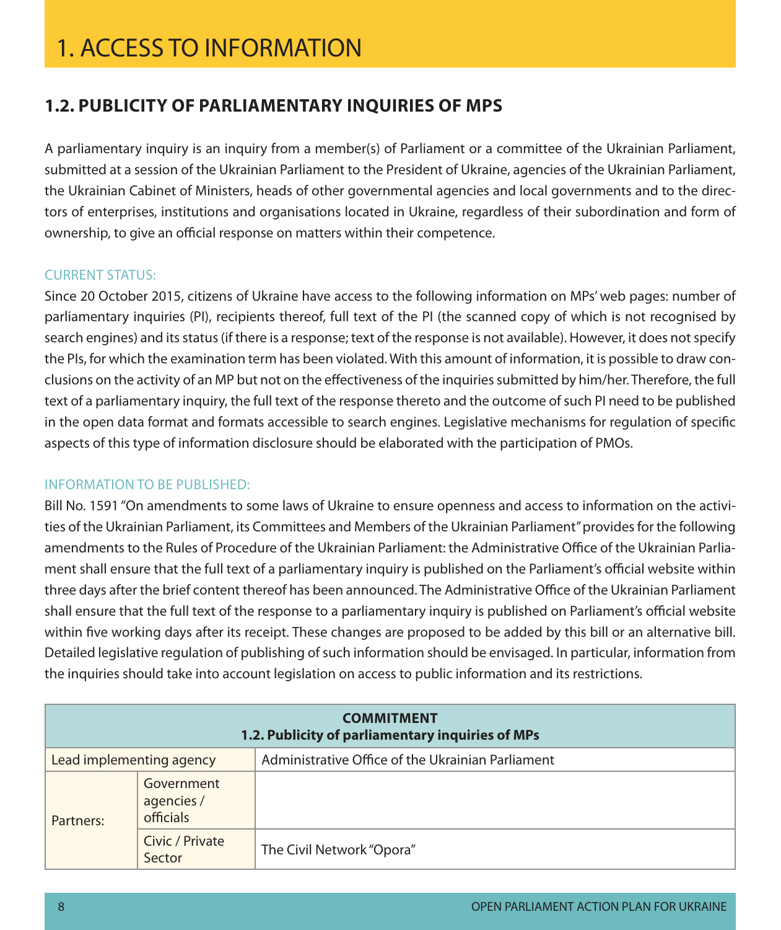### **1.2. Publicity of parliamentary inquiries of MPs**

A parliamentary inquiry is an inquiry from a member(s) of Parliament or a committee of the Ukrainian Parliament, submitted at a session of the Ukrainian Parliament to the President of Ukraine, agencies of the Ukrainian Parliament, the Ukrainian Cabinet of Ministers, heads of other governmental agencies and local governments and to the directors of enterprises, institutions and organisations located in Ukraine, regardless of their subordination and form of ownership, to give an official response on matters within their competence.

#### Current status:

Since 20 October 2015, citizens of Ukraine have access to the following information on MPs' web pages: number of parliamentary inquiries (PI), recipients thereof, full text of the PI (the scanned copy of which is not recognised by search engines) and its status (if there is a response; text of the response is not available). However, it does not specify the PIs, for which the examination term has been violated. With this amount of information, it is possible to draw conclusions on the activity of an MP but not on the effectiveness of the inquiries submitted by him/her. Therefore, the full text of a parliamentary inquiry, the full text of the response thereto and the outcome of such PI need to be published in the open data format and formats accessible to search engines. Legislative mechanisms for regulation of specific aspects of this type of information disclosure should be elaborated with the participation of PMOs.

#### Information to be published:

Bill No. 1591 "On amendments to some laws of Ukraine to ensure openness and access to information on the activities of the Ukrainian Parliament, its Committees and Members of the Ukrainian Parliament" provides for the following amendments to the Rules of Procedure of the Ukrainian Parliament: the Administrative Office of the Ukrainian Parliament shall ensure that the full text of a parliamentary inquiry is published on the Parliament's official website within three days after the brief content thereof has been announced. The Administrative Office of the Ukrainian Parliament shall ensure that the full text of the response to a parliamentary inquiry is published on Parliament's official website within five working days after its receipt. These changes are proposed to be added by this bill or an alternative bill. Detailed legislative regulation of publishing of such information should be envisaged. In particular, information from the inquiries should take into account legislation on access to public information and its restrictions.

| <b>COMMITMENT</b><br>1.2. Publicity of parliamentary inquiries of MPs |                                       |                                                   |  |
|-----------------------------------------------------------------------|---------------------------------------|---------------------------------------------------|--|
| Lead implementing agency                                              |                                       | Administrative Office of the Ukrainian Parliament |  |
| Partners:                                                             | Government<br>agencies /<br>officials |                                                   |  |
|                                                                       | Civic / Private<br>Sector             | The Civil Network "Opora"                         |  |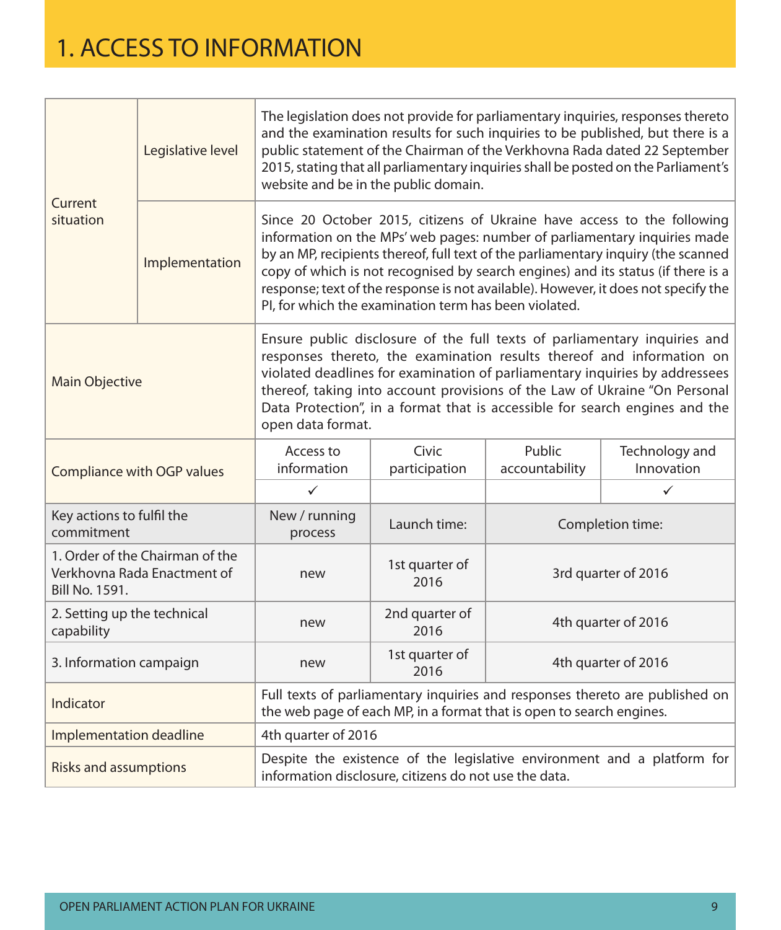| Current<br>situation                                                                    | Legislative level | The legislation does not provide for parliamentary inquiries, responses thereto<br>and the examination results for such inquiries to be published, but there is a<br>public statement of the Chairman of the Verkhovna Rada dated 22 September<br>2015, stating that all parliamentary inquiries shall be posted on the Parliament's<br>website and be in the public domain.                                        |                                                                                                                                                                                                                                                                                                                                                                                                                                                                              |                          |                              |  |
|-----------------------------------------------------------------------------------------|-------------------|---------------------------------------------------------------------------------------------------------------------------------------------------------------------------------------------------------------------------------------------------------------------------------------------------------------------------------------------------------------------------------------------------------------------|------------------------------------------------------------------------------------------------------------------------------------------------------------------------------------------------------------------------------------------------------------------------------------------------------------------------------------------------------------------------------------------------------------------------------------------------------------------------------|--------------------------|------------------------------|--|
|                                                                                         | Implementation    |                                                                                                                                                                                                                                                                                                                                                                                                                     | Since 20 October 2015, citizens of Ukraine have access to the following<br>information on the MPs' web pages: number of parliamentary inquiries made<br>by an MP, recipients thereof, full text of the parliamentary inquiry (the scanned<br>copy of which is not recognised by search engines) and its status (if there is a<br>response; text of the response is not available). However, it does not specify the<br>PI, for which the examination term has been violated. |                          |                              |  |
| <b>Main Objective</b>                                                                   |                   | Ensure public disclosure of the full texts of parliamentary inquiries and<br>responses thereto, the examination results thereof and information on<br>violated deadlines for examination of parliamentary inquiries by addressees<br>thereof, taking into account provisions of the Law of Ukraine "On Personal<br>Data Protection", in a format that is accessible for search engines and the<br>open data format. |                                                                                                                                                                                                                                                                                                                                                                                                                                                                              |                          |                              |  |
| Compliance with OGP values                                                              |                   | Access to<br>information                                                                                                                                                                                                                                                                                                                                                                                            | Civic<br>participation                                                                                                                                                                                                                                                                                                                                                                                                                                                       | Public<br>accountability | Technology and<br>Innovation |  |
|                                                                                         |                   | $\checkmark$                                                                                                                                                                                                                                                                                                                                                                                                        |                                                                                                                                                                                                                                                                                                                                                                                                                                                                              |                          | $\checkmark$                 |  |
| Key actions to fulfil the<br>commitment                                                 |                   | New / running<br>process                                                                                                                                                                                                                                                                                                                                                                                            | Launch time:                                                                                                                                                                                                                                                                                                                                                                                                                                                                 | Completion time:         |                              |  |
| 1. Order of the Chairman of the<br>Verkhovna Rada Enactment of<br><b>Bill No. 1591.</b> |                   | new                                                                                                                                                                                                                                                                                                                                                                                                                 | 1st quarter of<br>2016                                                                                                                                                                                                                                                                                                                                                                                                                                                       | 3rd quarter of 2016      |                              |  |
| 2. Setting up the technical<br>capability                                               |                   | new                                                                                                                                                                                                                                                                                                                                                                                                                 | 2nd quarter of<br>2016                                                                                                                                                                                                                                                                                                                                                                                                                                                       | 4th quarter of 2016      |                              |  |
| 3. Information campaign                                                                 |                   | new                                                                                                                                                                                                                                                                                                                                                                                                                 | 1st quarter of<br>2016                                                                                                                                                                                                                                                                                                                                                                                                                                                       | 4th quarter of 2016      |                              |  |
| Indicator                                                                               |                   | Full texts of parliamentary inquiries and responses thereto are published on<br>the web page of each MP, in a format that is open to search engines.                                                                                                                                                                                                                                                                |                                                                                                                                                                                                                                                                                                                                                                                                                                                                              |                          |                              |  |
| Implementation deadline                                                                 |                   | 4th quarter of 2016                                                                                                                                                                                                                                                                                                                                                                                                 |                                                                                                                                                                                                                                                                                                                                                                                                                                                                              |                          |                              |  |
| <b>Risks and assumptions</b>                                                            |                   | Despite the existence of the legislative environment and a platform for<br>information disclosure, citizens do not use the data.                                                                                                                                                                                                                                                                                    |                                                                                                                                                                                                                                                                                                                                                                                                                                                                              |                          |                              |  |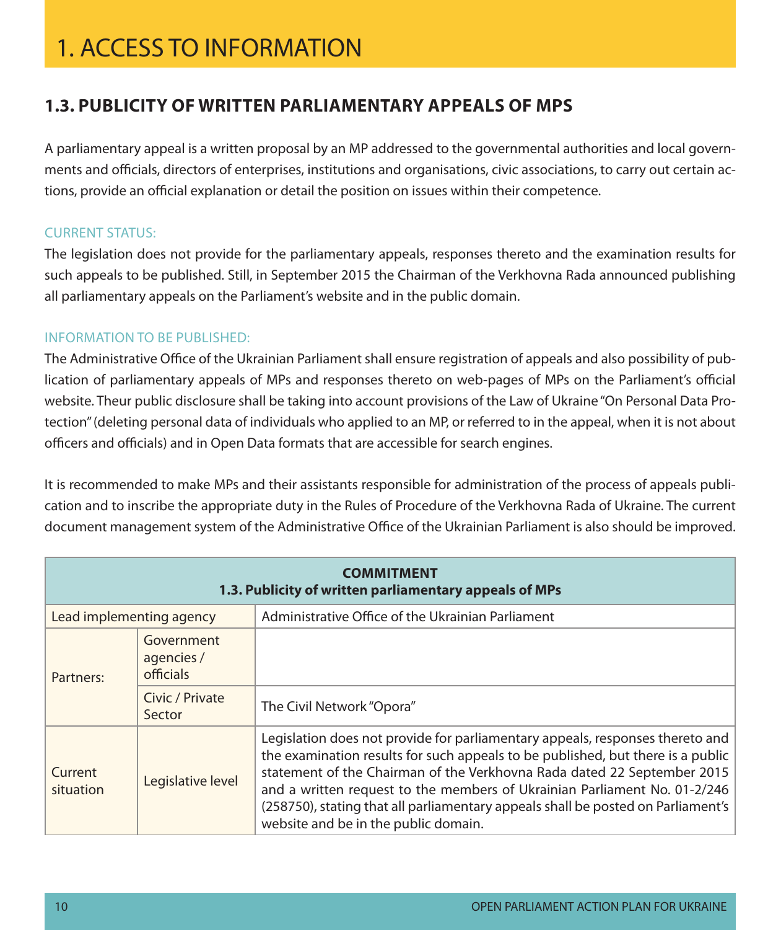### **1.3. Publicity of written parliamentary appeals of MPs**

A parliamentary appeal is a written proposal by an MP addressed to the governmental authorities and local governments and officials, directors of enterprises, institutions and organisations, civic associations, to carry out certain actions, provide an official explanation or detail the position on issues within their competence.

#### **CURRENT STATUS:**

The legislation does not provide for the parliamentary appeals, responses thereto and the examination results for such appeals to be published. Still, in September 2015 the Chairman of the Verkhovna Rada announced publishing all parliamentary appeals on the Parliament's website and in the public domain.

#### Information to be published:

The Administrative Office of the Ukrainian Parliament shall ensure registration of appeals and also possibility of publication of parliamentary appeals of MPs and responses thereto on web-pages of MPs on the Parliament's official website. Theur public disclosure shall be taking into account provisions of the Law of Ukraine "On Personal Data Protection" (deleting personal data of individuals who applied to an MP, or referred to in the appeal, when it is not about officers and officials) and in Open Data formats that are accessible for search engines.

It is recommended to make MPs and their assistants responsible for administration of the process of appeals publication and to inscribe the appropriate duty in the Rules of Procedure of the Verkhovna Rada of Ukraine. The current document management system of the Administrative Office of the Ukrainian Parliament is also should be improved.

|                          | <b>COMMITMENT</b><br>1.3. Publicity of written parliamentary appeals of MPs |                                                                                                                                                                                                                                                                                                                                                                                                                                                      |  |  |
|--------------------------|-----------------------------------------------------------------------------|------------------------------------------------------------------------------------------------------------------------------------------------------------------------------------------------------------------------------------------------------------------------------------------------------------------------------------------------------------------------------------------------------------------------------------------------------|--|--|
| Lead implementing agency |                                                                             | Administrative Office of the Ukrainian Parliament                                                                                                                                                                                                                                                                                                                                                                                                    |  |  |
| Partners:                | Government<br>agencies /<br>officials                                       |                                                                                                                                                                                                                                                                                                                                                                                                                                                      |  |  |
|                          | Civic / Private<br>Sector                                                   | The Civil Network "Opora"                                                                                                                                                                                                                                                                                                                                                                                                                            |  |  |
| Current<br>situation     | Legislative level                                                           | Legislation does not provide for parliamentary appeals, responses thereto and<br>the examination results for such appeals to be published, but there is a public<br>statement of the Chairman of the Verkhovna Rada dated 22 September 2015<br>and a written request to the members of Ukrainian Parliament No. 01-2/246<br>(258750), stating that all parliamentary appeals shall be posted on Parliament's<br>website and be in the public domain. |  |  |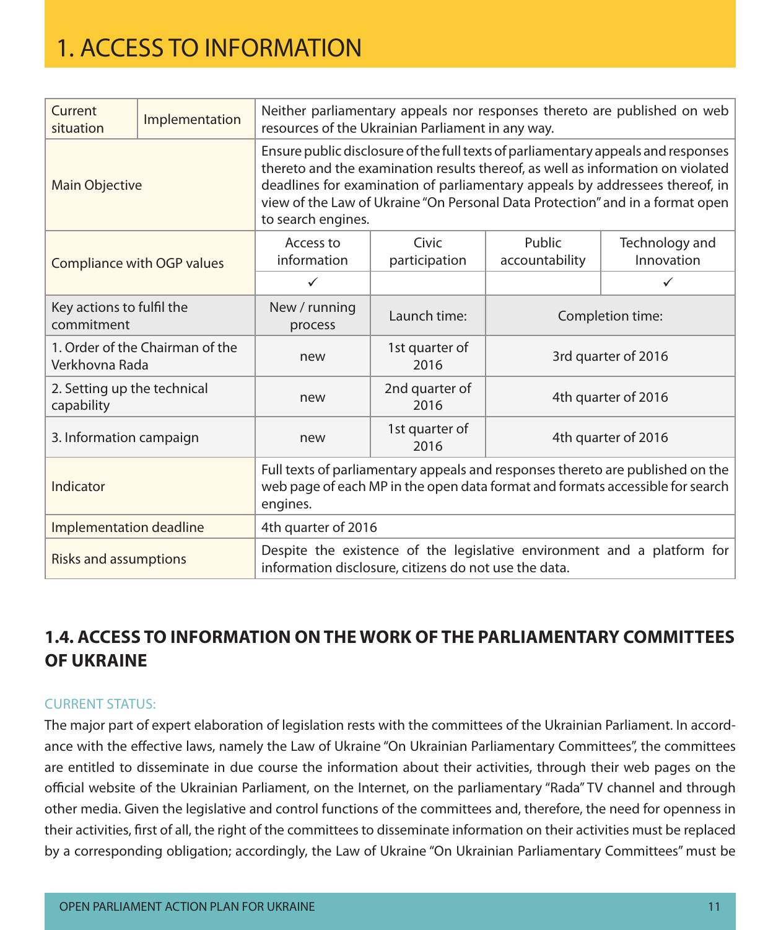| Current<br>situation                                                                                                                                             | Implementation                  | Neither parliamentary appeals nor responses thereto are published on web<br>resources of the Ukrainian Parliament in any way.                                                                                                                                                                                                                               |                        |                          |                              |
|------------------------------------------------------------------------------------------------------------------------------------------------------------------|---------------------------------|-------------------------------------------------------------------------------------------------------------------------------------------------------------------------------------------------------------------------------------------------------------------------------------------------------------------------------------------------------------|------------------------|--------------------------|------------------------------|
| <b>Main Objective</b>                                                                                                                                            |                                 | Ensure public disclosure of the full texts of parliamentary appeals and responses<br>thereto and the examination results thereof, as well as information on violated<br>deadlines for examination of parliamentary appeals by addressees thereof, in<br>view of the Law of Ukraine "On Personal Data Protection" and in a format open<br>to search engines. |                        |                          |                              |
|                                                                                                                                                                  | Compliance with OGP values      | Access to<br>information                                                                                                                                                                                                                                                                                                                                    | Civic<br>participation | Public<br>accountability | Technology and<br>Innovation |
|                                                                                                                                                                  |                                 | $\checkmark$                                                                                                                                                                                                                                                                                                                                                |                        |                          | $\checkmark$                 |
| Key actions to fulfil the<br>commitment                                                                                                                          |                                 | New / running<br>process                                                                                                                                                                                                                                                                                                                                    | Launch time:           | Completion time:         |                              |
| Verkhovna Rada                                                                                                                                                   | 1. Order of the Chairman of the | new                                                                                                                                                                                                                                                                                                                                                         | 1st quarter of<br>2016 | 3rd quarter of 2016      |                              |
| 2. Setting up the technical<br>capability                                                                                                                        |                                 | new                                                                                                                                                                                                                                                                                                                                                         | 2nd quarter of<br>2016 | 4th quarter of 2016      |                              |
| 3. Information campaign                                                                                                                                          |                                 | new                                                                                                                                                                                                                                                                                                                                                         | 1st quarter of<br>2016 | 4th quarter of 2016      |                              |
| Indicator                                                                                                                                                        |                                 | Full texts of parliamentary appeals and responses thereto are published on the<br>web page of each MP in the open data format and formats accessible for search<br>engines.                                                                                                                                                                                 |                        |                          |                              |
| Implementation deadline                                                                                                                                          |                                 | 4th quarter of 2016                                                                                                                                                                                                                                                                                                                                         |                        |                          |                              |
| Despite the existence of the legislative environment and a platform for<br><b>Risks and assumptions</b><br>information disclosure, citizens do not use the data. |                                 |                                                                                                                                                                                                                                                                                                                                                             |                        |                          |                              |

### **1.4. Access to information onthe work of the parliamentary committees of Ukraine**

#### Current status:

The major part of expert elaboration of legislation rests with the committees of the Ukrainian Parliament. In accordance with the effective laws, namely the Law of Ukraine "On Ukrainian Parliamentary Committees", the committees are entitled to disseminate in due course the information about their activities, through their web pages on the official website of the Ukrainian Parliament, on the Internet, on the parliamentary "Rada" TV channel and through other media. Given the legislative and control functions of the committees and, therefore, the need for openness in their activities, first of all, the right of the committees to disseminate information on their activities must be replaced by a corresponding obligation; accordingly, the Law of Ukraine "On Ukrainian Parliamentary Committees" must be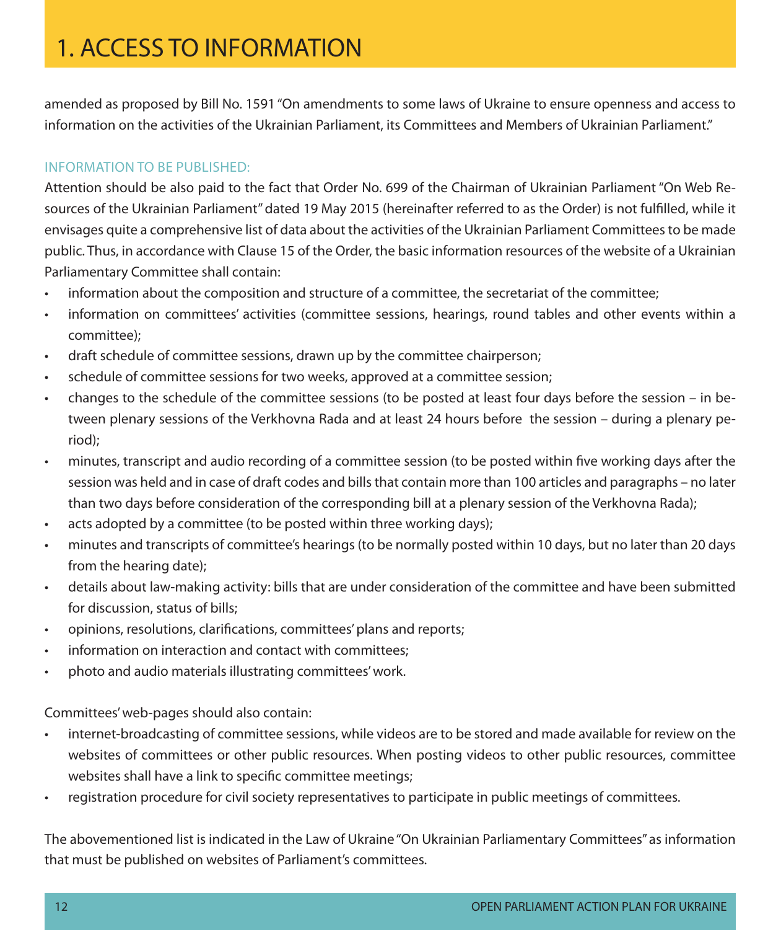amended as proposed by Bill No. 1591 "On amendments to some laws of Ukraine to ensure openness and access to information on the activities of the Ukrainian Parliament, its Committees and Members of Ukrainian Parliament."

#### Information to be published:

Attention should be also paid to the fact that Order No. 699 of the Chairman of Ukrainian Parliament "On Web Resources of the Ukrainian Parliament" dated 19 May 2015 (hereinafter referred to as the Order) is not fulfilled, while it envisages quite a comprehensive list of data about the activities of the Ukrainian Parliament Committees to be made public. Thus, in accordance with Clause 15 of the Order, the basic information resources of the website of a Ukrainian Parliamentary Committee shall contain:

- information about the composition and structure of a committee, the secretariat of the committee;
- • information on committees' activities (committee sessions, hearings, round tables and other events within a committee);
- draft schedule of committee sessions, drawn up by the committee chairperson;
- schedule of committee sessions for two weeks, approved at a committee session;
- changes to the schedule of the committee sessions (to be posted at least four days before the session in between plenary sessions of the Verkhovna Rada and at least 24 hours before the session – during a plenary period);
- minutes, transcript and audio recording of a committee session (to be posted within five working days after the session was held and in case of draft codes and bills that contain more than 100 articles and paragraphs – no later than two days before consideration of the corresponding bill at a plenary session of the Verkhovna Rada);
- acts adopted by a committee (to be posted within three working days);
- minutes and transcripts of committee's hearings (to be normally posted within 10 days, but no later than 20 days from the hearing date);
- • details about law-making activity: bills that are under consideration of the committee and have been submitted for discussion, status of bills;
- opinions, resolutions, clarifications, committees' plans and reports;
- • information on interaction and contact with committees;
- photo and audio materials illustrating committees' work.

Committees' web-pages should also contain:

- internet-broadcasting of committee sessions, while videos are to be stored and made available for review on the websites of committees or other public resources. When posting videos to other public resources, committee websites shall have a link to specific committee meetings;
- registration procedure for civil society representatives to participate in public meetings of committees.

The abovementioned list is indicated in the Law of Ukraine "On Ukrainian Parliamentary Committees" as information that must be published on websites of Parliament's committees.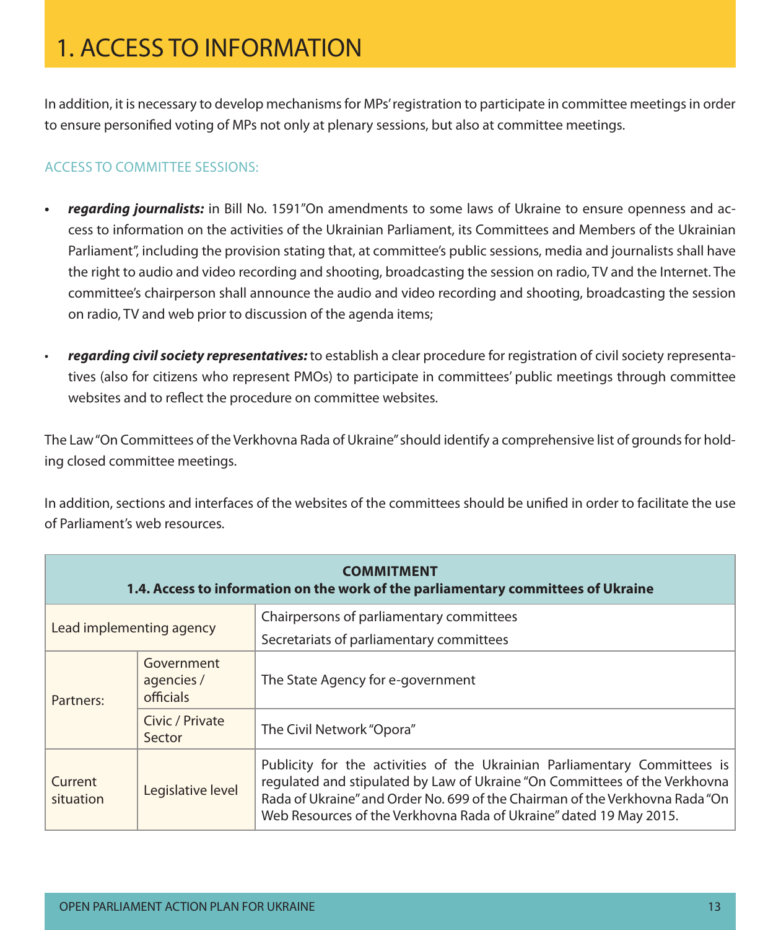In addition, it is necessary to develop mechanisms for MPs' registration to participate in committee meetings in order to ensure personified voting of MPs not only at plenary sessions, but also at committee meetings.

#### Access to committee sessions:

- **• regarding journalists:** in Bill No. 1591"On amendments to some laws of Ukraine to ensure openness and access to information on the activities of the Ukrainian Parliament, its Committees and Members of the Ukrainian Parliament", including the provision stating that, at committee's public sessions, media and journalists shall have the right to audio and video recording and shooting, broadcasting the session on radio, TV and the Internet. The committee's chairperson shall announce the audio and video recording and shooting, broadcasting the session on radio, TV and web prior to discussion of the agenda items;
- **regarding civil society representatives:** to establish a clear procedure for registration of civil society representatives (also for citizens who represent PMOs) to participate in committees' public meetings through committee websites and to reflect the procedure on committee websites.

The Law "On Committees of the Verkhovna Rada of Ukraine" should identify a comprehensive list of grounds for holding closed committee meetings.

In addition, sections and interfaces of the websites of the committees should be unified in order to facilitate the use of Parliament's web resources.

|                          | <b>COMMITMENT</b><br>1.4. Access to information on the work of the parliamentary committees of Ukraine |                                                                                                                                                                                                                                                                                                               |  |  |
|--------------------------|--------------------------------------------------------------------------------------------------------|---------------------------------------------------------------------------------------------------------------------------------------------------------------------------------------------------------------------------------------------------------------------------------------------------------------|--|--|
| Lead implementing agency |                                                                                                        | Chairpersons of parliamentary committees                                                                                                                                                                                                                                                                      |  |  |
|                          |                                                                                                        | Secretariats of parliamentary committees                                                                                                                                                                                                                                                                      |  |  |
| Partners:                | Government<br>agencies /<br>officials                                                                  | The State Agency for e-government                                                                                                                                                                                                                                                                             |  |  |
|                          | Civic / Private<br>Sector                                                                              | The Civil Network "Opora"                                                                                                                                                                                                                                                                                     |  |  |
| Current<br>situation     | Legislative level                                                                                      | Publicity for the activities of the Ukrainian Parliamentary Committees is<br>regulated and stipulated by Law of Ukraine "On Committees of the Verkhovna<br>Rada of Ukraine" and Order No. 699 of the Chairman of the Verkhovna Rada "On<br>Web Resources of the Verkhovna Rada of Ukraine" dated 19 May 2015. |  |  |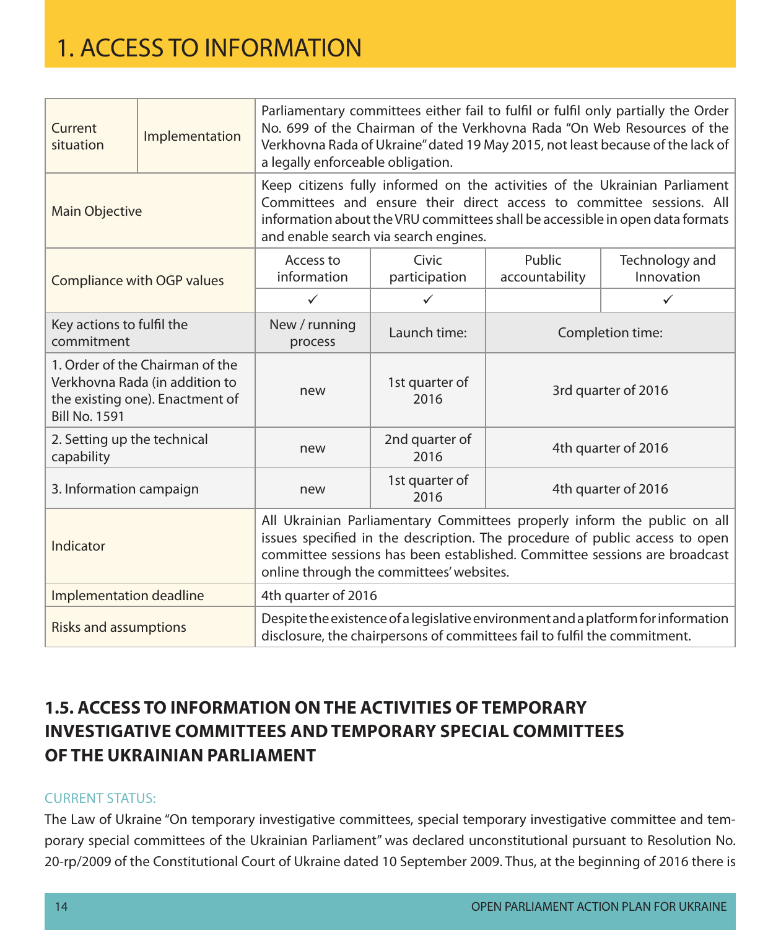| Current<br>situation                                                                                                                                                                           | Implementation                    | Parliamentary committees either fail to fulfil or fulfil only partially the Order<br>No. 699 of the Chairman of the Verkhovna Rada "On Web Resources of the<br>Verkhovna Rada of Ukraine" dated 19 May 2015, not least because of the lack of<br>a legally enforceable obligation. |                                                                                                                                                                                                                                                                              |                          |                              |  |
|------------------------------------------------------------------------------------------------------------------------------------------------------------------------------------------------|-----------------------------------|------------------------------------------------------------------------------------------------------------------------------------------------------------------------------------------------------------------------------------------------------------------------------------|------------------------------------------------------------------------------------------------------------------------------------------------------------------------------------------------------------------------------------------------------------------------------|--------------------------|------------------------------|--|
| Main Objective                                                                                                                                                                                 |                                   |                                                                                                                                                                                                                                                                                    | Keep citizens fully informed on the activities of the Ukrainian Parliament<br>Committees and ensure their direct access to committee sessions. All<br>information about the VRU committees shall be accessible in open data formats<br>and enable search via search engines. |                          |                              |  |
|                                                                                                                                                                                                | <b>Compliance with OGP values</b> | Access to<br>information                                                                                                                                                                                                                                                           | Civic<br>participation                                                                                                                                                                                                                                                       | Public<br>accountability | Technology and<br>Innovation |  |
|                                                                                                                                                                                                |                                   | $\checkmark$                                                                                                                                                                                                                                                                       | $\checkmark$                                                                                                                                                                                                                                                                 |                          | ✓                            |  |
| Key actions to fulfil the<br>commitment                                                                                                                                                        |                                   | New / running<br>process                                                                                                                                                                                                                                                           | Launch time:                                                                                                                                                                                                                                                                 | Completion time:         |                              |  |
| 1. Order of the Chairman of the<br>Verkhovna Rada (in addition to<br>the existing one). Enactment of<br><b>Bill No. 1591</b>                                                                   |                                   | new                                                                                                                                                                                                                                                                                | 1st quarter of<br>2016                                                                                                                                                                                                                                                       | 3rd quarter of 2016      |                              |  |
| 2nd quarter of<br>2. Setting up the technical<br>new<br>capability<br>2016                                                                                                                     |                                   | 4th quarter of 2016                                                                                                                                                                                                                                                                |                                                                                                                                                                                                                                                                              |                          |                              |  |
| 3. Information campaign                                                                                                                                                                        |                                   | new                                                                                                                                                                                                                                                                                | 1st quarter of<br>2016                                                                                                                                                                                                                                                       | 4th quarter of 2016      |                              |  |
| Indicator                                                                                                                                                                                      |                                   | All Ukrainian Parliamentary Committees properly inform the public on all<br>issues specified in the description. The procedure of public access to open<br>committee sessions has been established. Committee sessions are broadcast<br>online through the committees' websites.   |                                                                                                                                                                                                                                                                              |                          |                              |  |
| Implementation deadline                                                                                                                                                                        |                                   | 4th quarter of 2016                                                                                                                                                                                                                                                                |                                                                                                                                                                                                                                                                              |                          |                              |  |
| Despite the existence of a legislative environment and a platform for information<br><b>Risks and assumptions</b><br>disclosure, the chairpersons of committees fail to fulfil the commitment. |                                   |                                                                                                                                                                                                                                                                                    |                                                                                                                                                                                                                                                                              |                          |                              |  |

### **1.5. Access to information onthe activities of temporary investigative committees andtemporary special committees of the Ukrainian Parliament**

#### **CURRENT STATUS:**

The Law of Ukraine "On temporary investigative committees, special temporary investigative committee and temporary special committees of the Ukrainian Parliament" was declared unconstitutional pursuant to Resolution No. 20-rp/2009 of the Constitutional Court of Ukraine dated 10 September 2009. Thus, at the beginning of 2016 there is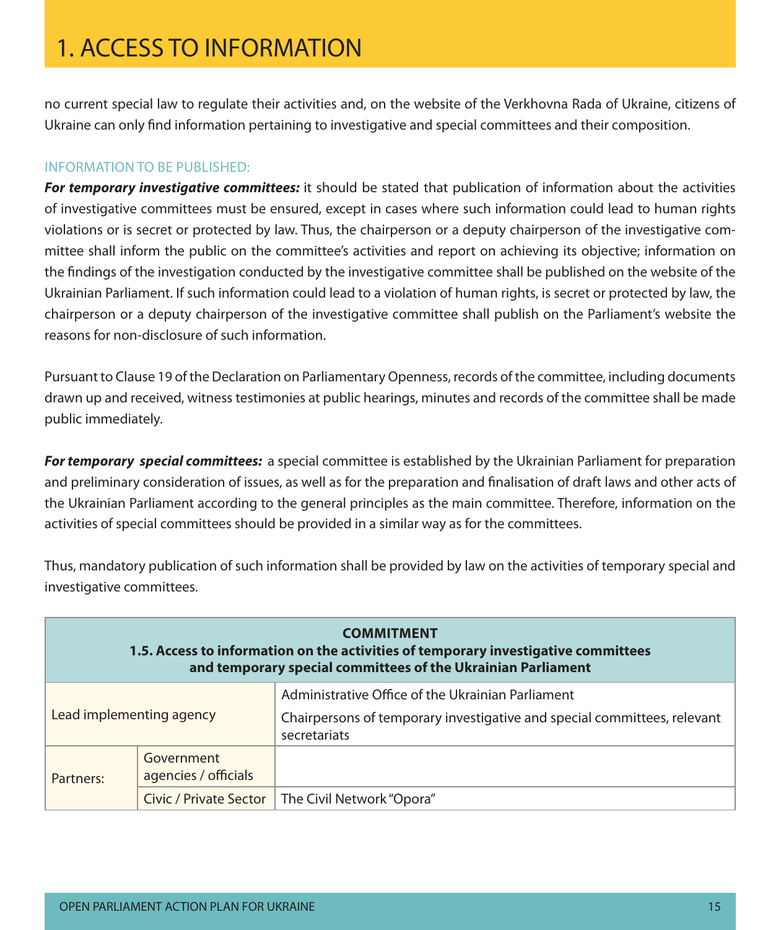no current special law to regulate their activities and, on the website of the Verkhovna Rada of Ukraine, citizens of Ukraine can only find information pertaining to investigative and special committees and their composition.

#### Information to be published:

**For temporary investigative committees:** it should be stated that publication of information about the activities of investigative committees must be ensured, except in cases where such information could lead to human rights violations or is secret or protected by law. Thus, the chairperson or a deputy chairperson of the investigative committee shall inform the public on the committee's activities and report on achieving its objective; information on the findings of the investigation conducted by the investigative committee shall be published on the website of the Ukrainian Parliament. If such information could lead to a violation of human rights, is secret or protected by law, the chairperson or a deputy chairperson of the investigative committee shall publish on the Parliament's website the reasons for non-disclosure of such information.

Pursuant to Clause 19 of the Declaration on Parliamentary Openness, records of the committee, including documents drawn up and received, witness testimonies at public hearings, minutes and records of the committee shall be made public immediately.

**For temporary special committees:** a special committee is established by the Ukrainian Parliament for preparation and preliminary consideration of issues, as well as for the preparation and finalisation of draft laws and other acts of the Ukrainian Parliament according to the general principles as the main committee. Therefore, information on the activities of special committees should be provided in a similar way as for the committees.

Thus, mandatory publication of such information shall be provided by law on the activities of temporary special and investigative committees.

| <b>COMMITMENT</b><br>1.5. Access to information on the activities of temporary investigative committees<br>and temporary special committees of the Ukrainian Parliament |                                    |                                                                                                                                               |  |
|-------------------------------------------------------------------------------------------------------------------------------------------------------------------------|------------------------------------|-----------------------------------------------------------------------------------------------------------------------------------------------|--|
| Lead implementing agency                                                                                                                                                |                                    | Administrative Office of the Ukrainian Parliament<br>Chairpersons of temporary investigative and special committees, relevant<br>secretariats |  |
| Partners:                                                                                                                                                               | Government<br>agencies / officials |                                                                                                                                               |  |
|                                                                                                                                                                         | Civic / Private Sector             | The Civil Network "Opora"                                                                                                                     |  |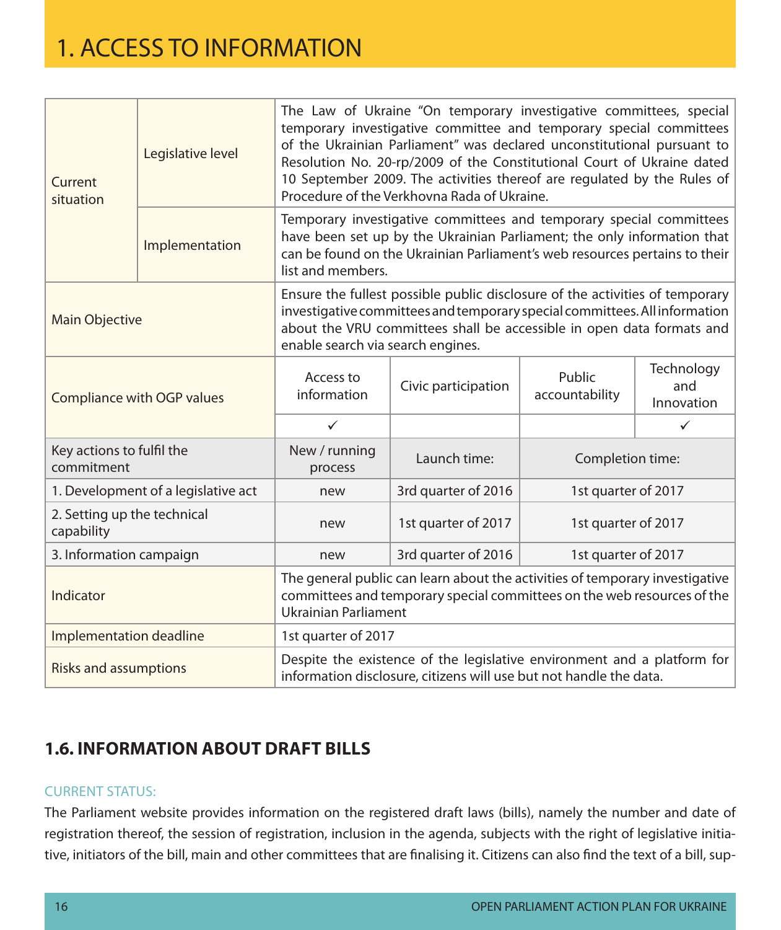| Current<br>situation                      | Legislative level | The Law of Ukraine "On temporary investigative committees, special<br>temporary investigative committee and temporary special committees<br>of the Ukrainian Parliament" was declared unconstitutional pursuant to<br>Resolution No. 20-rp/2009 of the Constitutional Court of Ukraine dated<br>10 September 2009. The activities thereof are regulated by the Rules of<br>Procedure of the Verkhovna Rada of Ukraine. |                                                                                                                                                                                                                                                   |                          |                                 |  |
|-------------------------------------------|-------------------|------------------------------------------------------------------------------------------------------------------------------------------------------------------------------------------------------------------------------------------------------------------------------------------------------------------------------------------------------------------------------------------------------------------------|---------------------------------------------------------------------------------------------------------------------------------------------------------------------------------------------------------------------------------------------------|--------------------------|---------------------------------|--|
|                                           | Implementation    |                                                                                                                                                                                                                                                                                                                                                                                                                        | Temporary investigative committees and temporary special committees<br>have been set up by the Ukrainian Parliament; the only information that<br>can be found on the Ukrainian Parliament's web resources pertains to their<br>list and members. |                          |                                 |  |
| <b>Main Objective</b>                     |                   | Ensure the fullest possible public disclosure of the activities of temporary<br>investigative committees and temporary special committees. All information<br>about the VRU committees shall be accessible in open data formats and<br>enable search via search engines.                                                                                                                                               |                                                                                                                                                                                                                                                   |                          |                                 |  |
| Compliance with OGP values                |                   | Access to<br>information                                                                                                                                                                                                                                                                                                                                                                                               | Civic participation                                                                                                                                                                                                                               | Public<br>accountability | Technology<br>and<br>Innovation |  |
|                                           |                   | ✓                                                                                                                                                                                                                                                                                                                                                                                                                      |                                                                                                                                                                                                                                                   |                          | ✓                               |  |
| Key actions to fulfil the<br>commitment   |                   | New / running<br>process                                                                                                                                                                                                                                                                                                                                                                                               | Launch time:                                                                                                                                                                                                                                      | Completion time:         |                                 |  |
| 1. Development of a legislative act       |                   | new                                                                                                                                                                                                                                                                                                                                                                                                                    | 3rd quarter of 2016                                                                                                                                                                                                                               | 1st quarter of 2017      |                                 |  |
| 2. Setting up the technical<br>capability |                   | new                                                                                                                                                                                                                                                                                                                                                                                                                    | 1st quarter of 2017                                                                                                                                                                                                                               | 1st quarter of 2017      |                                 |  |
| 3. Information campaign                   |                   | new                                                                                                                                                                                                                                                                                                                                                                                                                    | 3rd quarter of 2016                                                                                                                                                                                                                               | 1st quarter of 2017      |                                 |  |
| Indicator                                 |                   | The general public can learn about the activities of temporary investigative<br>committees and temporary special committees on the web resources of the<br>Ukrainian Parliament                                                                                                                                                                                                                                        |                                                                                                                                                                                                                                                   |                          |                                 |  |
| Implementation deadline                   |                   | 1st quarter of 2017                                                                                                                                                                                                                                                                                                                                                                                                    |                                                                                                                                                                                                                                                   |                          |                                 |  |
| <b>Risks and assumptions</b>              |                   | Despite the existence of the legislative environment and a platform for<br>information disclosure, citizens will use but not handle the data.                                                                                                                                                                                                                                                                          |                                                                                                                                                                                                                                                   |                          |                                 |  |

### **1.6. Information about draft bills**

#### **CURRENT STATUS:**

The Parliament website provides information on the registered draft laws (bills), namely the number and date of registration thereof, the session of registration, inclusion in the agenda, subjects with the right of legislative initiative, initiators of the bill, main and other committees that are finalising it. Citizens can also find the text of a bill, sup-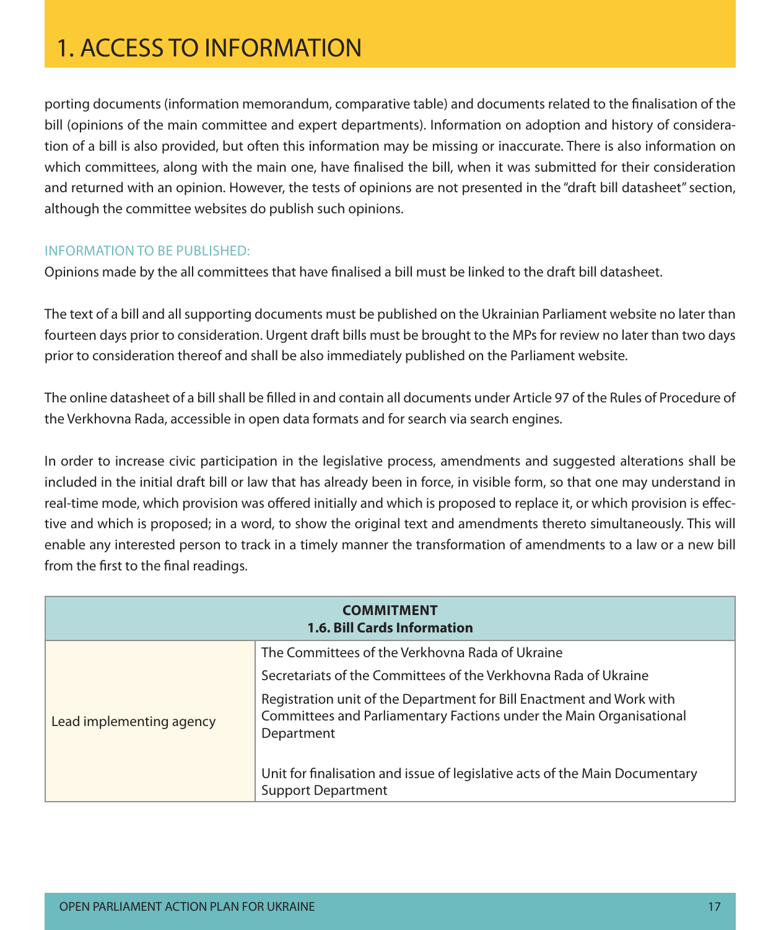porting documents (information memorandum, comparative table) and documents related to the finalisation of the bill (opinions of the main committee and expert departments). Information on adoption and history of consideration of a bill is also provided, but often this information may be missing or inaccurate. There is also information on which committees, along with the main one, have finalised the bill, when it was submitted for their consideration and returned with an opinion. However, the tests of opinions are not presented in the "draft bill datasheet" section, although the committee websites do publish such opinions.

#### Information to be published:

Opinions made by the all committees that have finalised a bill must be linked to the draft bill datasheet.

The text of a bill and all supporting documents must be published on the Ukrainian Parliament website no later than fourteen days prior to consideration. Urgent draft bills must be brought to the MPs for review no later than two days prior to consideration thereof and shall be also immediately published on the Parliament website.

The online datasheet of a bill shall be filled in and contain all documents under Article 97 of the Rules of Procedure of the Verkhovna Rada, accessible in open data formats and for search via search engines.

In order to increase civic participation in the legislative process, amendments and suggested alterations shall be included in the initial draft bill or law that has already been in force, in visible form, so that one may understand in real-time mode, which provision was offered initially and which is proposed to replace it, or which provision is effective and which is proposed; in a word, to show the original text and amendments thereto simultaneously. This will enable any interested person to track in a timely manner the transformation of amendments to a law or a new bill from the first to the final readings.

| <b>COMMITMENT</b><br><b>1.6. Bill Cards Information</b> |                                                                                                                                                           |  |  |
|---------------------------------------------------------|-----------------------------------------------------------------------------------------------------------------------------------------------------------|--|--|
|                                                         | The Committees of the Verkhovna Rada of Ukraine                                                                                                           |  |  |
|                                                         | Secretariats of the Committees of the Verkhovna Rada of Ukraine                                                                                           |  |  |
| Lead implementing agency                                | Registration unit of the Department for Bill Enactment and Work with<br>Committees and Parliamentary Factions under the Main Organisational<br>Department |  |  |
|                                                         | Unit for finalisation and issue of legislative acts of the Main Documentary<br><b>Support Department</b>                                                  |  |  |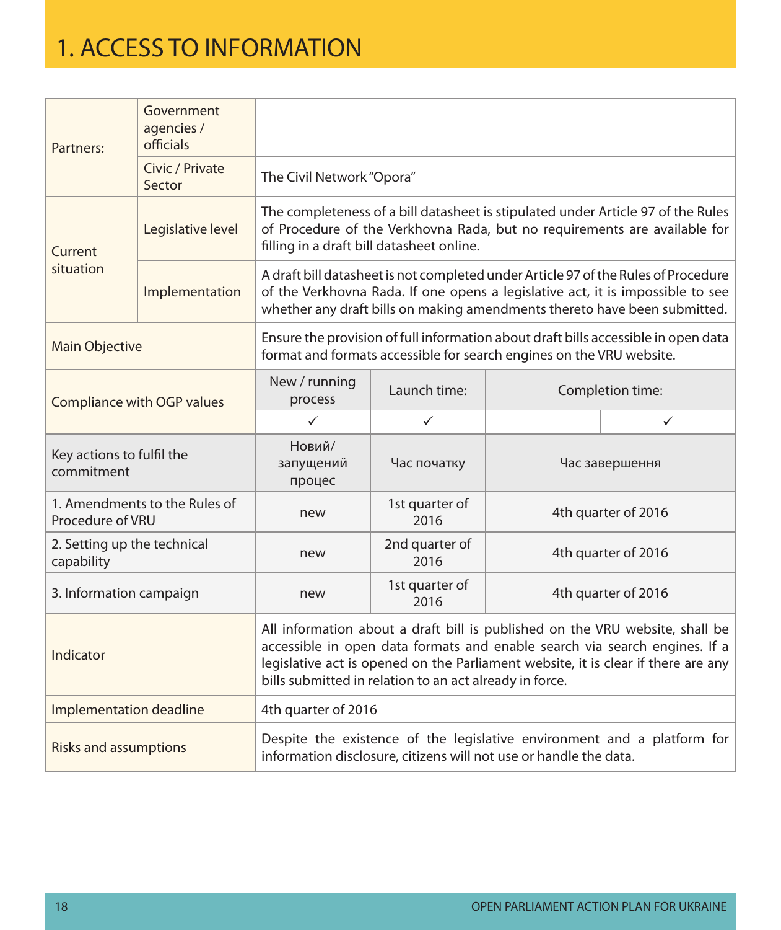| Partners:                                                                                                                                                                                                                                                                                                               | Government<br>agencies /<br>officials                                                                                                                      |                                           |                                                                                                                                                                                                                                                   |                  |                                                                                                                                                               |  |  |  |
|-------------------------------------------------------------------------------------------------------------------------------------------------------------------------------------------------------------------------------------------------------------------------------------------------------------------------|------------------------------------------------------------------------------------------------------------------------------------------------------------|-------------------------------------------|---------------------------------------------------------------------------------------------------------------------------------------------------------------------------------------------------------------------------------------------------|------------------|---------------------------------------------------------------------------------------------------------------------------------------------------------------|--|--|--|
|                                                                                                                                                                                                                                                                                                                         | Civic / Private<br>Sector                                                                                                                                  |                                           | The Civil Network "Opora"                                                                                                                                                                                                                         |                  |                                                                                                                                                               |  |  |  |
| Current                                                                                                                                                                                                                                                                                                                 | Legislative level                                                                                                                                          | filling in a draft bill datasheet online. |                                                                                                                                                                                                                                                   |                  | The completeness of a bill datasheet is stipulated under Article 97 of the Rules<br>of Procedure of the Verkhovna Rada, but no requirements are available for |  |  |  |
| situation                                                                                                                                                                                                                                                                                                               | Implementation                                                                                                                                             |                                           | A draft bill datasheet is not completed under Article 97 of the Rules of Procedure<br>of the Verkhovna Rada. If one opens a legislative act, it is impossible to see<br>whether any draft bills on making amendments thereto have been submitted. |                  |                                                                                                                                                               |  |  |  |
| <b>Main Objective</b>                                                                                                                                                                                                                                                                                                   | Ensure the provision of full information about draft bills accessible in open data<br>format and formats accessible for search engines on the VRU website. |                                           |                                                                                                                                                                                                                                                   |                  |                                                                                                                                                               |  |  |  |
| Compliance with OGP values                                                                                                                                                                                                                                                                                              |                                                                                                                                                            | New / running<br>process                  | Launch time:                                                                                                                                                                                                                                      | Completion time: |                                                                                                                                                               |  |  |  |
|                                                                                                                                                                                                                                                                                                                         |                                                                                                                                                            | $\checkmark$                              | $\checkmark$                                                                                                                                                                                                                                      |                  | $\checkmark$                                                                                                                                                  |  |  |  |
| Key actions to fulfil the<br>commitment                                                                                                                                                                                                                                                                                 |                                                                                                                                                            | Новий/<br>запущений<br>процес             | Час початку                                                                                                                                                                                                                                       | Час завершення   |                                                                                                                                                               |  |  |  |
| Procedure of VRU                                                                                                                                                                                                                                                                                                        | 1. Amendments to the Rules of                                                                                                                              | new                                       | 1st quarter of<br>2016                                                                                                                                                                                                                            |                  | 4th quarter of 2016                                                                                                                                           |  |  |  |
| 2. Setting up the technical<br>capability                                                                                                                                                                                                                                                                               |                                                                                                                                                            | new                                       | 2nd quarter of<br>2016                                                                                                                                                                                                                            |                  | 4th quarter of 2016                                                                                                                                           |  |  |  |
| 3. Information campaign                                                                                                                                                                                                                                                                                                 |                                                                                                                                                            | new                                       | 1st quarter of<br>2016                                                                                                                                                                                                                            |                  | 4th quarter of 2016                                                                                                                                           |  |  |  |
| All information about a draft bill is published on the VRU website, shall be<br>accessible in open data formats and enable search via search engines. If a<br>Indicator<br>legislative act is opened on the Parliament website, it is clear if there are any<br>bills submitted in relation to an act already in force. |                                                                                                                                                            |                                           |                                                                                                                                                                                                                                                   |                  |                                                                                                                                                               |  |  |  |
| Implementation deadline                                                                                                                                                                                                                                                                                                 |                                                                                                                                                            | 4th quarter of 2016                       |                                                                                                                                                                                                                                                   |                  |                                                                                                                                                               |  |  |  |
| <b>Risks and assumptions</b>                                                                                                                                                                                                                                                                                            |                                                                                                                                                            |                                           | information disclosure, citizens will not use or handle the data.                                                                                                                                                                                 |                  | Despite the existence of the legislative environment and a platform for                                                                                       |  |  |  |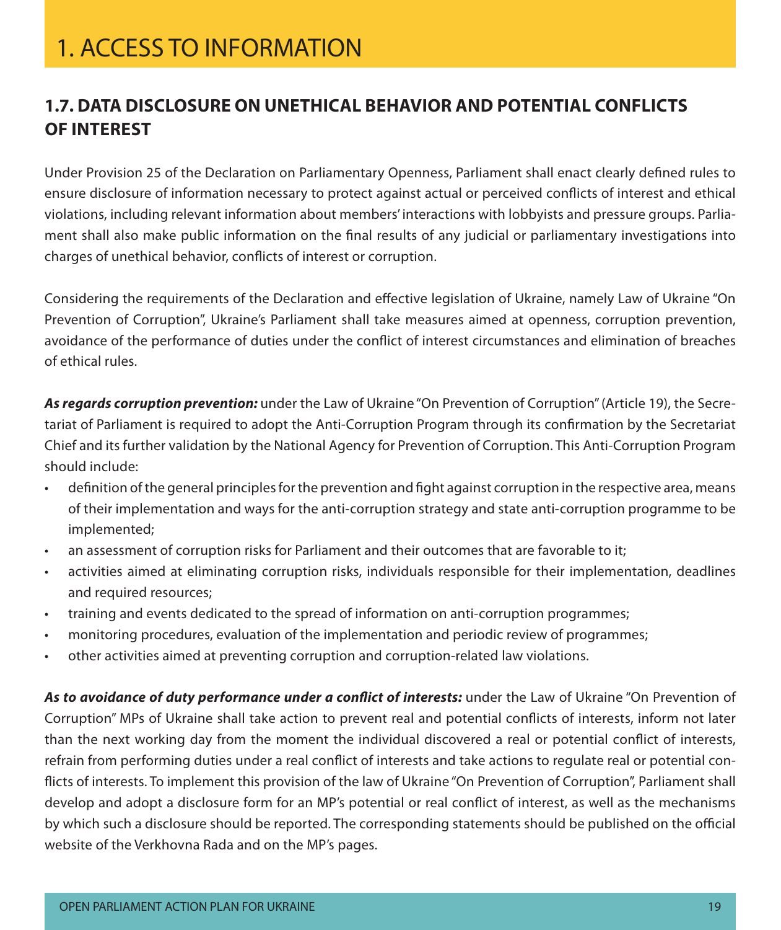### **1.7. Data Disclosure on Unethical Behavior and Potential Conflicts of Interest**

Under Provision 25 of the Declaration on Parliamentary Openness, Parliament shall enact clearly defined rules to ensure disclosure of information necessary to protect against actual or perceived conflicts of interest and ethical violations, including relevant information about members' interactions with lobbyists and pressure groups. Parliament shall also make public information on the final results of any judicial or parliamentary investigations into charges of unethical behavior, conflicts of interest or corruption.

Considering the requirements of the Declaration and effective legislation of Ukraine, namely Law of Ukraine "On Prevention of Corruption", Ukraine's Parliament shall take measures aimed at openness, corruption prevention, avoidance of the performance of duties under the conflict of interest circumstances and elimination of breaches of ethical rules.

**As regards corruption prevention:** under the Law of Ukraine "On Prevention of Corruption" (Article 19), the Secretariat of Parliament is required to adopt the Anti-Corruption Program through its confirmation by the Secretariat Chief and its further validation by the National Agency for Prevention of Corruption. This Anti-Corruption Program should include:

- definition of the general principles for the prevention and fight against corruption in the respective area, means of their implementation and ways for the anti-corruption strategy and state anti-corruption programme to be implemented;
- an assessment of corruption risks for Parliament and their outcomes that are favorable to it;
- activities aimed at eliminating corruption risks, individuals responsible for their implementation, deadlines and required resources;
- • training and events dedicated to the spread of information on anti-corruption programmes;
- monitoring procedures, evaluation of the implementation and periodic review of programmes;
- other activities aimed at preventing corruption and corruption-related law violations.

**As to avoidance of duty performance under a conflict of interests:** under the Law of Ukraine "On Prevention of Corruption" MPs of Ukraine shall take action to prevent real and potential conflicts of interests, inform not later than the next working day from the moment the individual discovered a real or potential conflict of interests, refrain from performing duties under a real conflict of interests and take actions to regulate real or potential conflicts of interests. To implement this provision of the law of Ukraine "On Prevention of Corruption", Parliament shall develop and adopt a disclosure form for an MP's potential or real conflict of interest, as well as the mechanisms by which such a disclosure should be reported. The corresponding statements should be published on the official website of the Verkhovna Rada and on the MP's pages.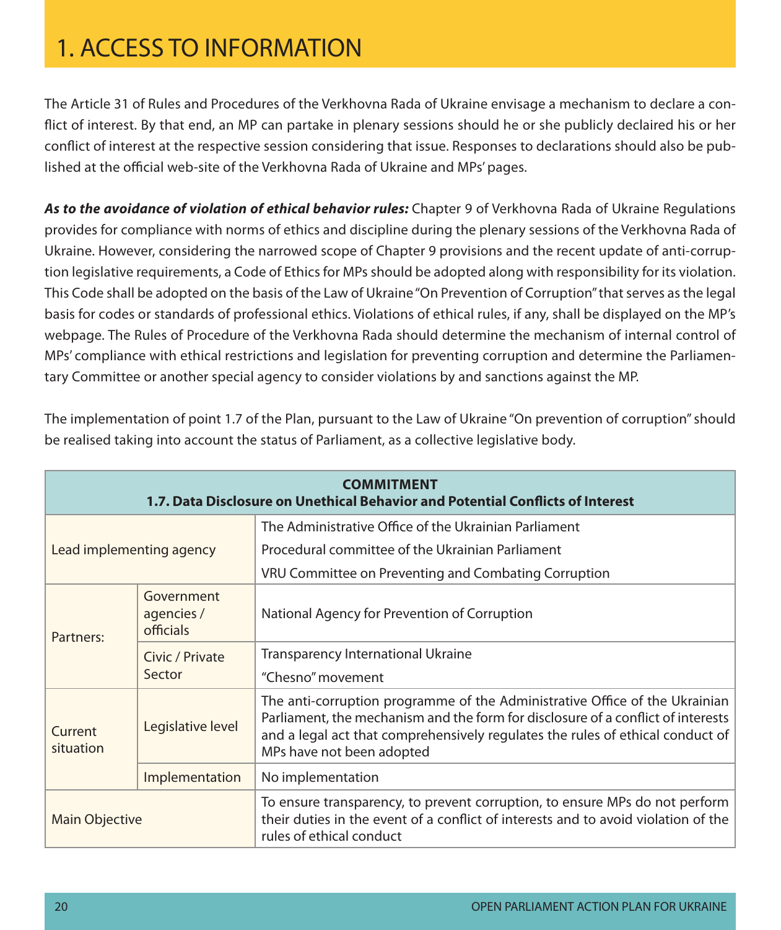The Article 31 of Rules and Procedures of the Verkhovna Rada of Ukraine envisage a mechanism to declare a conflict of interest. By that end, an MP can partake in plenary sessions should he or she publicly declaired his or her conflict of interest at the respective session considering that issue. Responses to declarations should also be published at the official web-site of the Verkhovna Rada of Ukraine and MPs' pages.

**As to the avoidance of violation of ethical behavior rules:** Chapter 9 of Verkhovna Rada of Ukraine Regulations provides for compliance with norms of ethics and discipline during the plenary sessions of the Verkhovna Rada of Ukraine. However, considering the narrowed scope of Chapter 9 provisions and the recent update of anti-corruption legislative requirements, a Code of Ethics for MPs should be adopted along with responsibility for its violation. This Code shall be adopted on the basis of the Law of Ukraine "On Prevention of Corruption" that serves as the legal basis for codes or standards of professional ethics. Violations of ethical rules, if any, shall be displayed on the MP's webpage. The Rules of Procedure of the Verkhovna Rada should determine the mechanism of internal control of MPs' compliance with ethical restrictions and legislation for preventing corruption and determine the Parliamentary Committee or another special agency to consider violations by and sanctions against the MP.

|                          | <b>COMMITMENT</b><br>1.7. Data Disclosure on Unethical Behavior and Potential Conflicts of Interest |                                                                                                                                                                                                                                                                                |  |  |  |
|--------------------------|-----------------------------------------------------------------------------------------------------|--------------------------------------------------------------------------------------------------------------------------------------------------------------------------------------------------------------------------------------------------------------------------------|--|--|--|
|                          |                                                                                                     | The Administrative Office of the Ukrainian Parliament                                                                                                                                                                                                                          |  |  |  |
| Lead implementing agency |                                                                                                     | Procedural committee of the Ukrainian Parliament                                                                                                                                                                                                                               |  |  |  |
|                          |                                                                                                     | VRU Committee on Preventing and Combating Corruption                                                                                                                                                                                                                           |  |  |  |
| Partners:                | Government<br>agencies /<br>officials                                                               | National Agency for Prevention of Corruption                                                                                                                                                                                                                                   |  |  |  |
|                          | Civic / Private                                                                                     | <b>Transparency International Ukraine</b>                                                                                                                                                                                                                                      |  |  |  |
|                          | Sector                                                                                              | "Chesno" movement                                                                                                                                                                                                                                                              |  |  |  |
| Current<br>situation     | Legislative level                                                                                   | The anti-corruption programme of the Administrative Office of the Ukrainian<br>Parliament, the mechanism and the form for disclosure of a conflict of interests<br>and a legal act that comprehensively regulates the rules of ethical conduct of<br>MPs have not been adopted |  |  |  |
|                          | Implementation                                                                                      | No implementation                                                                                                                                                                                                                                                              |  |  |  |
| Main Objective           |                                                                                                     | To ensure transparency, to prevent corruption, to ensure MPs do not perform<br>their duties in the event of a conflict of interests and to avoid violation of the<br>rules of ethical conduct                                                                                  |  |  |  |

The implementation of point 1.7 of the Plan, pursuant to the Law of Ukraine "On prevention of corruption" should be realised taking into account the status of Parliament, as a collective legislative body.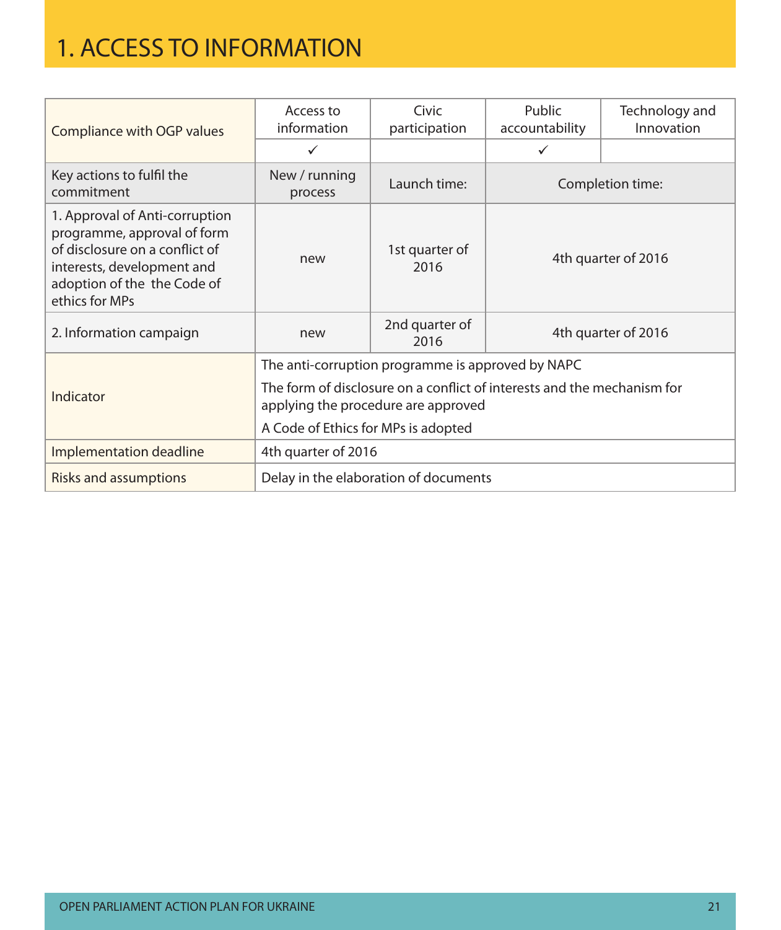| Compliance with OGP values                                                                                                                                                     | Access to<br>information                                                                                       | Civic<br>participation                            | Public<br>accountability | Technology and<br>Innovation |  |
|--------------------------------------------------------------------------------------------------------------------------------------------------------------------------------|----------------------------------------------------------------------------------------------------------------|---------------------------------------------------|--------------------------|------------------------------|--|
|                                                                                                                                                                                | $\checkmark$                                                                                                   |                                                   | $\checkmark$             |                              |  |
| Key actions to fulfil the<br>commitment                                                                                                                                        | New / running<br>process                                                                                       | Launch time:                                      | Completion time:         |                              |  |
| 1. Approval of Anti-corruption<br>programme, approval of form<br>of disclosure on a conflict of<br>interests, development and<br>adoption of the the Code of<br>ethics for MPs | new                                                                                                            | 1st quarter of<br>2016                            | 4th quarter of 2016      |                              |  |
| 2. Information campaign                                                                                                                                                        | new                                                                                                            | 2nd quarter of<br>2016                            | 4th quarter of 2016      |                              |  |
|                                                                                                                                                                                |                                                                                                                | The anti-corruption programme is approved by NAPC |                          |                              |  |
| Indicator                                                                                                                                                                      | The form of disclosure on a conflict of interests and the mechanism for<br>applying the procedure are approved |                                                   |                          |                              |  |
| A Code of Ethics for MPs is adopted                                                                                                                                            |                                                                                                                |                                                   |                          |                              |  |
| Implementation deadline                                                                                                                                                        | 4th quarter of 2016                                                                                            |                                                   |                          |                              |  |
| <b>Risks and assumptions</b>                                                                                                                                                   |                                                                                                                | Delay in the elaboration of documents             |                          |                              |  |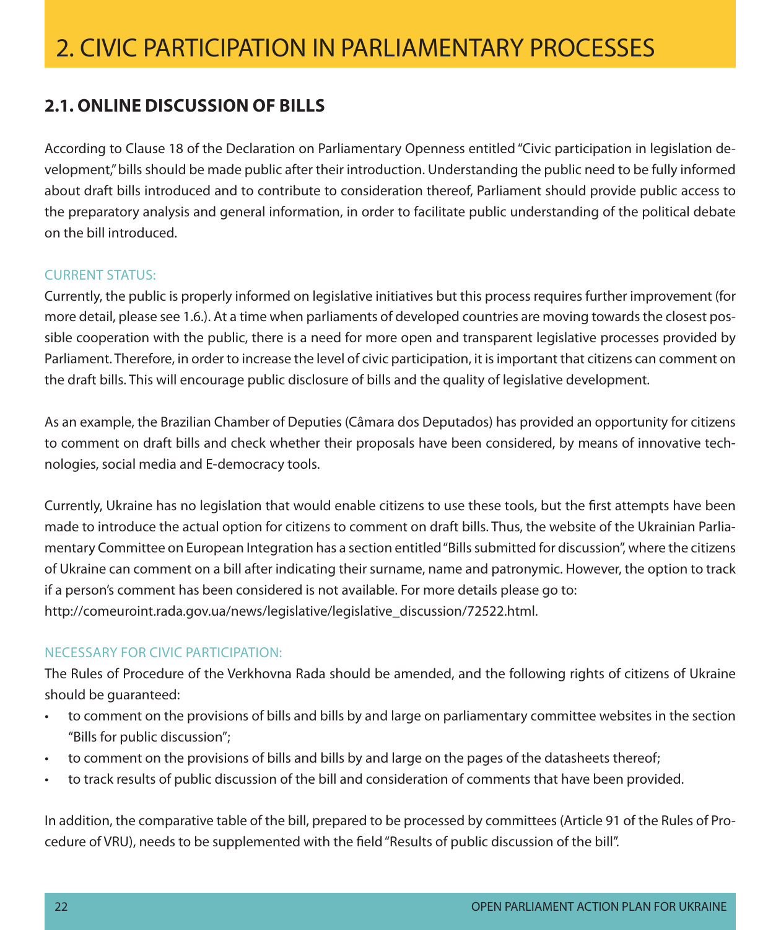### **2.1. Online discussion of bills**

According to Clause 18 of the Declaration on Parliamentary Openness entitled "Civic participation in legislation development," bills should be made public after their introduction. Understanding the public need to be fully informed about draft bills introduced and to contribute to consideration thereof, Parliament should provide public access to the preparatory analysis and general information, in order to facilitate public understanding of the political debate on the bill introduced.

#### **CURRENT STATUS:**

Currently, the public is properly informed on legislative initiatives but this process requires further improvement (for more detail, please see 1.6.). At a time when parliaments of developed countries are moving towards the closest possible cooperation with the public, there is a need for more open and transparent legislative processes provided by Parliament. Therefore, in order to increase the level of civic participation, it is important that citizens can comment on the draft bills. This will encourage public disclosure of bills and the quality of legislative development.

As an example, the Brazilian Chamber of Deputies (Câmara dos Deputados) has provided an opportunity for citizens to comment on draft bills and check whether their proposals have been considered, by means of innovative technologies, social media and E-democracy tools.

Currently, Ukraine has no legislation that would enable citizens to use these tools, but the first attempts have been made to introduce the actual option for citizens to comment on draft bills. Thus, the website of the Ukrainian Parliamentary Committee on European Integration has a section entitled "Bills submitted for discussion", where the citizens of Ukraine can comment on a bill after indicating their surname, name and patronymic. However, the option to track if a person's comment has been considered is not available. For more details please go to: http://comeuroint.rada.gov.ua/news/legislative/legislative\_discussion/72522.html.

#### Necessary for civic participation:

The Rules of Procedure of the Verkhovna Rada should be amended, and the following rights of citizens of Ukraine should be guaranteed:

- • to comment on the provisions of bills and bills by and large on parliamentary committee websites in the section "Bills for public discussion";
- to comment on the provisions of bills and bills by and large on the pages of the datasheets thereof;
- • to track results of public discussion of the bill and consideration of comments that have been provided.

In addition, the comparative table of the bill, prepared to be processed by committees (Article 91 of the Rules of Procedure of VRU), needs to be supplemented with the field "Results of public discussion of the bill".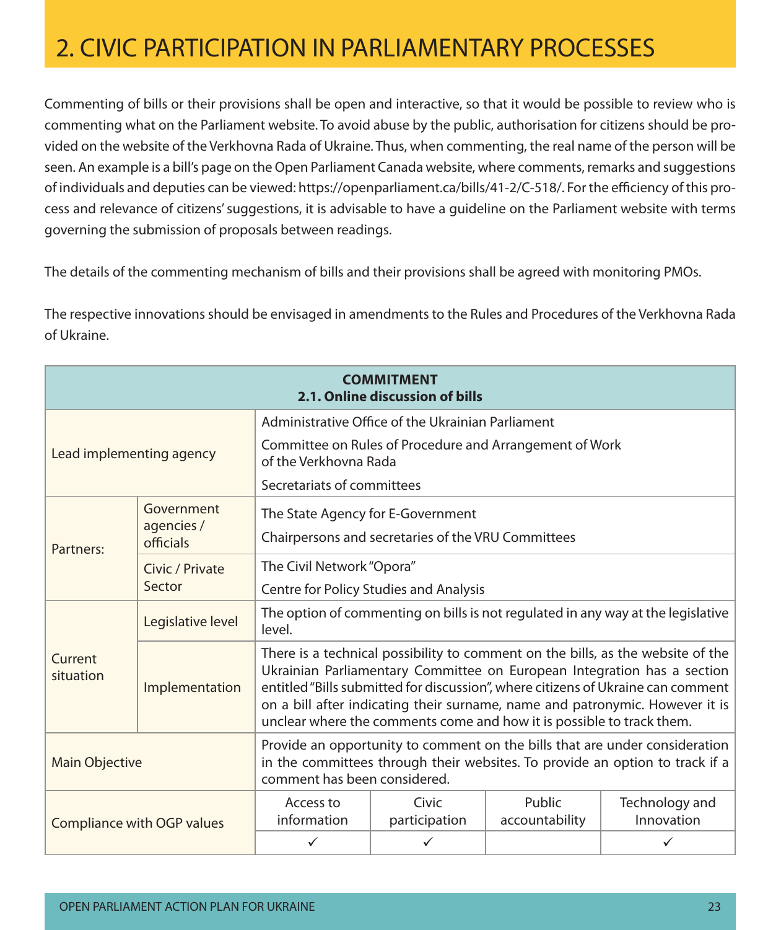Commenting of bills or their provisions shall be open and interactive, so that it would be possible to review who is commenting what on the Parliament website. To avoid abuse by the public, authorisation for citizens should be provided on the website of the Verkhovna Rada of Ukraine. Thus, when commenting, the real name of the person will be seen. An example is a bill's page on the Open Parliament Canada website, where comments, remarks and suggestions of individuals and deputies can be viewed: https://openparliament.ca/bills/41-2/C-518/. For the efficiency of this process and relevance of citizens' suggestions, it is advisable to have a guideline on the Parliament website with terms governing the submission of proposals between readings.

The details of the commenting mechanism of bills and their provisions shall be agreed with monitoring PMOs.

The respective innovations should be envisaged in amendments to the Rules and Procedures of the Verkhovna Rada of Ukraine.

| <b>COMMITMENT</b><br>2.1. Online discussion of bills |                                                                                                                                                                                             |                                                                                                                                                                                                                                                                                                                                                                                                         |                                                    |                          |                              |  |
|------------------------------------------------------|---------------------------------------------------------------------------------------------------------------------------------------------------------------------------------------------|---------------------------------------------------------------------------------------------------------------------------------------------------------------------------------------------------------------------------------------------------------------------------------------------------------------------------------------------------------------------------------------------------------|----------------------------------------------------|--------------------------|------------------------------|--|
|                                                      |                                                                                                                                                                                             | Administrative Office of the Ukrainian Parliament                                                                                                                                                                                                                                                                                                                                                       |                                                    |                          |                              |  |
| Lead implementing agency                             |                                                                                                                                                                                             | Committee on Rules of Procedure and Arrangement of Work<br>of the Verkhovna Rada                                                                                                                                                                                                                                                                                                                        |                                                    |                          |                              |  |
|                                                      |                                                                                                                                                                                             | Secretariats of committees                                                                                                                                                                                                                                                                                                                                                                              |                                                    |                          |                              |  |
|                                                      | Government<br>agencies /                                                                                                                                                                    | The State Agency for E-Government                                                                                                                                                                                                                                                                                                                                                                       |                                                    |                          |                              |  |
| Partners:                                            | officials                                                                                                                                                                                   |                                                                                                                                                                                                                                                                                                                                                                                                         | Chairpersons and secretaries of the VRU Committees |                          |                              |  |
| Civic / Private                                      |                                                                                                                                                                                             | The Civil Network "Opora"                                                                                                                                                                                                                                                                                                                                                                               |                                                    |                          |                              |  |
|                                                      | Sector                                                                                                                                                                                      | Centre for Policy Studies and Analysis                                                                                                                                                                                                                                                                                                                                                                  |                                                    |                          |                              |  |
|                                                      | Legislative level                                                                                                                                                                           | The option of commenting on bills is not regulated in any way at the legislative<br>level.                                                                                                                                                                                                                                                                                                              |                                                    |                          |                              |  |
| Current<br>situation                                 | Implementation                                                                                                                                                                              | There is a technical possibility to comment on the bills, as the website of the<br>Ukrainian Parliamentary Committee on European Integration has a section<br>entitled "Bills submitted for discussion", where citizens of Ukraine can comment<br>on a bill after indicating their surname, name and patronymic. However it is<br>unclear where the comments come and how it is possible to track them. |                                                    |                          |                              |  |
| <b>Main Objective</b>                                | Provide an opportunity to comment on the bills that are under consideration<br>in the committees through their websites. To provide an option to track if a<br>comment has been considered. |                                                                                                                                                                                                                                                                                                                                                                                                         |                                                    |                          |                              |  |
|                                                      | Compliance with OGP values                                                                                                                                                                  | Access to<br>information                                                                                                                                                                                                                                                                                                                                                                                | Civic<br>participation                             | Public<br>accountability | Technology and<br>Innovation |  |
|                                                      |                                                                                                                                                                                             | $\checkmark$                                                                                                                                                                                                                                                                                                                                                                                            | $\checkmark$                                       |                          | ✓                            |  |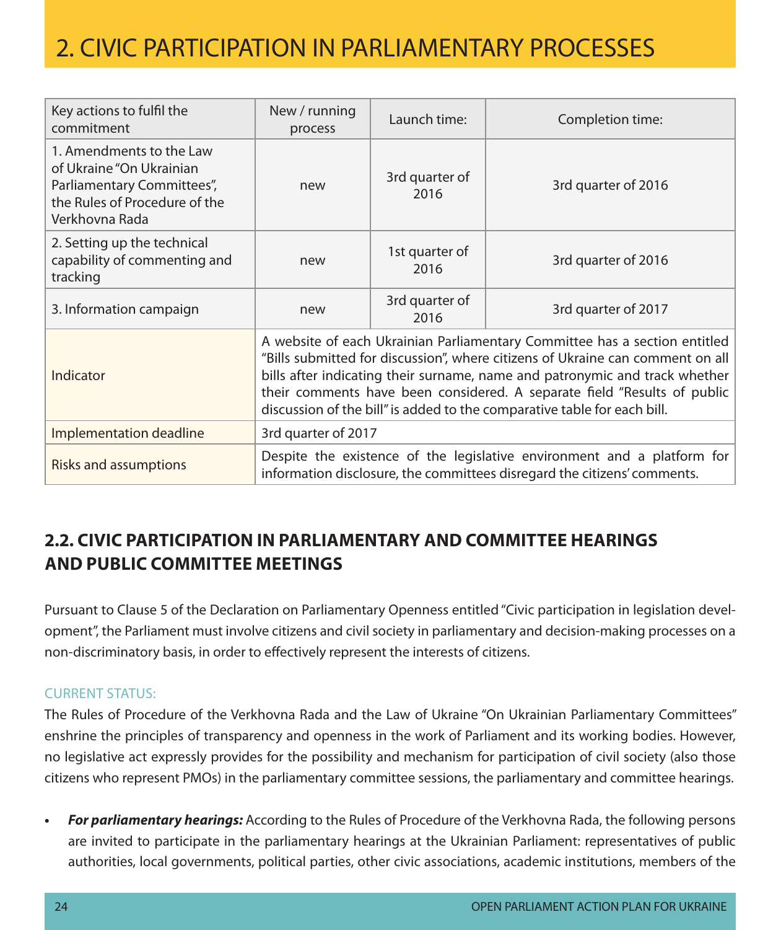| Key actions to fulfil the<br>commitment                                                                                               | New / running<br>process                                                                                                                                                                                                                                                                                                                                                                            | Launch time:           | Completion time:    |  |
|---------------------------------------------------------------------------------------------------------------------------------------|-----------------------------------------------------------------------------------------------------------------------------------------------------------------------------------------------------------------------------------------------------------------------------------------------------------------------------------------------------------------------------------------------------|------------------------|---------------------|--|
| 1. Amendments to the Law<br>of Ukraine "On Ukrainian<br>Parliamentary Committees",<br>the Rules of Procedure of the<br>Verkhovna Rada | new                                                                                                                                                                                                                                                                                                                                                                                                 | 3rd quarter of<br>2016 | 3rd quarter of 2016 |  |
| 2. Setting up the technical<br>capability of commenting and<br>tracking                                                               | new                                                                                                                                                                                                                                                                                                                                                                                                 | 1st quarter of<br>2016 | 3rd quarter of 2016 |  |
| 3. Information campaign                                                                                                               | new                                                                                                                                                                                                                                                                                                                                                                                                 | 3rd quarter of<br>2016 | 3rd quarter of 2017 |  |
| Indicator                                                                                                                             | A website of each Ukrainian Parliamentary Committee has a section entitled<br>"Bills submitted for discussion", where citizens of Ukraine can comment on all<br>bills after indicating their surname, name and patronymic and track whether<br>their comments have been considered. A separate field "Results of public<br>discussion of the bill" is added to the comparative table for each bill. |                        |                     |  |
| Implementation deadline                                                                                                               | 3rd quarter of 2017                                                                                                                                                                                                                                                                                                                                                                                 |                        |                     |  |
| <b>Risks and assumptions</b>                                                                                                          | Despite the existence of the legislative environment and a platform for<br>information disclosure, the committees disregard the citizens' comments.                                                                                                                                                                                                                                                 |                        |                     |  |

### **2.2. Civic participation in parliamentary and committee hearings and public committee meetings**

Pursuant to Clause 5 of the Declaration on Parliamentary Openness entitled "Civic participation in legislation development", the Parliament must involve citizens and civil society in parliamentary and decision-making processes on a non-discriminatory basis, in order to effectively represent the interests of citizens.

#### Current status:

The Rules of Procedure of the Verkhovna Rada and the Law of Ukraine "On Ukrainian Parliamentary Committees" enshrine the principles of transparency and openness in the work of Parliament and its working bodies. However, no legislative act expressly provides for the possibility and mechanism for participation of civil society (also those citizens who represent PMOs) in the parliamentary committee sessions, the parliamentary and committee hearings.

**For parliamentary hearings:** According to the Rules of Procedure of the Verkhovna Rada, the following persons are invited to participate in the parliamentary hearings at the Ukrainian Parliament: representatives of public authorities, local governments, political parties, other civic associations, academic institutions, members of the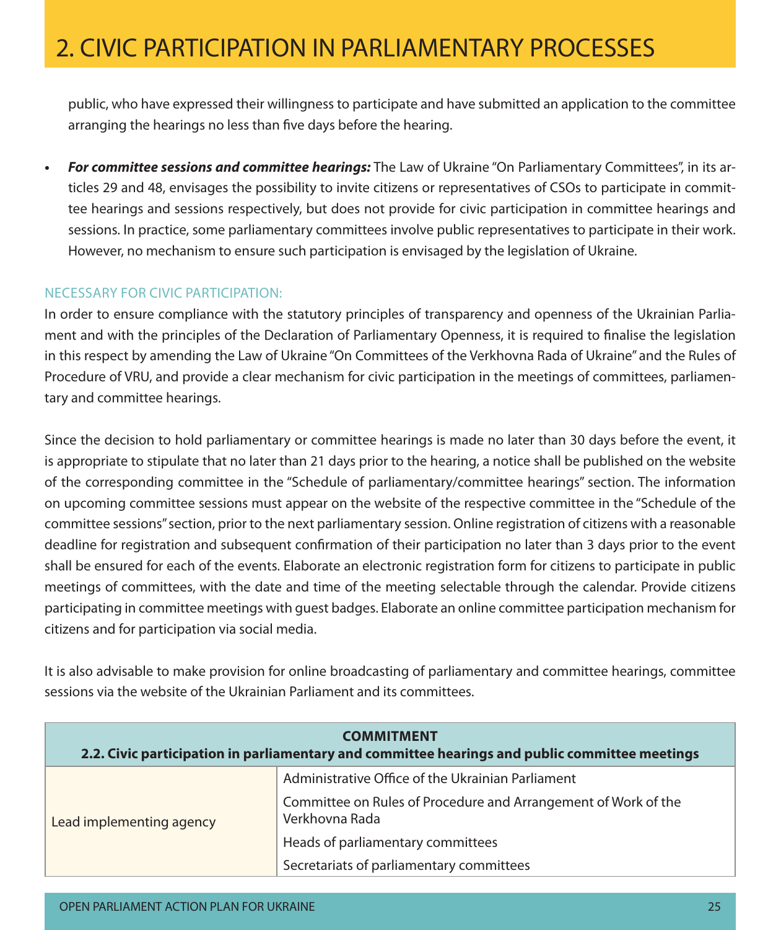public, who have expressed their willingness to participate and have submitted an application to the committee arranging the hearings no less than five days before the hearing.

**• For committee sessions and committee hearings:** The Law of Ukraine "On Parliamentary Committees", in its articles 29 and 48, envisages the possibility to invite citizens or representatives of CSOs to participate in committee hearings and sessions respectively, but does not provide for civic participation in committee hearings and sessions. In practice, some parliamentary committees involve public representatives to participate in their work. However, no mechanism to ensure such participation is envisaged by the legislation of Ukraine.

#### Necessary for civic participation:

In order to ensure compliance with the statutory principles of transparency and openness of the Ukrainian Parliament and with the principles of the Declaration of Parliamentary Openness, it is required to finalise the legislation in this respect by amending the Law of Ukraine "On Committees of the Verkhovna Rada of Ukraine" and the Rules of Procedure of VRU, and provide a clear mechanism for civic participation in the meetings of committees, parliamentary and committee hearings.

Since the decision to hold parliamentary or committee hearings is made no later than 30 days before the event, it is appropriate to stipulate that no later than 21 days prior to the hearing, a notice shall be published on the website of the corresponding committee in the "Schedule of parliamentary/committee hearings" section. The information on upcoming committee sessions must appear on the website of the respective committee in the "Schedule of the committee sessions" section, prior to the next parliamentary session. Online registration of citizens with a reasonable deadline for registration and subsequent confirmation of their participation no later than 3 days prior to the event shall be ensured for each of the events. Elaborate an electronic registration form for citizens to participate in public meetings of committees, with the date and time of the meeting selectable through the calendar. Provide citizens participating in committee meetings with guest badges. Elaborate an online committee participation mechanism for citizens and for participation via social media.

It is also advisable to make provision for online broadcasting of parliamentary and committee hearings, committee sessions via the website of the Ukrainian Parliament and its committees.

| <b>COMMITMENT</b><br>2.2. Civic participation in parliamentary and committee hearings and public committee meetings |                                                                                  |  |  |  |
|---------------------------------------------------------------------------------------------------------------------|----------------------------------------------------------------------------------|--|--|--|
|                                                                                                                     | Administrative Office of the Ukrainian Parliament                                |  |  |  |
| Lead implementing agency                                                                                            | Committee on Rules of Procedure and Arrangement of Work of the<br>Verkhovna Rada |  |  |  |
|                                                                                                                     | Heads of parliamentary committees                                                |  |  |  |
|                                                                                                                     | Secretariats of parliamentary committees                                         |  |  |  |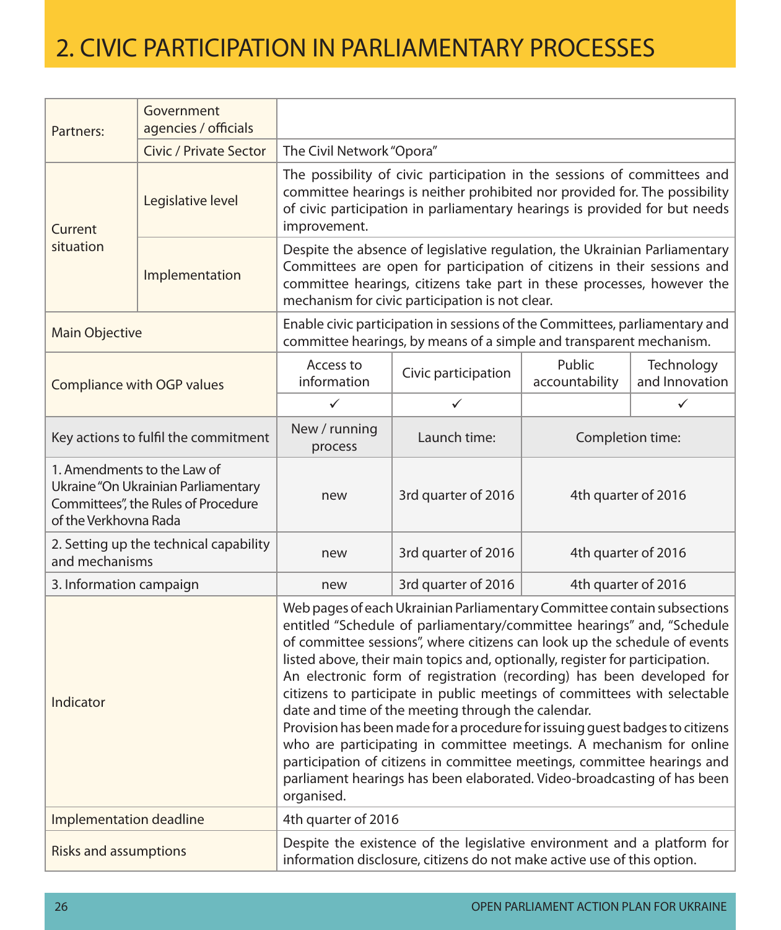| Partners:                                                                                                                                                                                                                                                                                                                                                                                                                                                                                                                                                                                                                                                                                                                                                                                                                                                         | Government<br>agencies / officials     |                                                                                                                                                                                                                                                      |                                                                                                                                                                                                                                                                                    |                          |                              |  |  |
|-------------------------------------------------------------------------------------------------------------------------------------------------------------------------------------------------------------------------------------------------------------------------------------------------------------------------------------------------------------------------------------------------------------------------------------------------------------------------------------------------------------------------------------------------------------------------------------------------------------------------------------------------------------------------------------------------------------------------------------------------------------------------------------------------------------------------------------------------------------------|----------------------------------------|------------------------------------------------------------------------------------------------------------------------------------------------------------------------------------------------------------------------------------------------------|------------------------------------------------------------------------------------------------------------------------------------------------------------------------------------------------------------------------------------------------------------------------------------|--------------------------|------------------------------|--|--|
|                                                                                                                                                                                                                                                                                                                                                                                                                                                                                                                                                                                                                                                                                                                                                                                                                                                                   | Civic / Private Sector                 | The Civil Network "Opora"                                                                                                                                                                                                                            |                                                                                                                                                                                                                                                                                    |                          |                              |  |  |
| Current                                                                                                                                                                                                                                                                                                                                                                                                                                                                                                                                                                                                                                                                                                                                                                                                                                                           | Legislative level                      | The possibility of civic participation in the sessions of committees and<br>committee hearings is neither prohibited nor provided for. The possibility<br>of civic participation in parliamentary hearings is provided for but needs<br>improvement. |                                                                                                                                                                                                                                                                                    |                          |                              |  |  |
| situation                                                                                                                                                                                                                                                                                                                                                                                                                                                                                                                                                                                                                                                                                                                                                                                                                                                         | Implementation                         |                                                                                                                                                                                                                                                      | Despite the absence of legislative regulation, the Ukrainian Parliamentary<br>Committees are open for participation of citizens in their sessions and<br>committee hearings, citizens take part in these processes, however the<br>mechanism for civic participation is not clear. |                          |                              |  |  |
| Enable civic participation in sessions of the Committees, parliamentary and<br><b>Main Objective</b><br>committee hearings, by means of a simple and transparent mechanism.                                                                                                                                                                                                                                                                                                                                                                                                                                                                                                                                                                                                                                                                                       |                                        |                                                                                                                                                                                                                                                      |                                                                                                                                                                                                                                                                                    |                          |                              |  |  |
|                                                                                                                                                                                                                                                                                                                                                                                                                                                                                                                                                                                                                                                                                                                                                                                                                                                                   | Compliance with OGP values             | Access to<br>information                                                                                                                                                                                                                             | Civic participation                                                                                                                                                                                                                                                                | Public<br>accountability | Technology<br>and Innovation |  |  |
|                                                                                                                                                                                                                                                                                                                                                                                                                                                                                                                                                                                                                                                                                                                                                                                                                                                                   |                                        | $\checkmark$                                                                                                                                                                                                                                         | ✓                                                                                                                                                                                                                                                                                  |                          | ✓                            |  |  |
|                                                                                                                                                                                                                                                                                                                                                                                                                                                                                                                                                                                                                                                                                                                                                                                                                                                                   | Key actions to fulfil the commitment   | New / running<br>process                                                                                                                                                                                                                             | Launch time:                                                                                                                                                                                                                                                                       | Completion time:         |                              |  |  |
| 1. Amendments to the Law of<br>Ukraine "On Ukrainian Parliamentary<br>Committees", the Rules of Procedure<br>of the Verkhovna Rada                                                                                                                                                                                                                                                                                                                                                                                                                                                                                                                                                                                                                                                                                                                                |                                        | new                                                                                                                                                                                                                                                  | 3rd quarter of 2016                                                                                                                                                                                                                                                                | 4th quarter of 2016      |                              |  |  |
| and mechanisms                                                                                                                                                                                                                                                                                                                                                                                                                                                                                                                                                                                                                                                                                                                                                                                                                                                    | 2. Setting up the technical capability | new                                                                                                                                                                                                                                                  | 3rd quarter of 2016                                                                                                                                                                                                                                                                | 4th quarter of 2016      |                              |  |  |
| 3. Information campaign                                                                                                                                                                                                                                                                                                                                                                                                                                                                                                                                                                                                                                                                                                                                                                                                                                           |                                        | new                                                                                                                                                                                                                                                  | 3rd quarter of 2016                                                                                                                                                                                                                                                                | 4th quarter of 2016      |                              |  |  |
| Web pages of each Ukrainian Parliamentary Committee contain subsections<br>entitled "Schedule of parliamentary/committee hearings" and, "Schedule<br>of committee sessions", where citizens can look up the schedule of events<br>listed above, their main topics and, optionally, register for participation.<br>An electronic form of registration (recording) has been developed for<br>citizens to participate in public meetings of committees with selectable<br>Indicator<br>date and time of the meeting through the calendar.<br>Provision has been made for a procedure for issuing quest badges to citizens<br>who are participating in committee meetings. A mechanism for online<br>participation of citizens in committee meetings, committee hearings and<br>parliament hearings has been elaborated. Video-broadcasting of has been<br>organised. |                                        |                                                                                                                                                                                                                                                      |                                                                                                                                                                                                                                                                                    |                          |                              |  |  |
| Implementation deadline                                                                                                                                                                                                                                                                                                                                                                                                                                                                                                                                                                                                                                                                                                                                                                                                                                           |                                        | 4th quarter of 2016                                                                                                                                                                                                                                  |                                                                                                                                                                                                                                                                                    |                          |                              |  |  |
| <b>Risks and assumptions</b>                                                                                                                                                                                                                                                                                                                                                                                                                                                                                                                                                                                                                                                                                                                                                                                                                                      |                                        |                                                                                                                                                                                                                                                      | Despite the existence of the legislative environment and a platform for<br>information disclosure, citizens do not make active use of this option.                                                                                                                                 |                          |                              |  |  |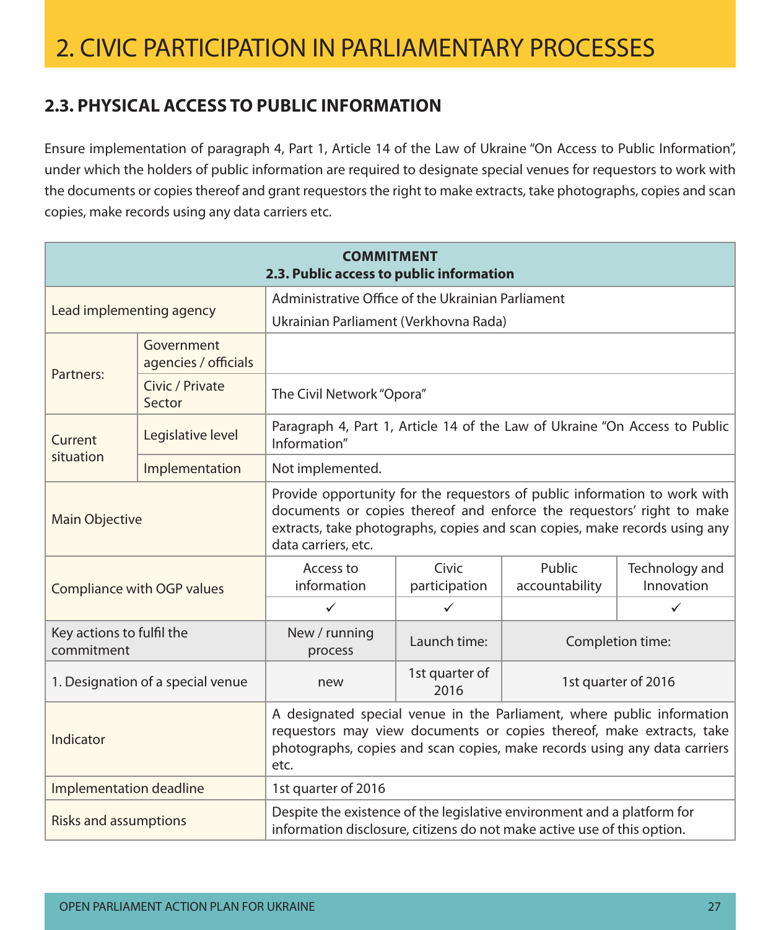### **2.3. Physical access to public information**

Ensure implementation of paragraph 4, Part 1, Article 14 of the Law of Ukraine "On Access to Public Information", under which the holders of public information are required to designate special venues for requestors to work with the documents or copies thereof and grant requestors the right to make extracts, take photographs, copies and scan copies, make records using any data carriers etc.

| <b>COMMITMENT</b><br>2.3. Public access to public information                                                                                                                                                                                                                    |                                    |                                                                                                                                                    |                                               |                          |                              |
|----------------------------------------------------------------------------------------------------------------------------------------------------------------------------------------------------------------------------------------------------------------------------------|------------------------------------|----------------------------------------------------------------------------------------------------------------------------------------------------|-----------------------------------------------|--------------------------|------------------------------|
|                                                                                                                                                                                                                                                                                  |                                    | Administrative Office of the Ukrainian Parliament                                                                                                  |                                               |                          |                              |
| Lead implementing agency                                                                                                                                                                                                                                                         |                                    | Ukrainian Parliament (Verkhovna Rada)                                                                                                              |                                               |                          |                              |
| Partners:                                                                                                                                                                                                                                                                        | Government<br>agencies / officials |                                                                                                                                                    |                                               |                          |                              |
| Civic / Private<br>The Civil Network "Opora"<br>Sector                                                                                                                                                                                                                           |                                    |                                                                                                                                                    |                                               |                          |                              |
| Current                                                                                                                                                                                                                                                                          | Legislative level                  | Paragraph 4, Part 1, Article 14 of the Law of Ukraine "On Access to Public<br>Information"                                                         |                                               |                          |                              |
| situation                                                                                                                                                                                                                                                                        | Implementation                     | Not implemented.                                                                                                                                   |                                               |                          |                              |
| Provide opportunity for the requestors of public information to work with<br>documents or copies thereof and enforce the requestors' right to make<br><b>Main Objective</b><br>extracts, take photographs, copies and scan copies, make records using any<br>data carriers, etc. |                                    |                                                                                                                                                    |                                               |                          |                              |
|                                                                                                                                                                                                                                                                                  | Compliance with OGP values         | Access to<br>information                                                                                                                           | Civic<br>participation                        | Public<br>accountability | Technology and<br>Innovation |
|                                                                                                                                                                                                                                                                                  |                                    | $\checkmark$                                                                                                                                       | $\checkmark$                                  |                          | $\checkmark$                 |
| Key actions to fulfil the<br>commitment                                                                                                                                                                                                                                          |                                    | New / running<br>process                                                                                                                           | Launch time:                                  |                          | Completion time:             |
|                                                                                                                                                                                                                                                                                  | 1. Designation of a special venue  | new                                                                                                                                                | 1st quarter of<br>1st quarter of 2016<br>2016 |                          |                              |
| A designated special venue in the Parliament, where public information<br>requestors may view documents or copies thereof, make extracts, take<br>Indicator<br>photographs, copies and scan copies, make records using any data carriers<br>etc.                                 |                                    |                                                                                                                                                    |                                               |                          |                              |
| Implementation deadline                                                                                                                                                                                                                                                          |                                    | 1st quarter of 2016                                                                                                                                |                                               |                          |                              |
| <b>Risks and assumptions</b>                                                                                                                                                                                                                                                     |                                    | Despite the existence of the legislative environment and a platform for<br>information disclosure, citizens do not make active use of this option. |                                               |                          |                              |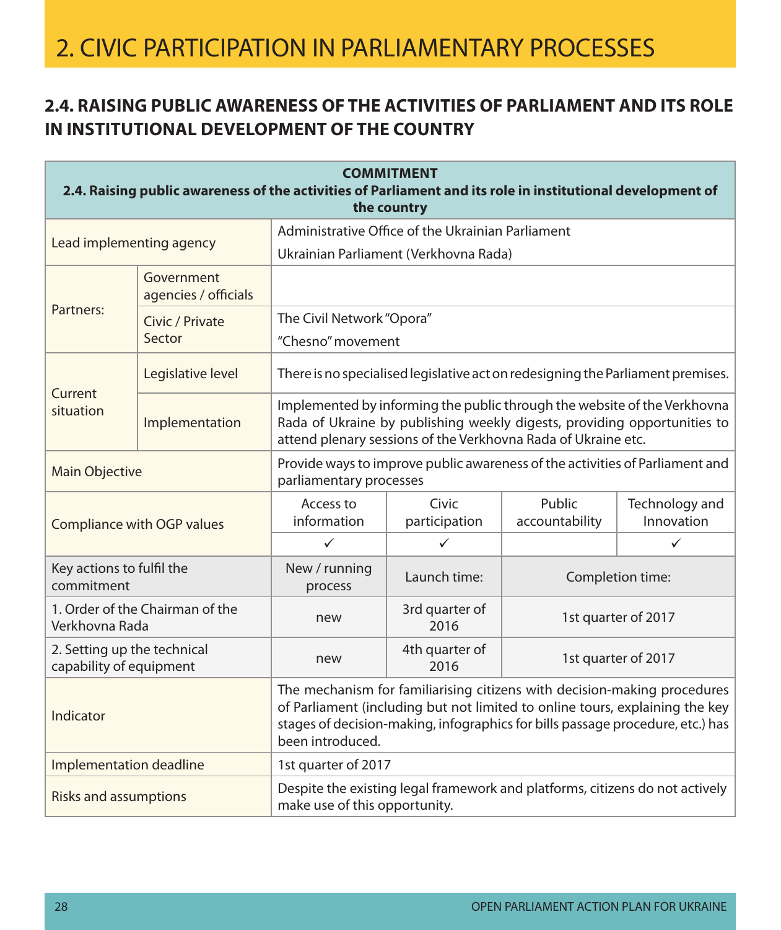### **2.4. Raising public awareness of the activities of Parliament and its role in institutional development of the country**

| <b>COMMITMENT</b><br>2.4. Raising public awareness of the activities of Parliament and its role in institutional development of<br>the country                                                                                                                              |                                    |                                                                                                                                                                                                                       |                                                                              |                          |                              |  |  |  |
|-----------------------------------------------------------------------------------------------------------------------------------------------------------------------------------------------------------------------------------------------------------------------------|------------------------------------|-----------------------------------------------------------------------------------------------------------------------------------------------------------------------------------------------------------------------|------------------------------------------------------------------------------|--------------------------|------------------------------|--|--|--|
|                                                                                                                                                                                                                                                                             |                                    | Administrative Office of the Ukrainian Parliament                                                                                                                                                                     |                                                                              |                          |                              |  |  |  |
| Lead implementing agency                                                                                                                                                                                                                                                    |                                    |                                                                                                                                                                                                                       | Ukrainian Parliament (Verkhovna Rada)                                        |                          |                              |  |  |  |
|                                                                                                                                                                                                                                                                             | Government<br>agencies / officials |                                                                                                                                                                                                                       |                                                                              |                          |                              |  |  |  |
| Partners:                                                                                                                                                                                                                                                                   | Civic / Private                    |                                                                                                                                                                                                                       | The Civil Network "Opora"                                                    |                          |                              |  |  |  |
|                                                                                                                                                                                                                                                                             | Sector                             | "Chesno" movement                                                                                                                                                                                                     |                                                                              |                          |                              |  |  |  |
| Current                                                                                                                                                                                                                                                                     | Legislative level                  | There is no specialised legislative act on redesigning the Parliament premises.                                                                                                                                       |                                                                              |                          |                              |  |  |  |
| situation                                                                                                                                                                                                                                                                   | Implementation                     | Implemented by informing the public through the website of the Verkhovna<br>Rada of Ukraine by publishing weekly digests, providing opportunities to<br>attend plenary sessions of the Verkhovna Rada of Ukraine etc. |                                                                              |                          |                              |  |  |  |
| Main Objective                                                                                                                                                                                                                                                              |                                    | Provide ways to improve public awareness of the activities of Parliament and<br>parliamentary processes                                                                                                               |                                                                              |                          |                              |  |  |  |
| Compliance with OGP values                                                                                                                                                                                                                                                  |                                    | Access to<br>information                                                                                                                                                                                              | Civic<br>participation                                                       | Public<br>accountability | Technology and<br>Innovation |  |  |  |
|                                                                                                                                                                                                                                                                             |                                    | $\checkmark$                                                                                                                                                                                                          | ✓                                                                            |                          | $\checkmark$                 |  |  |  |
| Key actions to fulfil the<br>commitment                                                                                                                                                                                                                                     |                                    | New / running<br>process                                                                                                                                                                                              | Launch time:                                                                 |                          | Completion time:             |  |  |  |
| Verkhovna Rada                                                                                                                                                                                                                                                              | 1. Order of the Chairman of the    | new                                                                                                                                                                                                                   | 3rd quarter of<br>2016                                                       |                          | 1st quarter of 2017          |  |  |  |
| 2. Setting up the technical<br>capability of equipment                                                                                                                                                                                                                      |                                    | new                                                                                                                                                                                                                   | 4th quarter of<br>2016                                                       |                          | 1st quarter of 2017          |  |  |  |
| The mechanism for familiarising citizens with decision-making procedures<br>of Parliament (including but not limited to online tours, explaining the key<br>Indicator<br>stages of decision-making, infographics for bills passage procedure, etc.) has<br>been introduced. |                                    |                                                                                                                                                                                                                       |                                                                              |                          |                              |  |  |  |
| Implementation deadline                                                                                                                                                                                                                                                     |                                    | 1st quarter of 2017                                                                                                                                                                                                   |                                                                              |                          |                              |  |  |  |
| <b>Risks and assumptions</b>                                                                                                                                                                                                                                                |                                    | make use of this opportunity.                                                                                                                                                                                         | Despite the existing legal framework and platforms, citizens do not actively |                          |                              |  |  |  |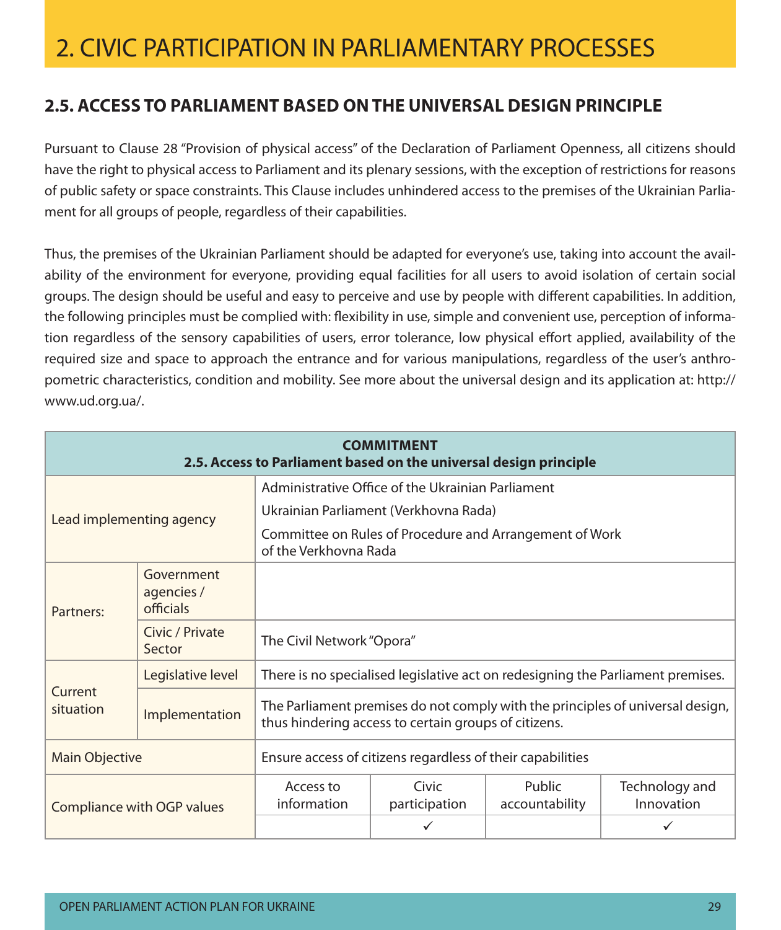### **2.5. Access to Parliament based onthe universal design principle**

Pursuant to Clause 28 "Provision of physical access" of the Declaration of Parliament Openness, all citizens should have the right to physical access to Parliament and its plenary sessions, with the exception of restrictions for reasons of public safety or space constraints. This Clause includes unhindered access to the premises of the Ukrainian Parliament for all groups of people, regardless of their capabilities.

Thus, the premises of the Ukrainian Parliament should be adapted for everyone's use, taking into account the availability of the environment for everyone, providing equal facilities for all users to avoid isolation of certain social groups. The design should be useful and easy to perceive and use by people with different capabilities. In addition, the following principles must be complied with: flexibility in use, simple and convenient use, perception of information regardless of the sensory capabilities of users, error tolerance, low physical effort applied, availability of the required size and space to approach the entrance and for various manipulations, regardless of the user's anthropometric characteristics, condition and mobility. See more about the universal design and its application at: http:// www.ud.org.ua/.

| <b>COMMITMENT</b><br>2.5. Access to Parliament based on the universal design principle |                                       |                                                                                  |                                                      |                          |                                                                                 |  |
|----------------------------------------------------------------------------------------|---------------------------------------|----------------------------------------------------------------------------------|------------------------------------------------------|--------------------------|---------------------------------------------------------------------------------|--|
|                                                                                        |                                       |                                                                                  | Administrative Office of the Ukrainian Parliament    |                          |                                                                                 |  |
| Lead implementing agency                                                               |                                       |                                                                                  | Ukrainian Parliament (Verkhovna Rada)                |                          |                                                                                 |  |
|                                                                                        |                                       | Committee on Rules of Procedure and Arrangement of Work<br>of the Verkhovna Rada |                                                      |                          |                                                                                 |  |
| Partners:                                                                              | Government<br>agencies /<br>officials |                                                                                  |                                                      |                          |                                                                                 |  |
|                                                                                        | Civic / Private<br>Sector             | The Civil Network "Opora"                                                        |                                                      |                          |                                                                                 |  |
|                                                                                        | Legislative level                     |                                                                                  |                                                      |                          | There is no specialised legislative act on redesigning the Parliament premises. |  |
| Current<br>situation                                                                   | Implementation                        |                                                                                  | thus hindering access to certain groups of citizens. |                          | The Parliament premises do not comply with the principles of universal design,  |  |
| Ensure access of citizens regardless of their capabilities<br><b>Main Objective</b>    |                                       |                                                                                  |                                                      |                          |                                                                                 |  |
| Compliance with OGP values                                                             |                                       | Access to<br>information                                                         | Civic<br>participation                               | Public<br>accountability | Technology and<br>Innovation                                                    |  |
|                                                                                        |                                       |                                                                                  |                                                      |                          |                                                                                 |  |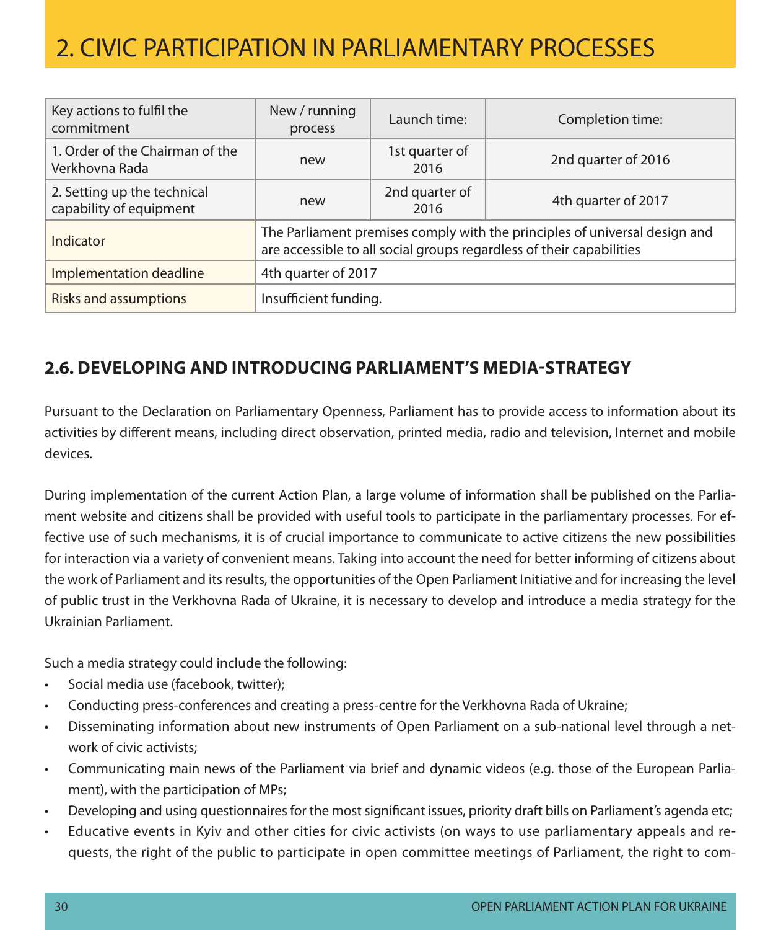| Key actions to fulfil the<br>commitment                | New / running<br>process                                                                                                                           | Launch time:           | Completion time:    |  |
|--------------------------------------------------------|----------------------------------------------------------------------------------------------------------------------------------------------------|------------------------|---------------------|--|
| 1. Order of the Chairman of the<br>Verkhovna Rada      | new                                                                                                                                                | 1st quarter of<br>2016 | 2nd quarter of 2016 |  |
| 2. Setting up the technical<br>capability of equipment | new                                                                                                                                                | 2nd quarter of<br>2016 | 4th quarter of 2017 |  |
| Indicator                                              | The Parliament premises comply with the principles of universal design and<br>are accessible to all social groups regardless of their capabilities |                        |                     |  |
| Implementation deadline                                | 4th quarter of 2017                                                                                                                                |                        |                     |  |
| <b>Risks and assumptions</b>                           | Insufficient funding.                                                                                                                              |                        |                     |  |

### **2.6. Developing and introducing Parliament's media-strategy**

Pursuant to the Declaration on Parliamentary Openness, Parliament has to provide access to information about its activities by different means, including direct observation, printed media, radio and television, Internet and mobile devices.

During implementation of the current Action Plan, a large volume of information shall be published on the Parliament website and citizens shall be provided with useful tools to participate in the parliamentary processes. For effective use of such mechanisms, it is of crucial importance to communicate to active citizens the new possibilities for interaction via a variety of convenient means. Taking into account the need for better informing of citizens about the work of Parliament and its results, the opportunities of the Open Parliament Initiative and for increasing the level of public trust in the Verkhovna Rada of Ukraine, it is necessary to develop and introduce a media strategy for the Ukrainian Parliament.

Such a media strategy could include the following:

- Social media use (facebook, twitter);
- Conducting press-conferences and creating a press-centre for the Verkhovna Rada of Ukraine;
- Disseminating information about new instruments of Open Parliament on a sub-national level through a network of civic activists;
- Communicating main news of the Parliament via brief and dynamic videos (e.g. those of the European Parliament), with the participation of MPs;
- Developing and using questionnaires for the most significant issues, priority draft bills on Parliament's agenda etc;
- Educative events in Kyiv and other cities for civic activists (on ways to use parliamentary appeals and requests, the right of the public to participate in open committee meetings of Parliament, the right to com-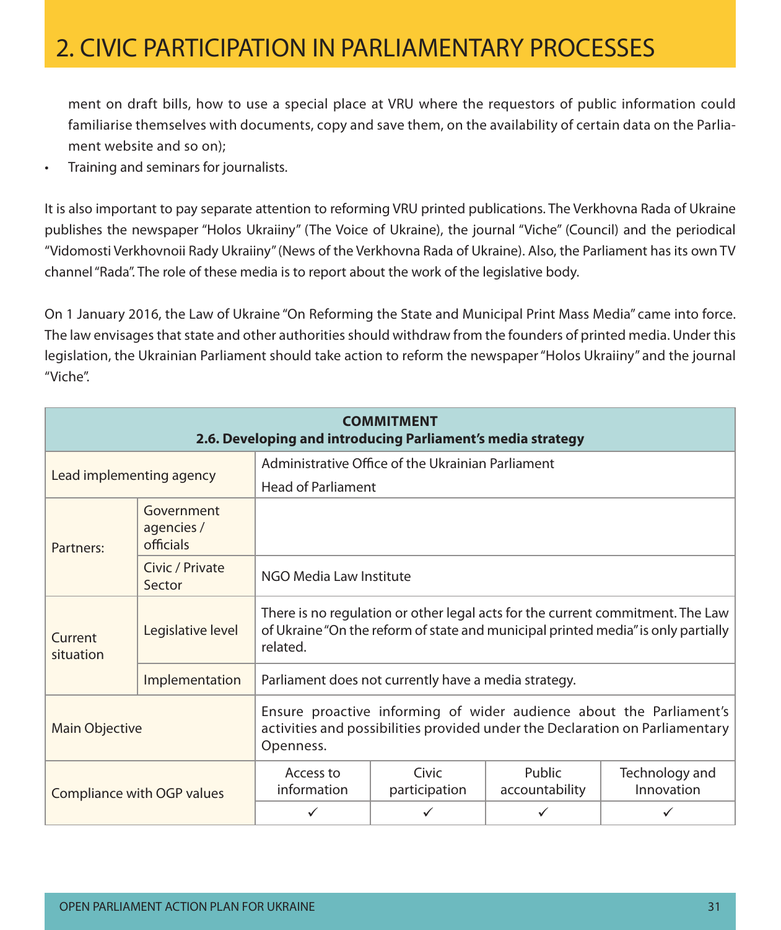ment on draft bills, how to use a special place at VRU where the requestors of public information could familiarise themselves with documents, copy and save them, on the availability of certain data on the Parliament website and so on);

• Training and seminars for journalists.

It is also important to pay separate attention to reforming VRU printed publications. The Verkhovna Rada of Ukraine publishes the newspaper "Holos Ukraiiny" (The Voice of Ukraine), the journal "Viche" (Council) and the periodical "Vidomosti Verkhovnoii Rady Ukraiiny" (News of the Verkhovna Rada of Ukraine). Also, the Parliament has its own TV channel "Rada". The role of these media is to report about the work of the legislative body.

On 1 January 2016, the Law of Ukraine "On Reforming the State and Municipal Print Mass Media" came into force. The law envisages that state and other authorities should withdraw from the founders of printed media. Under this legislation, the Ukrainian Parliament should take action to reform the newspaper "Holos Ukraiiny" and the journal "Viche".

| <b>COMMITMENT</b><br>2.6. Developing and introducing Parliament's media strategy                                                                                                   |                                       |                                                      |                        |                          |                                                                                                                                                                     |  |  |
|------------------------------------------------------------------------------------------------------------------------------------------------------------------------------------|---------------------------------------|------------------------------------------------------|------------------------|--------------------------|---------------------------------------------------------------------------------------------------------------------------------------------------------------------|--|--|
|                                                                                                                                                                                    |                                       | Administrative Office of the Ukrainian Parliament    |                        |                          |                                                                                                                                                                     |  |  |
| Lead implementing agency                                                                                                                                                           |                                       | <b>Head of Parliament</b>                            |                        |                          |                                                                                                                                                                     |  |  |
| Partners:                                                                                                                                                                          | Government<br>agencies /<br>officials |                                                      |                        |                          |                                                                                                                                                                     |  |  |
|                                                                                                                                                                                    | Civic / Private<br>Sector             | NGO Media Law Institute                              |                        |                          |                                                                                                                                                                     |  |  |
| Current<br>situation                                                                                                                                                               | Legislative level                     | related.                                             |                        |                          | There is no regulation or other legal acts for the current commitment. The Law<br>of Ukraine "On the reform of state and municipal printed media" is only partially |  |  |
|                                                                                                                                                                                    | Implementation                        | Parliament does not currently have a media strategy. |                        |                          |                                                                                                                                                                     |  |  |
| Ensure proactive informing of wider audience about the Parliament's<br>activities and possibilities provided under the Declaration on Parliamentary<br>Main Objective<br>Openness. |                                       |                                                      |                        |                          |                                                                                                                                                                     |  |  |
|                                                                                                                                                                                    | Compliance with OGP values            | Access to<br>information                             | Civic<br>participation | Public<br>accountability | Technology and<br>Innovation                                                                                                                                        |  |  |
|                                                                                                                                                                                    |                                       |                                                      |                        |                          |                                                                                                                                                                     |  |  |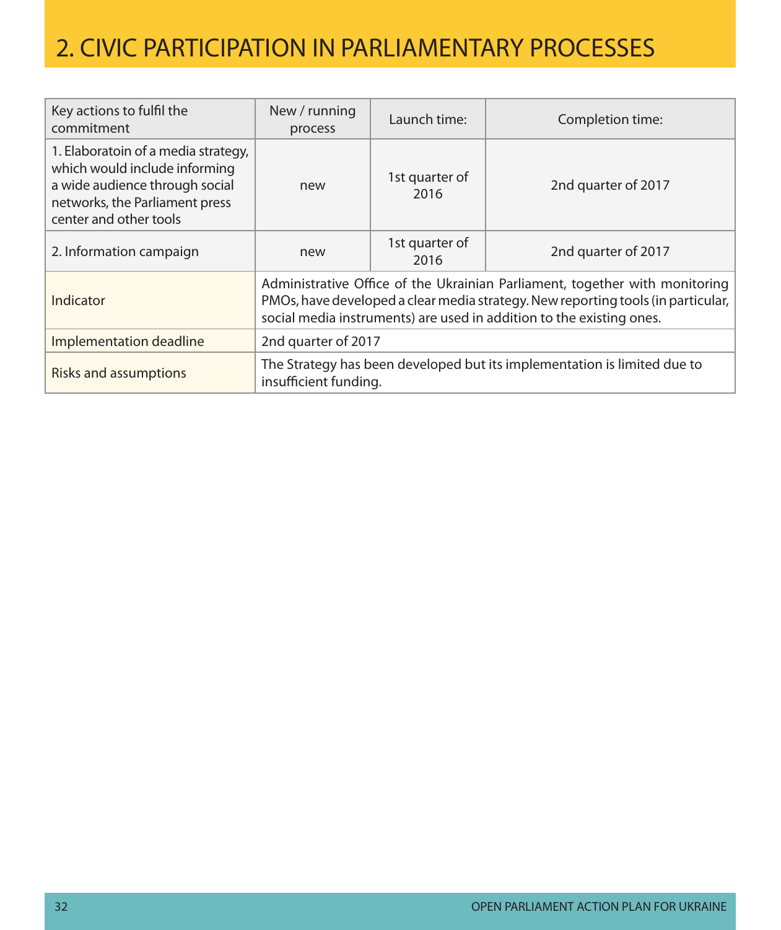| Key actions to fulfil the<br>commitment                                                                                                                            | New / running<br>process                                                                          | Launch time:                                                                                                                                                                                                                              | Completion time:    |  |  |
|--------------------------------------------------------------------------------------------------------------------------------------------------------------------|---------------------------------------------------------------------------------------------------|-------------------------------------------------------------------------------------------------------------------------------------------------------------------------------------------------------------------------------------------|---------------------|--|--|
| 1. Elaboratoin of a media strategy,<br>which would include informing<br>a wide audience through social<br>networks, the Parliament press<br>center and other tools | new                                                                                               | 1st quarter of<br>2016                                                                                                                                                                                                                    | 2nd quarter of 2017 |  |  |
| 2. Information campaign                                                                                                                                            | new                                                                                               | 1st quarter of<br>2016                                                                                                                                                                                                                    | 2nd quarter of 2017 |  |  |
| Indicator                                                                                                                                                          |                                                                                                   | Administrative Office of the Ukrainian Parliament, together with monitoring<br>PMOs, have developed a clear media strategy. New reporting tools (in particular,  <br>social media instruments) are used in addition to the existing ones. |                     |  |  |
| Implementation deadline                                                                                                                                            | 2nd quarter of 2017                                                                               |                                                                                                                                                                                                                                           |                     |  |  |
| <b>Risks and assumptions</b>                                                                                                                                       | The Strategy has been developed but its implementation is limited due to<br>insufficient funding. |                                                                                                                                                                                                                                           |                     |  |  |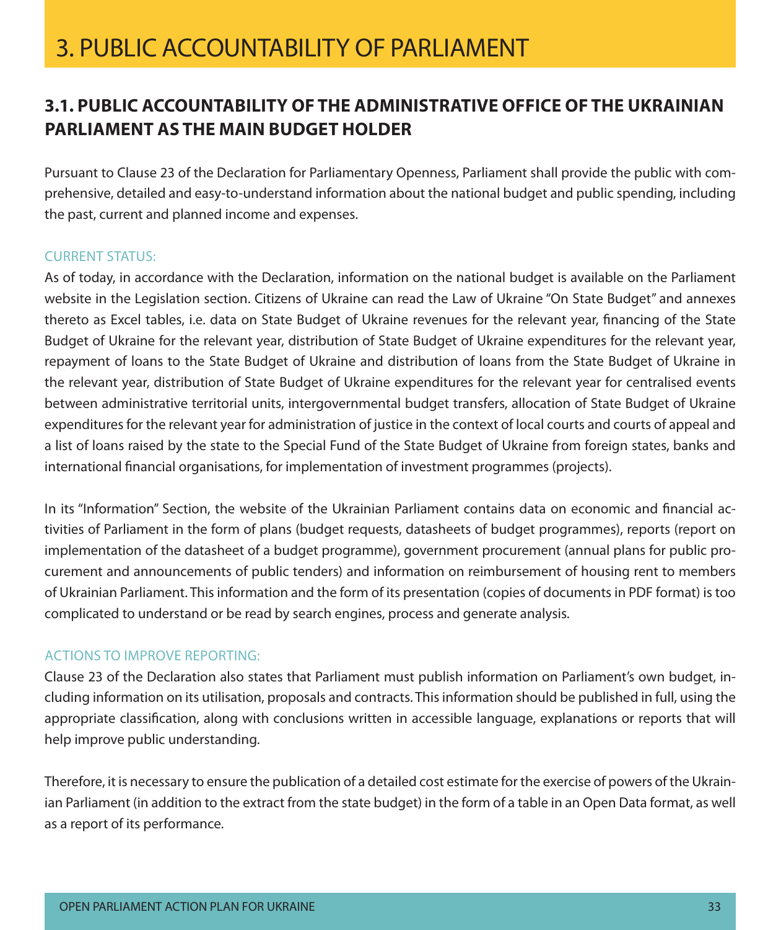### **3.1. Public accountability of the Administrative Office of the Ukrainian Parliament as the main budget holder**

Pursuant to Clause 23 of the Declaration for Parliamentary Openness, Parliament shall provide the public with comprehensive, detailed and easy-to-understand information about the national budget and public spending, including the past, current and planned income and expenses.

#### **CURRENT STATUS:**

As of today, in accordance with the Declaration, information on the national budget is available on the Parliament website in the Legislation section. Citizens of Ukraine can read the Law of Ukraine "On State Budget" and annexes thereto as Excel tables, i.e. data on State Budget of Ukraine revenues for the relevant year, financing of the State Budget of Ukraine for the relevant year, distribution of State Budget of Ukraine expenditures for the relevant year, repayment of loans to the State Budget of Ukraine and distribution of loans from the State Budget of Ukraine in the relevant year, distribution of State Budget of Ukraine expenditures for the relevant year for centralised events between administrative territorial units, intergovernmental budget transfers, allocation of State Budget of Ukraine expenditures for the relevant year for administration of justice in the context of local courts and courts of appeal and a list of loans raised by the state to the Special Fund of the State Budget of Ukraine from foreign states, banks and international financial organisations, for implementation of investment programmes (projects).

In its "Information" Section, the website of the Ukrainian Parliament contains data on economic and financial activities of Parliament in the form of plans (budget requests, datasheets of budget programmes), reports (report on implementation of the datasheet of a budget programme), government procurement (annual plans for public procurement and announcements of public tenders) and information on reimbursement of housing rent to members of Ukrainian Parliament. This information and the form of its presentation (copies of documents in PDF format) is too complicated to understand or be read by search engines, process and generate analysis.

#### Actions to improve reporting:

Clause 23 of the Declaration also states that Parliament must publish information on Parliament's own budget, including information on its utilisation, proposals and contracts. This information should be published in full, using the appropriate classification, along with conclusions written in accessible language, explanations or reports that will help improve public understanding.

Therefore, it is necessary to ensure the publication of a detailed cost estimate for the exercise of powers of the Ukrainian Parliament (in addition to the extract from the state budget) in the form of a table in an Open Data format, as well as a report of its performance.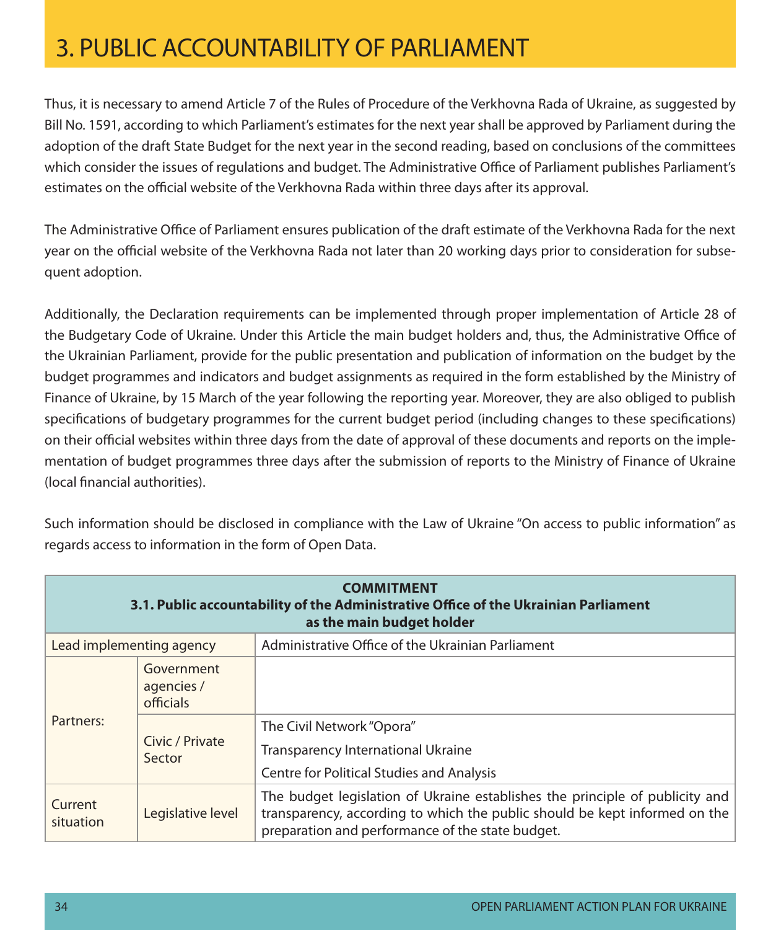Thus, it is necessary to amend Article 7 of the Rules of Procedure of the Verkhovna Rada of Ukraine, as suggested by Bill No. 1591, according to which Parliament's estimates for the next year shall be approved by Parliament during the adoption of the draft State Budget for the next year in the second reading, based on conclusions of the committees which consider the issues of regulations and budget. The Administrative Office of Parliament publishes Parliament's estimates on the official website of the Verkhovna Rada within three days after its approval.

The Administrative Office of Parliament ensures publication of the draft estimate of the Verkhovna Rada for the next year on the official website of the Verkhovna Rada not later than 20 working days prior to consideration for subsequent adoption.

Additionally, the Declaration requirements can be implemented through proper implementation of Article 28 of the Budgetary Code of Ukraine. Under this Article the main budget holders and, thus, the Administrative Office of the Ukrainian Parliament, provide for the public presentation and publication of information on the budget by the budget programmes and indicators and budget assignments as required in the form established by the Ministry of Finance of Ukraine, by 15 March of the year following the reporting year. Moreover, they are also obliged to publish specifications of budgetary programmes for the current budget period (including changes to these specifications) on their official websites within three days from the date of approval of these documents and reports on the implementation of budget programmes three days after the submission of reports to the Ministry of Finance of Ukraine (local financial authorities).

| Such information should be disclosed in compliance with the Law of Ukraine "On access to public information" as |  |  |
|-----------------------------------------------------------------------------------------------------------------|--|--|
| regards access to information in the form of Open Data.                                                         |  |  |

| <b>COMMITMENT</b><br>3.1. Public accountability of the Administrative Office of the Ukrainian Parliament<br>as the main budget holder |                                       |                                                                                                                                                                                                                |  |  |
|---------------------------------------------------------------------------------------------------------------------------------------|---------------------------------------|----------------------------------------------------------------------------------------------------------------------------------------------------------------------------------------------------------------|--|--|
| Lead implementing agency                                                                                                              |                                       | Administrative Office of the Ukrainian Parliament                                                                                                                                                              |  |  |
|                                                                                                                                       | Government<br>agencies /<br>officials |                                                                                                                                                                                                                |  |  |
| Partners:                                                                                                                             | Civic / Private<br>Sector             | The Civil Network "Opora"<br><b>Transparency International Ukraine</b><br><b>Centre for Political Studies and Analysis</b>                                                                                     |  |  |
| Current<br>situation                                                                                                                  | Legislative level                     | The budget legislation of Ukraine establishes the principle of publicity and<br>transparency, according to which the public should be kept informed on the<br>preparation and performance of the state budget. |  |  |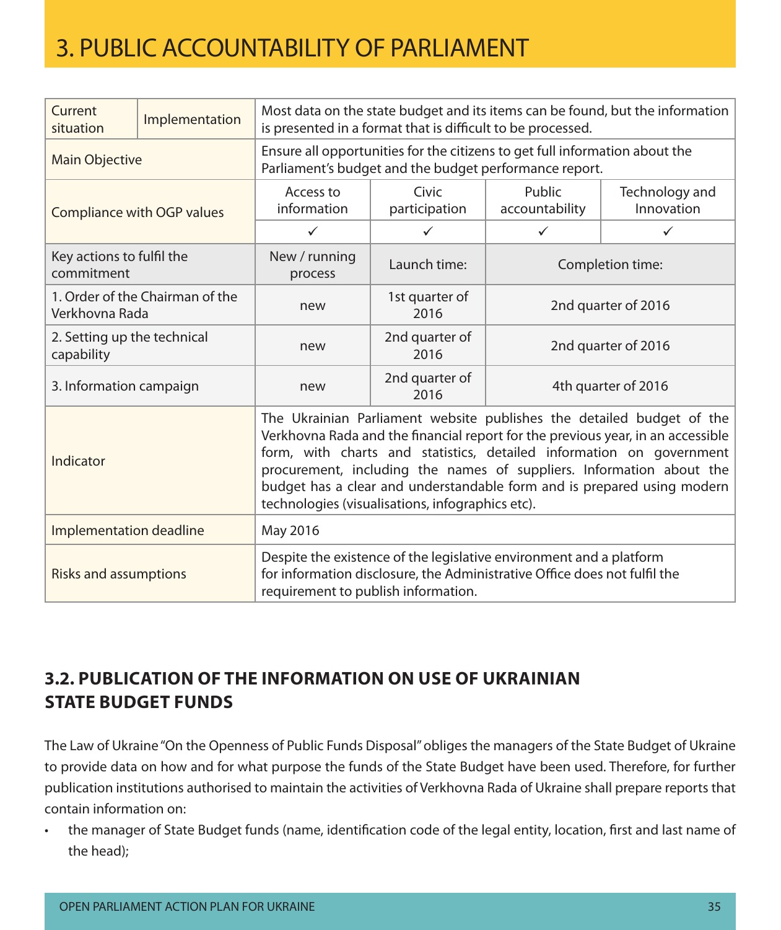| Current<br>situation                      | Implementation                  | Most data on the state budget and its items can be found, but the information<br>is presented in a format that is difficult to be processed.                                                                                                                                                                                                                                                                                            |                        |                          |                              |  |
|-------------------------------------------|---------------------------------|-----------------------------------------------------------------------------------------------------------------------------------------------------------------------------------------------------------------------------------------------------------------------------------------------------------------------------------------------------------------------------------------------------------------------------------------|------------------------|--------------------------|------------------------------|--|
| <b>Main Objective</b>                     |                                 | Ensure all opportunities for the citizens to get full information about the<br>Parliament's budget and the budget performance report.                                                                                                                                                                                                                                                                                                   |                        |                          |                              |  |
|                                           | Compliance with OGP values      | Access to<br>information                                                                                                                                                                                                                                                                                                                                                                                                                | Civic<br>participation | Public<br>accountability | Technology and<br>Innovation |  |
|                                           |                                 | $\checkmark$                                                                                                                                                                                                                                                                                                                                                                                                                            | $\checkmark$           | $\checkmark$             | $\checkmark$                 |  |
| Key actions to fulfil the<br>commitment   |                                 | New / running<br>process                                                                                                                                                                                                                                                                                                                                                                                                                | Launch time:           | Completion time:         |                              |  |
| Verkhovna Rada                            | 1. Order of the Chairman of the | new                                                                                                                                                                                                                                                                                                                                                                                                                                     | 1st quarter of<br>2016 | 2nd quarter of 2016      |                              |  |
| 2. Setting up the technical<br>capability |                                 | new                                                                                                                                                                                                                                                                                                                                                                                                                                     | 2nd quarter of<br>2016 | 2nd quarter of 2016      |                              |  |
| 3. Information campaign                   |                                 | new                                                                                                                                                                                                                                                                                                                                                                                                                                     | 2nd quarter of<br>2016 | 4th quarter of 2016      |                              |  |
| Indicator                                 |                                 | The Ukrainian Parliament website publishes the detailed budget of the<br>Verkhovna Rada and the financial report for the previous year, in an accessible<br>form, with charts and statistics, detailed information on government<br>procurement, including the names of suppliers. Information about the<br>budget has a clear and understandable form and is prepared using modern<br>technologies (visualisations, infographics etc). |                        |                          |                              |  |
| Implementation deadline                   |                                 | May 2016                                                                                                                                                                                                                                                                                                                                                                                                                                |                        |                          |                              |  |
| <b>Risks and assumptions</b>              |                                 | Despite the existence of the legislative environment and a platform<br>for information disclosure, the Administrative Office does not fulfil the<br>requirement to publish information.                                                                                                                                                                                                                                                 |                        |                          |                              |  |

### **3.2. Publication of the information on use of Ukrainian State Budget funds**

The Law of Ukraine "On the Openness of Public Funds Disposal" obliges the managers of the State Budget of Ukraine to provide data on how and for what purpose the funds of the State Budget have been used. Therefore, for further publication institutions authorised to maintain the activities of Verkhovna Rada of Ukraine shall prepare reports that contain information on:

• the manager of State Budget funds (name, identification code of the legal entity, location, first and last name of the head);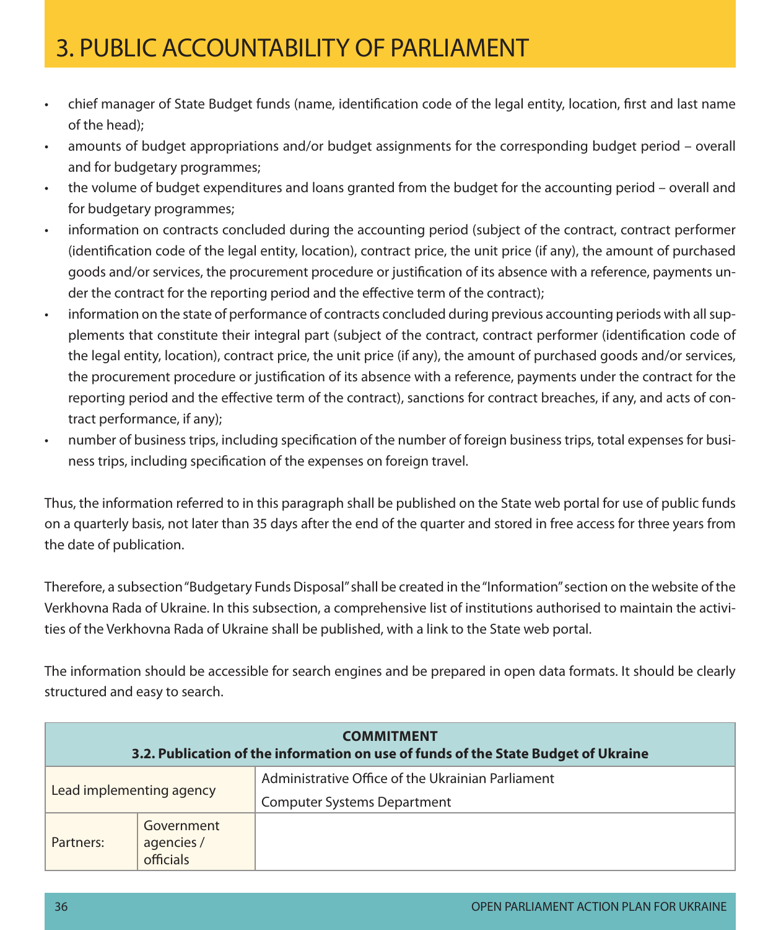- • chief manager of State Budget funds (name, identification code of the legal entity, location, first and last name of the head);
- amounts of budget appropriations and/or budget assignments for the corresponding budget period overall and for budgetary programmes;
- the volume of budget expenditures and loans granted from the budget for the accounting period overall and for budgetary programmes;
- • information on contracts concluded during the accounting period (subject of the contract, contract performer (identification code of the legal entity, location), contract price, the unit price (if any), the amount of purchased goods and/or services, the procurement procedure or justification of its absence with a reference, payments under the contract for the reporting period and the effective term of the contract);
- information on the state of performance of contracts concluded during previous accounting periods with all supplements that constitute their integral part (subject of the contract, contract performer (identification code of the legal entity, location), contract price, the unit price (if any), the amount of purchased goods and/or services, the procurement procedure or justification of its absence with a reference, payments under the contract for the reporting period and the effective term of the contract), sanctions for contract breaches, if any, and acts of contract performance, if any);
- • number of business trips, including specification of the number of foreign business trips, total expenses for business trips, including specification of the expenses on foreign travel.

Thus, the information referred to in this paragraph shall be published on the State web portal for use of public funds on a quarterly basis, not later than 35 days after the end of the quarter and stored in free access for three years from the date of publication.

Therefore, a subsection "Budgetary Funds Disposal" shall be created in the "Information" section on the website of the Verkhovna Rada of Ukraine. In this subsection, a comprehensive list of institutions authorised to maintain the activities of the Verkhovna Rada of Ukraine shall be published, with a link to the State web portal.

The information should be accessible for search engines and be prepared in open data formats. It should be clearly structured and easy to search.

| <b>COMMITMENT</b><br>3.2. Publication of the information on use of funds of the State Budget of Ukraine |                                       |                                                                                         |  |  |
|---------------------------------------------------------------------------------------------------------|---------------------------------------|-----------------------------------------------------------------------------------------|--|--|
| Lead implementing agency                                                                                |                                       | Administrative Office of the Ukrainian Parliament<br><b>Computer Systems Department</b> |  |  |
| Partners:                                                                                               | Government<br>agencies /<br>officials |                                                                                         |  |  |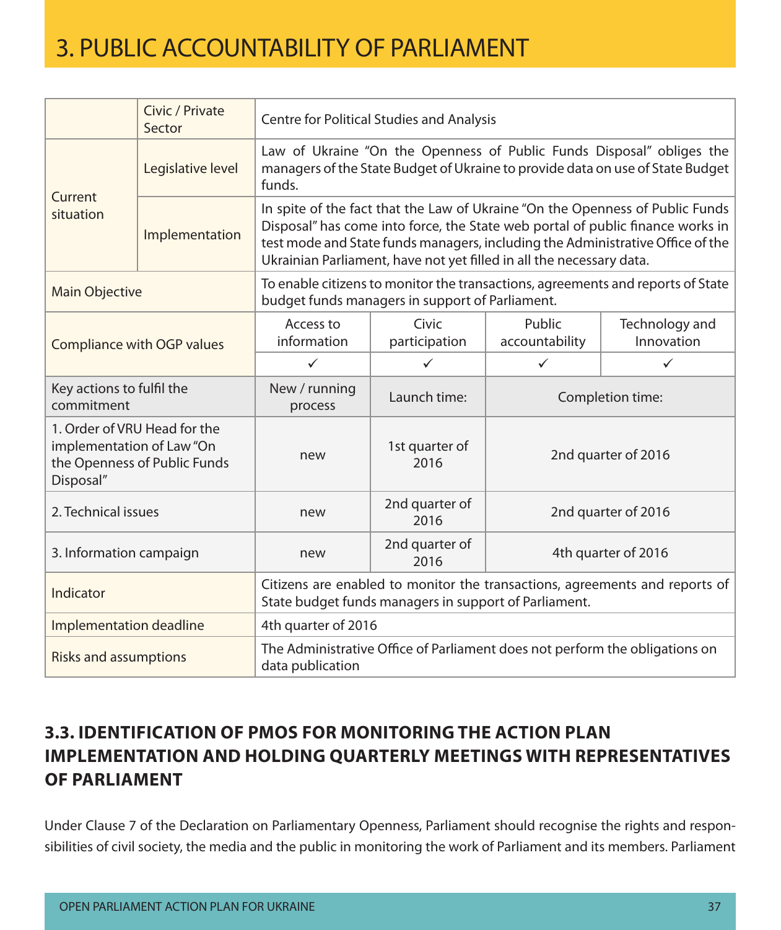|                                         | Civic / Private<br>Sector                                    |                                                                                                                                      | <b>Centre for Political Studies and Analysis</b>                                                                                                                                                                                                                                                                          |                          |                              |  |  |
|-----------------------------------------|--------------------------------------------------------------|--------------------------------------------------------------------------------------------------------------------------------------|---------------------------------------------------------------------------------------------------------------------------------------------------------------------------------------------------------------------------------------------------------------------------------------------------------------------------|--------------------------|------------------------------|--|--|
|                                         | Legislative level                                            | funds.                                                                                                                               | Law of Ukraine "On the Openness of Public Funds Disposal" obliges the<br>managers of the State Budget of Ukraine to provide data on use of State Budget                                                                                                                                                                   |                          |                              |  |  |
| Current<br>situation                    | Implementation                                               |                                                                                                                                      | In spite of the fact that the Law of Ukraine "On the Openness of Public Funds<br>Disposal" has come into force, the State web portal of public finance works in<br>test mode and State funds managers, including the Administrative Office of the<br>Ukrainian Parliament, have not yet filled in all the necessary data. |                          |                              |  |  |
| <b>Main Objective</b>                   |                                                              | To enable citizens to monitor the transactions, agreements and reports of State<br>budget funds managers in support of Parliament.   |                                                                                                                                                                                                                                                                                                                           |                          |                              |  |  |
| <b>Compliance with OGP values</b>       |                                                              | Access to<br>information                                                                                                             | Civic<br>participation                                                                                                                                                                                                                                                                                                    | Public<br>accountability | Technology and<br>Innovation |  |  |
|                                         |                                                              | $\checkmark$                                                                                                                         | ✓                                                                                                                                                                                                                                                                                                                         | $\checkmark$             | $\checkmark$                 |  |  |
| Key actions to fulfil the<br>commitment |                                                              | New / running<br>process                                                                                                             | Launch time:                                                                                                                                                                                                                                                                                                              | Completion time:         |                              |  |  |
| implementation of Law "On<br>Disposal"  | 1. Order of VRU Head for the<br>the Openness of Public Funds | new                                                                                                                                  | 1st quarter of<br>2016                                                                                                                                                                                                                                                                                                    | 2nd quarter of 2016      |                              |  |  |
| 2. Technical issues                     |                                                              | new                                                                                                                                  | 2nd quarter of<br>2016                                                                                                                                                                                                                                                                                                    | 2nd quarter of 2016      |                              |  |  |
| 3. Information campaign                 |                                                              | new                                                                                                                                  | 2nd quarter of<br>2016                                                                                                                                                                                                                                                                                                    | 4th quarter of 2016      |                              |  |  |
| Indicator                               |                                                              | Citizens are enabled to monitor the transactions, agreements and reports of<br>State budget funds managers in support of Parliament. |                                                                                                                                                                                                                                                                                                                           |                          |                              |  |  |
| Implementation deadline                 |                                                              | 4th quarter of 2016                                                                                                                  |                                                                                                                                                                                                                                                                                                                           |                          |                              |  |  |
| <b>Risks and assumptions</b>            |                                                              | The Administrative Office of Parliament does not perform the obligations on<br>data publication                                      |                                                                                                                                                                                                                                                                                                                           |                          |                              |  |  |

### **3.3. Identification of PMOs for monitoring the Action Plan implementation and holding quarterly meetings with representatives of Parliament**

Under Clause 7 of the Declaration on Parliamentary Openness, Parliament should recognise the rights and responsibilities of civil society, the media and the public in monitoring the work of Parliament and its members. Parliament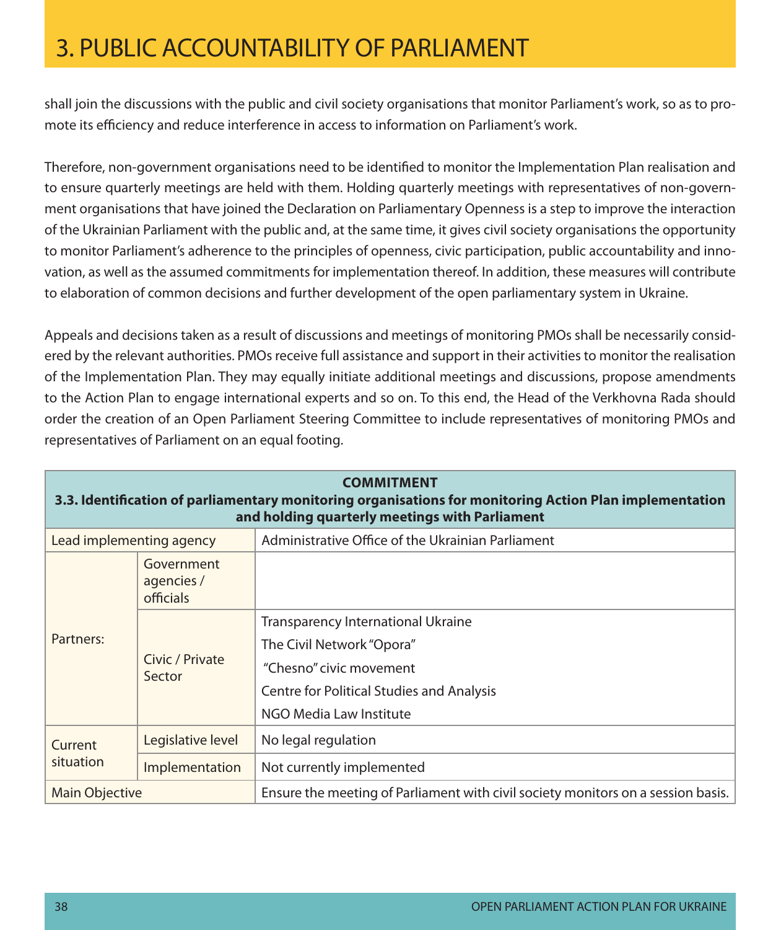shall join the discussions with the public and civil society organisations that monitor Parliament's work, so as to promote its efficiency and reduce interference in access to information on Parliament's work.

Therefore, non-government organisations need to be identified to monitor the Implementation Plan realisation and to ensure quarterly meetings are held with them. Holding quarterly meetings with representatives of non-government organisations that have joined the Declaration on Parliamentary Openness is a step to improve the interaction of the Ukrainian Parliament with the public and, at the same time, it gives civil society organisations the opportunity to monitor Parliament's adherence to the principles of openness, civic participation, public accountability and innovation, as well as the assumed commitments for implementation thereof. In addition, these measures will contribute to elaboration of common decisions and further development of the open parliamentary system in Ukraine.

Appeals and decisions taken as a result of discussions and meetings of monitoring PMOs shall be necessarily considered by the relevant authorities. PMOs receive full assistance and support in their activities to monitor the realisation of the Implementation Plan. They may equally initiate additional meetings and discussions, propose amendments to the Action Plan to engage international experts and so on. To this end, the Head of the Verkhovna Rada should order the creation of an Open Parliament Steering Committee to include representatives of monitoring PMOs and representatives of Parliament on an equal footing.

| <b>COMMITMENT</b><br>3.3. Identification of parliamentary monitoring organisations for monitoring Action Plan implementation<br>and holding quarterly meetings with Parliament |                                                   |                                                                                                                                                                           |  |  |
|--------------------------------------------------------------------------------------------------------------------------------------------------------------------------------|---------------------------------------------------|---------------------------------------------------------------------------------------------------------------------------------------------------------------------------|--|--|
| Lead implementing agency                                                                                                                                                       | Administrative Office of the Ukrainian Parliament |                                                                                                                                                                           |  |  |
| Government<br>agencies /<br><b>officials</b>                                                                                                                                   |                                                   |                                                                                                                                                                           |  |  |
| Partners:                                                                                                                                                                      | Civic / Private<br>Sector                         | Transparency International Ukraine<br>The Civil Network "Opora"<br>"Chesno" civic movement<br><b>Centre for Political Studies and Analysis</b><br>NGO Media Law Institute |  |  |
| Current                                                                                                                                                                        | Legislative level                                 | No legal regulation                                                                                                                                                       |  |  |
| situation                                                                                                                                                                      | Implementation                                    | Not currently implemented                                                                                                                                                 |  |  |
| <b>Main Objective</b>                                                                                                                                                          |                                                   | Ensure the meeting of Parliament with civil society monitors on a session basis.                                                                                          |  |  |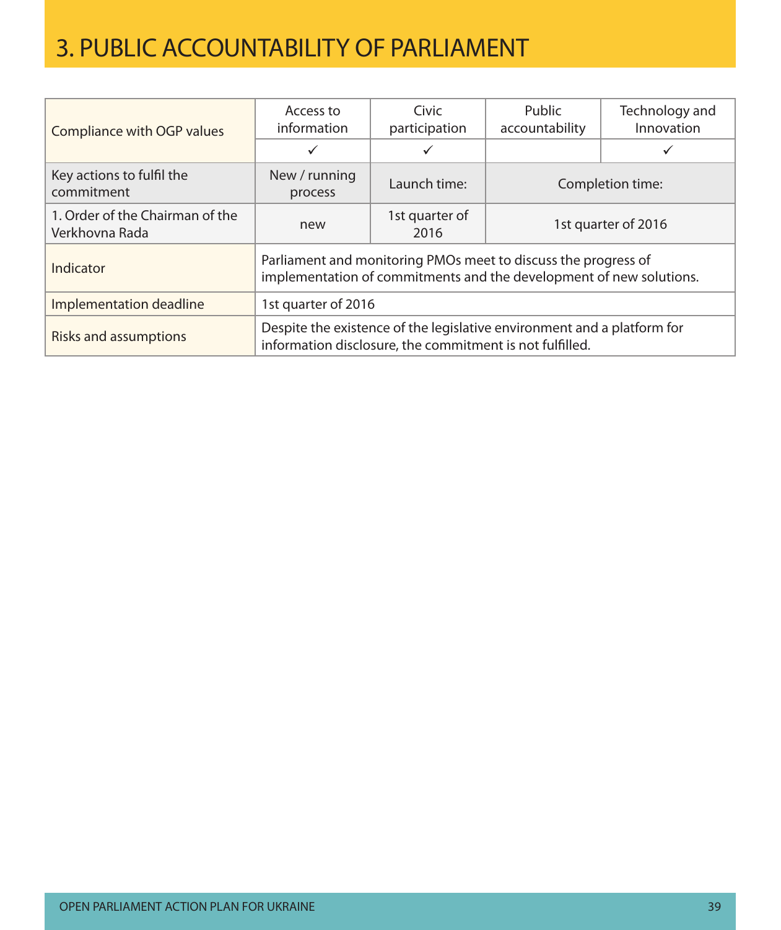| Compliance with OGP values                        | Access to<br>information                                                                                                              | Civic<br>participation | Public<br>accountability | Technology and<br>Innovation |  |
|---------------------------------------------------|---------------------------------------------------------------------------------------------------------------------------------------|------------------------|--------------------------|------------------------------|--|
|                                                   |                                                                                                                                       |                        |                          |                              |  |
| Key actions to fulfil the<br>commitment           | New / running<br>process                                                                                                              | Launch time:           | Completion time:         |                              |  |
| 1. Order of the Chairman of the<br>Verkhovna Rada | new                                                                                                                                   | 1st quarter of<br>2016 | 1st quarter of 2016      |                              |  |
| Indicator                                         | Parliament and monitoring PMOs meet to discuss the progress of<br>implementation of commitments and the development of new solutions. |                        |                          |                              |  |
| Implementation deadline                           | 1st quarter of 2016                                                                                                                   |                        |                          |                              |  |
| <b>Risks and assumptions</b>                      | Despite the existence of the legislative environment and a platform for<br>information disclosure, the commitment is not fulfilled.   |                        |                          |                              |  |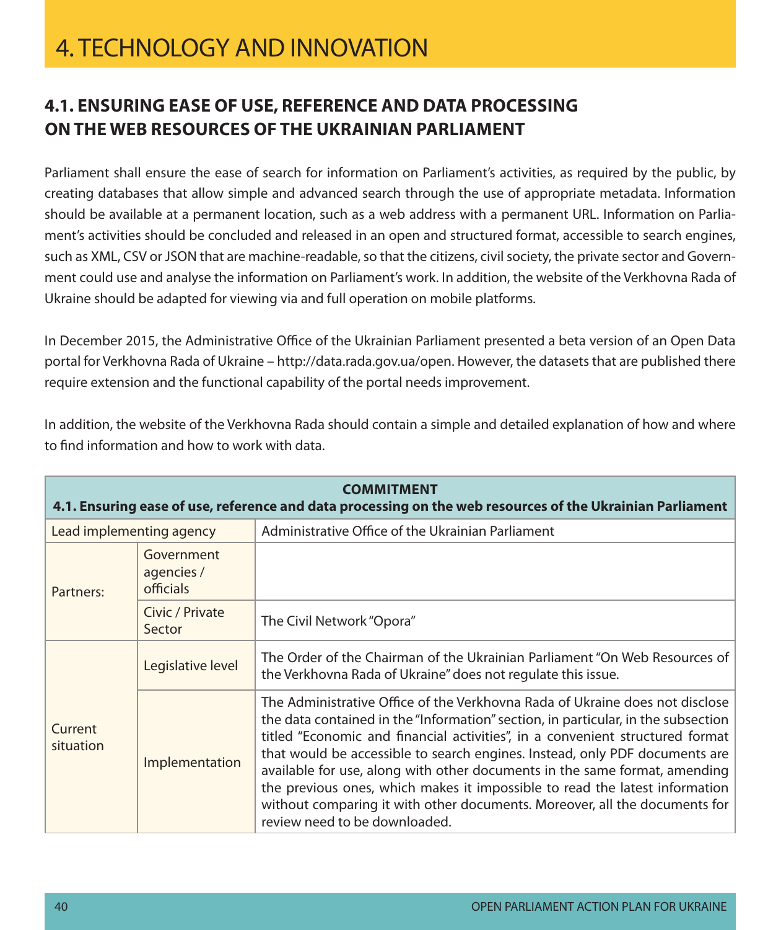### **4.1. Ensuring ease of use, reference and data processing onthe web resources of the Ukrainian Parliament**

Parliament shall ensure the ease of search for information on Parliament's activities, as required by the public, by creating databases that allow simple and advanced search through the use of appropriate metadata. Information should be available at a permanent location, such as a web address with a permanent URL. Information on Parliament's activities should be concluded and released in an open and structured format, accessible to search engines, such as XML, CSV or JSON that are machine-readable, so that the citizens, civil society, the private sector and Government could use and analyse the information on Parliament's work. In addition, the website of the Verkhovna Rada of Ukraine should be adapted for viewing via and full operation on mobile platforms.

In December 2015, the Administrative Office of the Ukrainian Parliament presented a beta version of an Open Data portal for Verkhovna Rada of Ukraine – http://data.rada.gov.ua/open. However, the datasets that are published there require extension and the functional capability of the portal needs improvement.

In addition, the website of the Verkhovna Rada should contain a simple and detailed explanation of how and where to find information and how to work with data.

| <b>COMMITMENT</b><br>4.1. Ensuring ease of use, reference and data processing on the web resources of the Ukrainian Parliament |                           |                                                                                                                                                                                                                                                                                                                                                                                                                                                                                                                                                                                                               |  |  |
|--------------------------------------------------------------------------------------------------------------------------------|---------------------------|---------------------------------------------------------------------------------------------------------------------------------------------------------------------------------------------------------------------------------------------------------------------------------------------------------------------------------------------------------------------------------------------------------------------------------------------------------------------------------------------------------------------------------------------------------------------------------------------------------------|--|--|
| Lead implementing agency                                                                                                       |                           | Administrative Office of the Ukrainian Parliament                                                                                                                                                                                                                                                                                                                                                                                                                                                                                                                                                             |  |  |
| Government<br>agencies /<br><b>officials</b><br>Partners:                                                                      |                           |                                                                                                                                                                                                                                                                                                                                                                                                                                                                                                                                                                                                               |  |  |
|                                                                                                                                | Civic / Private<br>Sector | The Civil Network "Opora"                                                                                                                                                                                                                                                                                                                                                                                                                                                                                                                                                                                     |  |  |
|                                                                                                                                | Legislative level         | The Order of the Chairman of the Ukrainian Parliament "On Web Resources of<br>the Verkhovna Rada of Ukraine" does not regulate this issue.                                                                                                                                                                                                                                                                                                                                                                                                                                                                    |  |  |
| Current<br>situation                                                                                                           | Implementation            | The Administrative Office of the Verkhovna Rada of Ukraine does not disclose<br>the data contained in the "Information" section, in particular, in the subsection<br>titled "Economic and financial activities", in a convenient structured format<br>that would be accessible to search engines. Instead, only PDF documents are<br>available for use, along with other documents in the same format, amending<br>the previous ones, which makes it impossible to read the latest information<br>without comparing it with other documents. Moreover, all the documents for<br>review need to be downloaded. |  |  |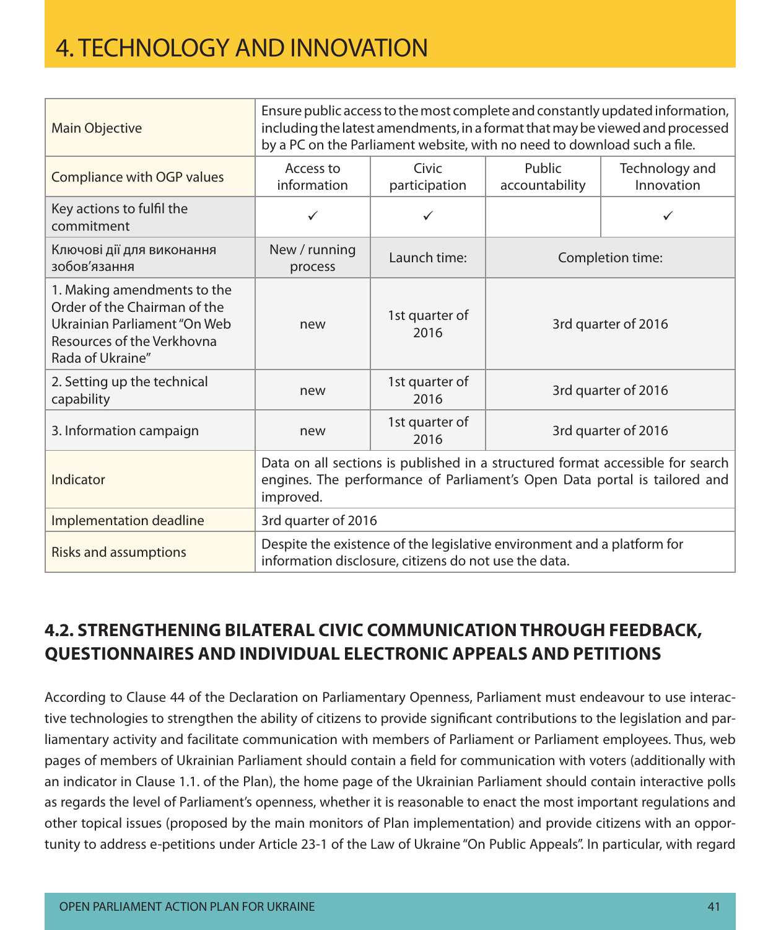| Main Objective                                                                                                                                | Ensure public access to the most complete and constantly updated information,<br>including the latest amendments, in a format that may be viewed and processed<br>by a PC on the Parliament website, with no need to download such a file. |                        |                          |                              |  |
|-----------------------------------------------------------------------------------------------------------------------------------------------|--------------------------------------------------------------------------------------------------------------------------------------------------------------------------------------------------------------------------------------------|------------------------|--------------------------|------------------------------|--|
| Compliance with OGP values                                                                                                                    | Access to<br>information                                                                                                                                                                                                                   | Civic<br>participation | Public<br>accountability | Technology and<br>Innovation |  |
| Key actions to fulfil the<br>commitment                                                                                                       | ✓                                                                                                                                                                                                                                          | $\checkmark$           |                          |                              |  |
| Ключові дії для виконання<br>зобов'язання                                                                                                     | New / running<br>process                                                                                                                                                                                                                   | Launch time:           | Completion time:         |                              |  |
| 1. Making amendments to the<br>Order of the Chairman of the<br>Ukrainian Parliament "On Web<br>Resources of the Verkhovna<br>Rada of Ukraine" | new                                                                                                                                                                                                                                        | 1st quarter of<br>2016 | 3rd quarter of 2016      |                              |  |
| 2. Setting up the technical<br>capability                                                                                                     | new                                                                                                                                                                                                                                        | 1st quarter of<br>2016 | 3rd quarter of 2016      |                              |  |
| 3. Information campaign                                                                                                                       | new                                                                                                                                                                                                                                        | 1st quarter of<br>2016 | 3rd quarter of 2016      |                              |  |
| Indicator                                                                                                                                     | Data on all sections is published in a structured format accessible for search<br>engines. The performance of Parliament's Open Data portal is tailored and<br>improved.                                                                   |                        |                          |                              |  |
| Implementation deadline                                                                                                                       | 3rd quarter of 2016                                                                                                                                                                                                                        |                        |                          |                              |  |
| <b>Risks and assumptions</b>                                                                                                                  | Despite the existence of the legislative environment and a platform for<br>information disclosure, citizens do not use the data.                                                                                                           |                        |                          |                              |  |

### **4.2. Strengthening bilateral civic communicationthrough feedback, questionnaires and individual electronic appeals and petitions**

According to Clause 44 of the Declaration on Parliamentary Openness, Parliament must endeavour to use interactive technologies to strengthen the ability of citizens to provide significant contributions to the legislation and parliamentary activity and facilitate communication with members of Parliament or Parliament employees. Thus, web pages of members of Ukrainian Parliament should contain a field for communication with voters (additionally with an indicator in Clause 1.1. of the Plan), the home page of the Ukrainian Parliament should contain interactive polls as regards the level of Parliament's openness, whether it is reasonable to enact the most important regulations and other topical issues (proposed by the main monitors of Plan implementation) and provide citizens with an opportunity to address e-petitions under Article 23-1 of the Law of Ukraine "On Public Appeals". In particular, with regard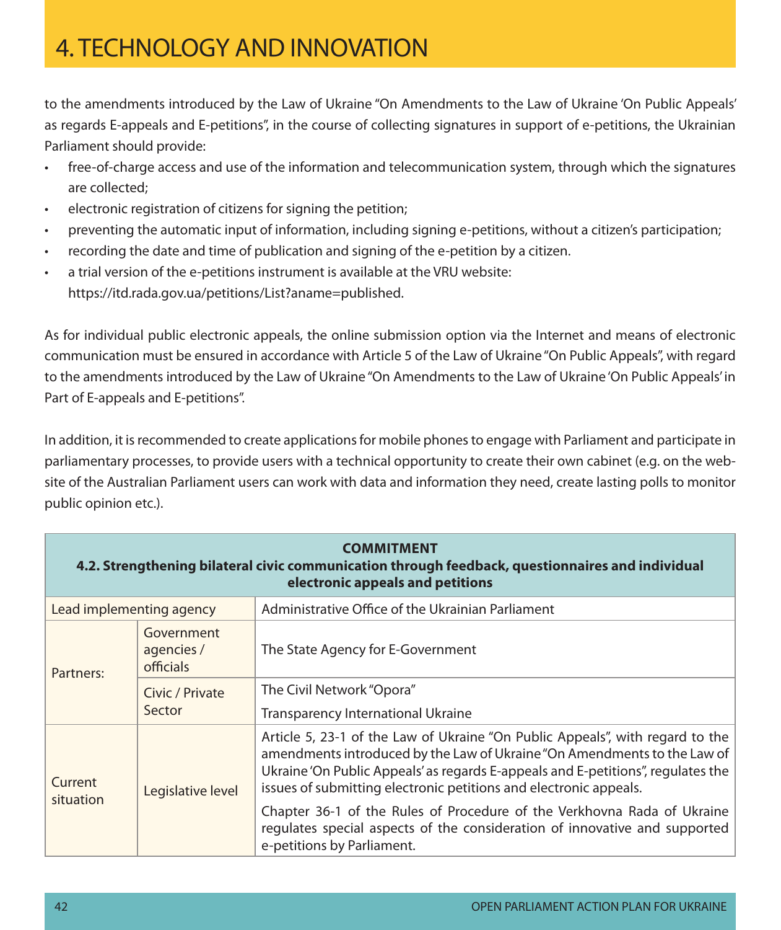to the amendments introduced by the Law of Ukraine "On Amendments to the Law of Ukraine 'On Public Appeals' as regards E-appeals and E-petitions", in the course of collecting signatures in support of e-petitions, the Ukrainian Parliament should provide:

- • free-of-charge access and use of the information and telecommunication system, through which the signatures are collected;
- electronic registration of citizens for signing the petition;
- preventing the automatic input of information, including signing e-petitions, without a citizen's participation;
- recording the date and time of publication and signing of the e-petition by a citizen.
- a trial version of the e-petitions instrument is available at the VRU website: https://itd.rada.gov.ua/petitions/List?aname=published.

As for individual public electronic appeals, the online submission option via the Internet and means of electronic communication must be ensured in accordance with Article 5 of the Law of Ukraine "On Public Appeals", with regard to the amendments introduced by the Law of Ukraine "On Amendments to the Law of Ukraine 'On Public Appeals' in Part of E-appeals and E-petitions".

In addition, it is recommended to create applications for mobile phones to engage with Parliament and participate in parliamentary processes, to provide users with a technical opportunity to create their own cabinet (e.g. on the website of the Australian Parliament users can work with data and information they need, create lasting polls to monitor public opinion etc.).

| <b>COMMITMENT</b><br>4.2. Strengthening bilateral civic communication through feedback, questionnaires and individual<br>electronic appeals and petitions |                           |                                                                                                                                                                                                                                                                                                                    |  |  |  |
|-----------------------------------------------------------------------------------------------------------------------------------------------------------|---------------------------|--------------------------------------------------------------------------------------------------------------------------------------------------------------------------------------------------------------------------------------------------------------------------------------------------------------------|--|--|--|
| Lead implementing agency                                                                                                                                  |                           | Administrative Office of the Ukrainian Parliament                                                                                                                                                                                                                                                                  |  |  |  |
| Government<br>agencies /<br>officials<br>Partners:                                                                                                        |                           | The State Agency for E-Government                                                                                                                                                                                                                                                                                  |  |  |  |
|                                                                                                                                                           | Civic / Private<br>Sector | The Civil Network "Opora"                                                                                                                                                                                                                                                                                          |  |  |  |
|                                                                                                                                                           |                           | Transparency International Ukraine                                                                                                                                                                                                                                                                                 |  |  |  |
| Current<br>situation                                                                                                                                      | Legislative level         | Article 5, 23-1 of the Law of Ukraine "On Public Appeals", with regard to the<br>amendments introduced by the Law of Ukraine "On Amendments to the Law of<br>Ukraine 'On Public Appeals' as regards E-appeals and E-petitions", regulates the<br>issues of submitting electronic petitions and electronic appeals. |  |  |  |
|                                                                                                                                                           |                           | Chapter 36-1 of the Rules of Procedure of the Verkhovna Rada of Ukraine<br>regulates special aspects of the consideration of innovative and supported<br>e-petitions by Parliament.                                                                                                                                |  |  |  |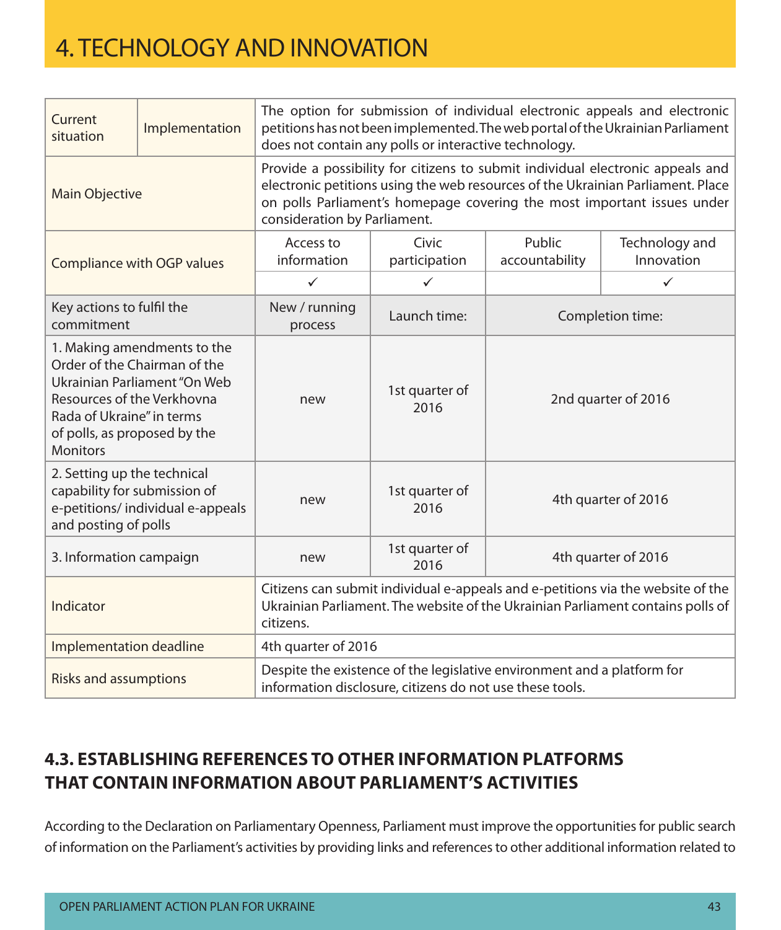| Current<br>situation                                                                                       | Implementation                                                                              | The option for submission of individual electronic appeals and electronic<br>petitions has not been implemented. The web portal of the Ukrainian Parliament<br>does not contain any polls or interactive technology.                                                         |                        |                          |                              |  |
|------------------------------------------------------------------------------------------------------------|---------------------------------------------------------------------------------------------|------------------------------------------------------------------------------------------------------------------------------------------------------------------------------------------------------------------------------------------------------------------------------|------------------------|--------------------------|------------------------------|--|
| Main Objective                                                                                             |                                                                                             | Provide a possibility for citizens to submit individual electronic appeals and<br>electronic petitions using the web resources of the Ukrainian Parliament. Place<br>on polls Parliament's homepage covering the most important issues under<br>consideration by Parliament. |                        |                          |                              |  |
|                                                                                                            | Compliance with OGP values                                                                  | Access to<br>information                                                                                                                                                                                                                                                     | Civic<br>participation | Public<br>accountability | Technology and<br>Innovation |  |
|                                                                                                            |                                                                                             | $\checkmark$                                                                                                                                                                                                                                                                 | $\checkmark$           |                          | $\checkmark$                 |  |
| Key actions to fulfil the<br>commitment                                                                    |                                                                                             | New / running<br>process                                                                                                                                                                                                                                                     | Launch time:           |                          | Completion time:             |  |
| Resources of the Verkhovna<br>Rada of Ukraine" in terms<br>of polls, as proposed by the<br><b>Monitors</b> | 1. Making amendments to the<br>Order of the Chairman of the<br>Ukrainian Parliament "On Web | new                                                                                                                                                                                                                                                                          | 1st quarter of<br>2016 | 2nd quarter of 2016      |                              |  |
| 2. Setting up the technical<br>capability for submission of<br>and posting of polls                        | e-petitions/ individual e-appeals                                                           | new                                                                                                                                                                                                                                                                          | 1st quarter of<br>2016 | 4th quarter of 2016      |                              |  |
| 3. Information campaign                                                                                    |                                                                                             | new                                                                                                                                                                                                                                                                          | 1st quarter of<br>2016 | 4th quarter of 2016      |                              |  |
| Indicator                                                                                                  |                                                                                             | Citizens can submit individual e-appeals and e-petitions via the website of the<br>Ukrainian Parliament. The website of the Ukrainian Parliament contains polls of<br>citizens.                                                                                              |                        |                          |                              |  |
| Implementation deadline                                                                                    |                                                                                             | 4th quarter of 2016                                                                                                                                                                                                                                                          |                        |                          |                              |  |
| <b>Risks and assumptions</b>                                                                               |                                                                                             | Despite the existence of the legislative environment and a platform for<br>information disclosure, citizens do not use these tools.                                                                                                                                          |                        |                          |                              |  |

### **4.3. Establishing references to other information platforms that contain information about Parliament's activities**

According to the Declaration on Parliamentary Openness, Parliament must improve the opportunities for public search of information on the Parliament's activities by providing links and references to other additional information related to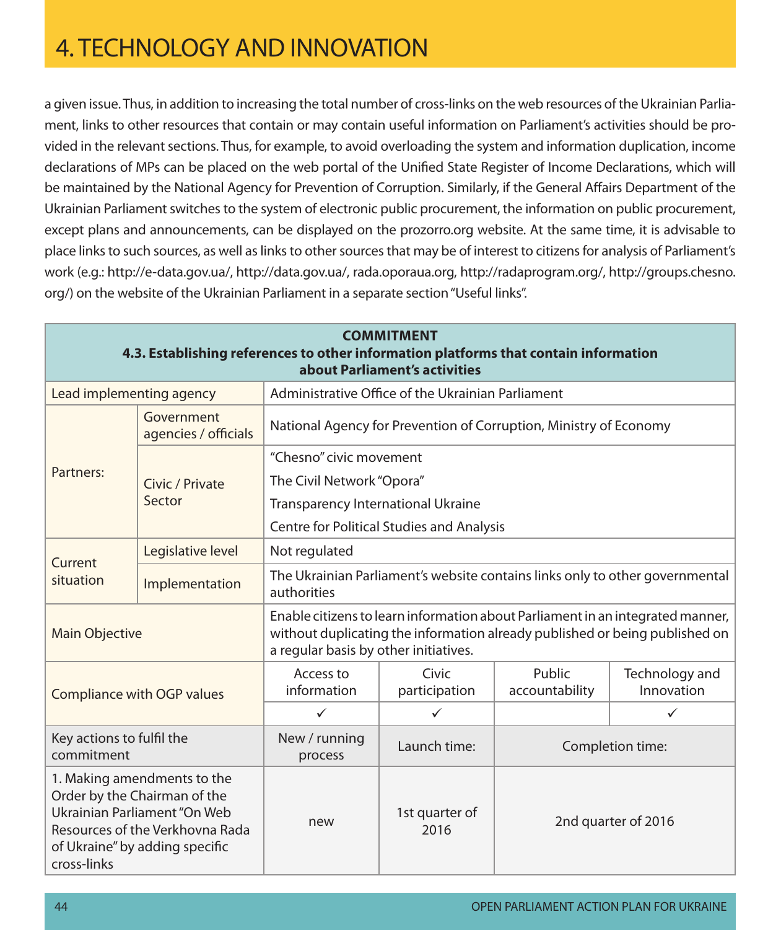a given issue. Thus, in addition to increasing the total number of cross-links on the web resources of the Ukrainian Parliament, links to other resources that contain or may contain useful information on Parliament's activities should be provided in the relevant sections. Thus, for example, to avoid overloading the system and information duplication, income declarations of MPs can be placed on the web portal of the Unified State Register of Income Declarations, which will be maintained by the National Agency for Prevention of Corruption. Similarly, if the General Affairs Department of the Ukrainian Parliament switches to the system of electronic public procurement, the information on public procurement, except plans and announcements, can be displayed on the prozorro.org website. At the same time, it is advisable to place links to such sources, as well as links to other sources that may be of interest to citizens for analysis of Parliament's work (e.g.: http://e-data.gov.ua/, http://data.gov.ua/, rada.oporaua.org, http://radaprogram.org/, http://groups.chesno. org/) on the website of the Ukrainian Parliament in a separate section "Useful links".

| <b>COMMITMENT</b><br>4.3. Establishing references to other information platforms that contain information<br>about Parliament's activities                                      |                                    |                                                                                                                                                                                                        |                        |                          |                              |  |  |
|---------------------------------------------------------------------------------------------------------------------------------------------------------------------------------|------------------------------------|--------------------------------------------------------------------------------------------------------------------------------------------------------------------------------------------------------|------------------------|--------------------------|------------------------------|--|--|
|                                                                                                                                                                                 | Lead implementing agency           | Administrative Office of the Ukrainian Parliament                                                                                                                                                      |                        |                          |                              |  |  |
| Partners:                                                                                                                                                                       | Government<br>agencies / officials | National Agency for Prevention of Corruption, Ministry of Economy                                                                                                                                      |                        |                          |                              |  |  |
|                                                                                                                                                                                 | Civic / Private<br>Sector          | "Chesno" civic movement<br>The Civil Network "Opora"<br><b>Transparency International Ukraine</b>                                                                                                      |                        |                          |                              |  |  |
|                                                                                                                                                                                 |                                    | <b>Centre for Political Studies and Analysis</b>                                                                                                                                                       |                        |                          |                              |  |  |
| Current                                                                                                                                                                         | Legislative level                  | Not regulated                                                                                                                                                                                          |                        |                          |                              |  |  |
| situation                                                                                                                                                                       | Implementation                     | The Ukrainian Parliament's website contains links only to other governmental<br>authorities                                                                                                            |                        |                          |                              |  |  |
| <b>Main Objective</b>                                                                                                                                                           |                                    | Enable citizens to learn information about Parliament in an integrated manner,<br>without duplicating the information already published or being published on<br>a regular basis by other initiatives. |                        |                          |                              |  |  |
| Compliance with OGP values                                                                                                                                                      |                                    | Access to<br>information                                                                                                                                                                               | Civic<br>participation | Public<br>accountability | Technology and<br>Innovation |  |  |
|                                                                                                                                                                                 |                                    | $\checkmark$                                                                                                                                                                                           | $\checkmark$           |                          | ✓                            |  |  |
| Key actions to fulfil the<br>commitment                                                                                                                                         |                                    | New / running<br>process                                                                                                                                                                               | Launch time:           | Completion time:         |                              |  |  |
| 1. Making amendments to the<br>Order by the Chairman of the<br>Ukrainian Parliament "On Web<br>Resources of the Verkhovna Rada<br>of Ukraine" by adding specific<br>cross-links |                                    | new                                                                                                                                                                                                    | 1st quarter of<br>2016 | 2nd quarter of 2016      |                              |  |  |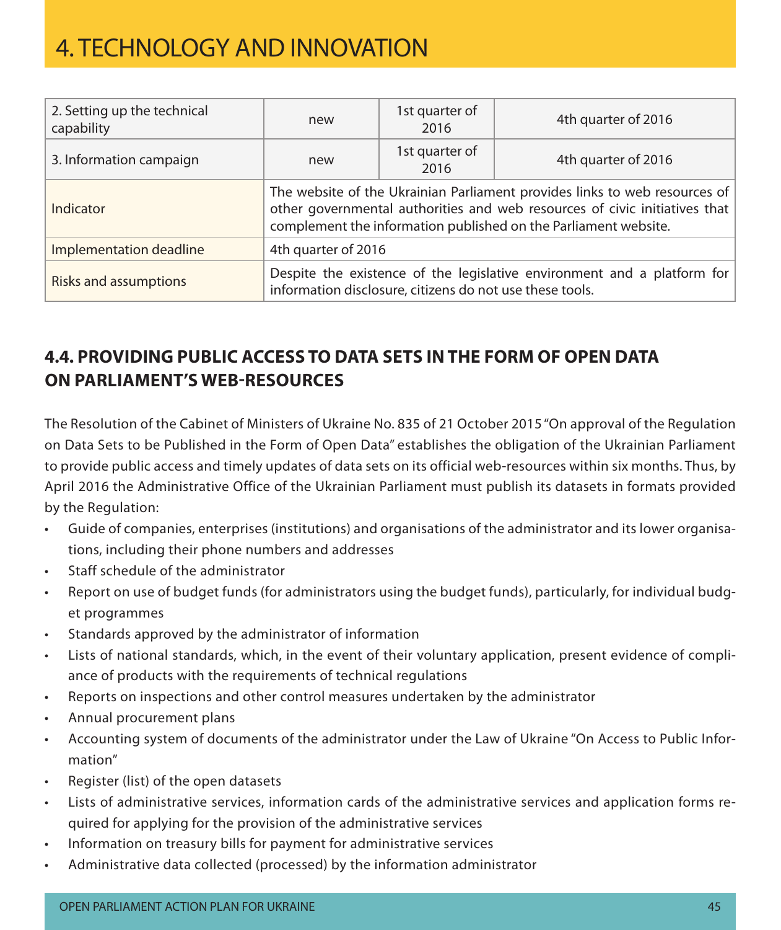| 2. Setting up the technical<br>capability | new                                                                                                                                                                                                                         | 1st quarter of<br>2016 | 4th quarter of 2016 |  |
|-------------------------------------------|-----------------------------------------------------------------------------------------------------------------------------------------------------------------------------------------------------------------------------|------------------------|---------------------|--|
| 3. Information campaign                   | new                                                                                                                                                                                                                         | 1st quarter of<br>2016 | 4th quarter of 2016 |  |
| Indicator                                 | The website of the Ukrainian Parliament provides links to web resources of<br>other governmental authorities and web resources of civic initiatives that<br>complement the information published on the Parliament website. |                        |                     |  |
| Implementation deadline                   | 4th quarter of 2016                                                                                                                                                                                                         |                        |                     |  |
| <b>Risks and assumptions</b>              | Despite the existence of the legislative environment and a platform for<br>information disclosure, citizens do not use these tools.                                                                                         |                        |                     |  |

### **4.4. Providing public access to data sets inthe form of Open Data on Parliament's web-resources**

The Resolution of the Cabinet of Ministers of Ukraine No. 835 of 21 October 2015 "On approval of the Regulation on Data Sets to be Published in the Form of Open Data" establishes the obligation of the Ukrainian Parliament to provide public access and timely updates of data sets on its official web-resources within six months. Thus, by April 2016 the Administrative Office of the Ukrainian Parliament must publish its datasets in formats provided by the Regulation:

- • Guide of companies, enterprises (institutions) and organisations of the administrator and its lower organisations, including their phone numbers and addresses
- **Staff schedule of the administrator**
- Report on use of budget funds (for administrators using the budget funds), particularly, for individual budget programmes
- Standards approved by the administrator of information
- Lists of national standards, which, in the event of their voluntary application, present evidence of compliance of products with the requirements of technical regulations
- Reports on inspections and other control measures undertaken by the administrator
- Annual procurement plans
- • Accounting system of documents of the administrator under the Law of Ukraine "On Access to Public Information"
- Register (list) of the open datasets
- Lists of administrative services, information cards of the administrative services and application forms required for applying for the provision of the administrative services
- Information on treasury bills for payment for administrative services
- Administrative data collected (processed) by the information administrator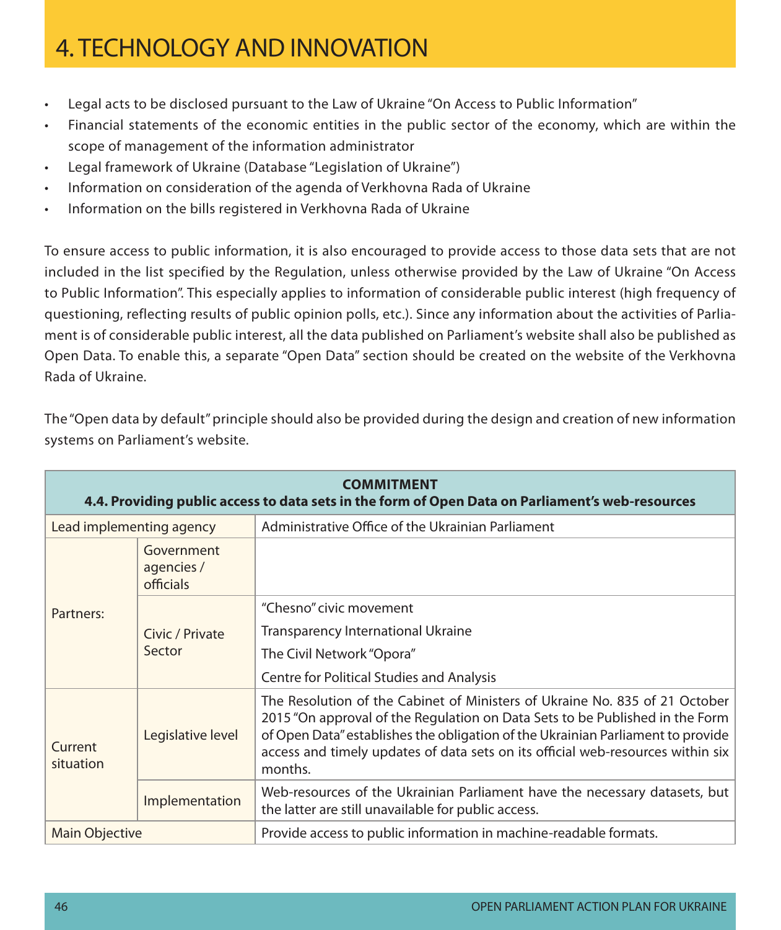- Legal acts to be disclosed pursuant to the Law of Ukraine "On Access to Public Information"
- Financial statements of the economic entities in the public sector of the economy, which are within the scope of management of the information administrator
- • Legal framework of Ukraine (Database "Legislation of Ukraine")
- Information on consideration of the agenda of Verkhovna Rada of Ukraine
- Information on the bills registered in Verkhovna Rada of Ukraine

To ensure access to public information, it is also encouraged to provide access to those data sets that are not included in the list specified by the Regulation, unless otherwise provided by the Law of Ukraine "On Access to Public Information". This especially applies to information of considerable public interest (high frequency of questioning, reflecting results of public opinion polls, etc.). Since any information about the activities of Parliament is of considerable public interest, all the data published on Parliament's website shall also be published as Open Data. To enable this, a separate "Open Data" section should be created on the website of the Verkhovna Rada of Ukraine.

| <b>COMMITMENT</b><br>4.4. Providing public access to data sets in the form of Open Data on Parliament's web-resources |                                       |                                                                                                                                                                                                                                                                                                                                              |  |  |  |
|-----------------------------------------------------------------------------------------------------------------------|---------------------------------------|----------------------------------------------------------------------------------------------------------------------------------------------------------------------------------------------------------------------------------------------------------------------------------------------------------------------------------------------|--|--|--|
| Lead implementing agency                                                                                              |                                       | Administrative Office of the Ukrainian Parliament                                                                                                                                                                                                                                                                                            |  |  |  |
| Partners:                                                                                                             | Government<br>agencies /<br>officials |                                                                                                                                                                                                                                                                                                                                              |  |  |  |
|                                                                                                                       | Civic / Private<br>Sector             | "Chesno" civic movement                                                                                                                                                                                                                                                                                                                      |  |  |  |
|                                                                                                                       |                                       | <b>Transparency International Ukraine</b>                                                                                                                                                                                                                                                                                                    |  |  |  |
|                                                                                                                       |                                       | The Civil Network "Opora"                                                                                                                                                                                                                                                                                                                    |  |  |  |
|                                                                                                                       |                                       | <b>Centre for Political Studies and Analysis</b>                                                                                                                                                                                                                                                                                             |  |  |  |
| Current<br>situation                                                                                                  | Legislative level                     | The Resolution of the Cabinet of Ministers of Ukraine No. 835 of 21 October<br>2015 "On approval of the Regulation on Data Sets to be Published in the Form<br>of Open Data" establishes the obligation of the Ukrainian Parliament to provide<br>access and timely updates of data sets on its official web-resources within six<br>months. |  |  |  |
|                                                                                                                       | Implementation                        | Web-resources of the Ukrainian Parliament have the necessary datasets, but<br>the latter are still unavailable for public access.                                                                                                                                                                                                            |  |  |  |
| <b>Main Objective</b>                                                                                                 |                                       | Provide access to public information in machine-readable formats.                                                                                                                                                                                                                                                                            |  |  |  |

The "Open data by default" principle should also be provided during the design and creation of new information systems on Parliament's website.